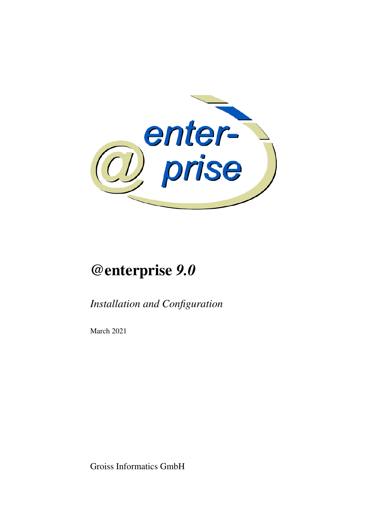

# @enterprise *9.0*

*Installation and Configuration*

March 2021

Groiss Informatics GmbH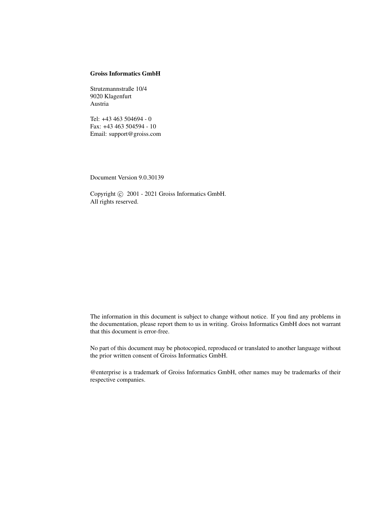#### Groiss Informatics GmbH

Strutzmannstraße 10/4 9020 Klagenfurt Austria

Tel: +43 463 504694 - 0 Fax: +43 463 504594 - 10 Email: support@groiss.com

Document Version 9.0.30139

Copyright  $\odot$  2001 - 2021 Groiss Informatics GmbH. All rights reserved.

The information in this document is subject to change without notice. If you find any problems in the documentation, please report them to us in writing. Groiss Informatics GmbH does not warrant that this document is error-free.

No part of this document may be photocopied, reproduced or translated to another language without the prior written consent of Groiss Informatics GmbH.

@enterprise is a trademark of Groiss Informatics GmbH, other names may be trademarks of their respective companies.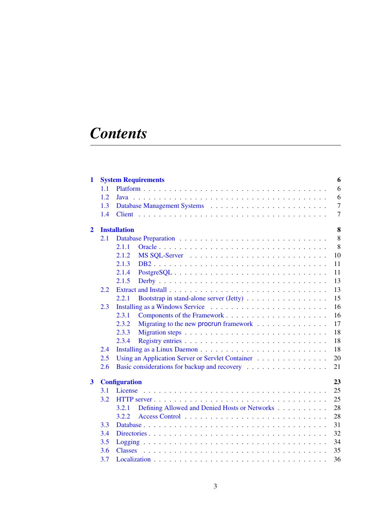# *Contents*

| 1              |             | 6<br><b>System Requirements</b>                                                                           |  |  |
|----------------|-------------|-----------------------------------------------------------------------------------------------------------|--|--|
|                | 1.1         | 6                                                                                                         |  |  |
|                | 1.2<br>Java |                                                                                                           |  |  |
|                | 1.3         | $\overline{7}$                                                                                            |  |  |
|                | 1.4         | $\overline{7}$                                                                                            |  |  |
| $\overline{2}$ |             | 8<br><b>Installation</b>                                                                                  |  |  |
|                | 2.1         | 8                                                                                                         |  |  |
|                |             | 8<br>2.1.1                                                                                                |  |  |
|                |             | 10<br>2.1.2                                                                                               |  |  |
|                |             | 11<br>2.1.3                                                                                               |  |  |
|                |             | 11<br>2.1.4<br>$PostgreSQL \dots \dots \dots \dots \dots \dots \dots \dots \dots \dots \dots \dots \dots$ |  |  |
|                |             | 13<br>2.1.5                                                                                               |  |  |
|                | 2.2         | 13                                                                                                        |  |  |
|                |             | 15<br>2.2.1<br>Bootstrap in stand-alone server (Jetty)                                                    |  |  |
|                | 2.3         | 16                                                                                                        |  |  |
|                |             | 16<br>2.3.1                                                                                               |  |  |
|                |             | 2.3.2<br>17<br>Migrating to the new procrun framework                                                     |  |  |
|                |             | 18<br>2.3.3                                                                                               |  |  |
|                |             | 18<br>2.3.4                                                                                               |  |  |
|                | 2.4         | 18                                                                                                        |  |  |
|                | 2.5         | Using an Application Server or Servlet Container<br>20                                                    |  |  |
|                | 2.6         | Basic considerations for backup and recovery<br>21                                                        |  |  |
| $\mathbf{3}$   |             | 23<br><b>Configuration</b>                                                                                |  |  |
|                | <b>3.1</b>  |                                                                                                           |  |  |
|                | 3.2         | 25                                                                                                        |  |  |
|                |             | 28<br>Defining Allowed and Denied Hosts or Networks<br>3.2.1                                              |  |  |
|                |             | 28<br>3.2.2                                                                                               |  |  |
|                | 3.3         | 31                                                                                                        |  |  |
|                | 3.4         | 32                                                                                                        |  |  |
|                | 3.5         | 34                                                                                                        |  |  |
|                | 3.6         | 35                                                                                                        |  |  |
|                | 3.7         | 36                                                                                                        |  |  |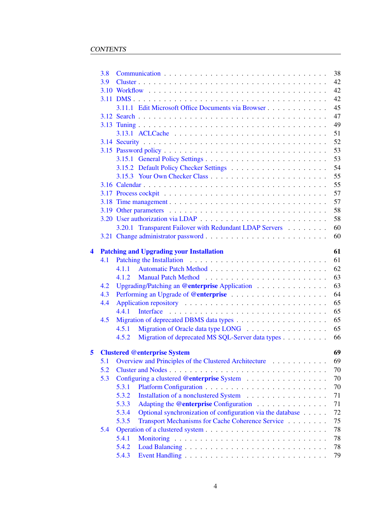|     | 3.8 | 38                                         |                                                            |    |
|-----|-----|--------------------------------------------|------------------------------------------------------------|----|
|     | 3.9 |                                            |                                                            | 42 |
|     |     |                                            |                                                            | 42 |
|     |     |                                            |                                                            | 42 |
|     |     |                                            | 3.11.1 Edit Microsoft Office Documents via Browser         | 45 |
|     |     |                                            |                                                            | 47 |
|     |     |                                            |                                                            | 49 |
|     |     |                                            |                                                            | 51 |
|     |     |                                            |                                                            | 52 |
|     |     |                                            |                                                            | 53 |
|     |     |                                            |                                                            | 53 |
|     |     |                                            |                                                            | 54 |
|     |     |                                            |                                                            | 55 |
|     |     |                                            |                                                            | 55 |
|     |     |                                            |                                                            | 57 |
|     |     |                                            |                                                            | 57 |
|     |     |                                            |                                                            | 58 |
|     |     |                                            |                                                            | 58 |
|     |     |                                            | 3.20.1 Transparent Failover with Redundant LDAP Servers    | 60 |
|     |     |                                            |                                                            | 60 |
|     |     |                                            |                                                            |    |
| 4   |     |                                            | <b>Patching and Upgrading your Installation</b>            | 61 |
|     | 4.1 |                                            |                                                            | 61 |
|     |     | 4.1.1                                      |                                                            | 62 |
|     |     | 4.1.2                                      |                                                            | 63 |
|     | 4.2 |                                            | Upgrading/Patching an @enterprise Application              | 63 |
|     | 4.3 |                                            |                                                            | 64 |
|     | 4.4 |                                            |                                                            | 65 |
|     |     | 4.4.1                                      |                                                            | 65 |
|     | 4.5 |                                            |                                                            | 65 |
|     |     | 4.5.1                                      |                                                            | 65 |
|     |     | 4.5.2                                      | Migration of deprecated MS SQL-Server data types           | 66 |
| 5   |     |                                            | <b>Clustered @enterprise System</b>                        | 69 |
|     | 5.1 |                                            | Overview and Principles of the Clustered Architecture      | 69 |
|     | 5.2 |                                            |                                                            | 70 |
| 5.3 |     | Configuring a clustered @enterprise System | 70                                                         |    |
|     |     | 5.3.1                                      |                                                            | 70 |
|     |     | 5.3.2                                      |                                                            | 71 |
|     |     | 5.3.3                                      | Adapting the @enterprise Configuration                     | 71 |
|     |     | 5.3.4                                      | Optional synchronization of configuration via the database | 72 |
|     |     | 5.3.5                                      | Transport Mechanisms for Cache Coherence Service           | 75 |
|     | 5.4 |                                            |                                                            | 78 |
|     |     | 5.4.1                                      |                                                            | 78 |
|     |     | 5.4.2                                      |                                                            | 78 |
|     |     | 5.4.3                                      |                                                            | 79 |
|     |     |                                            |                                                            |    |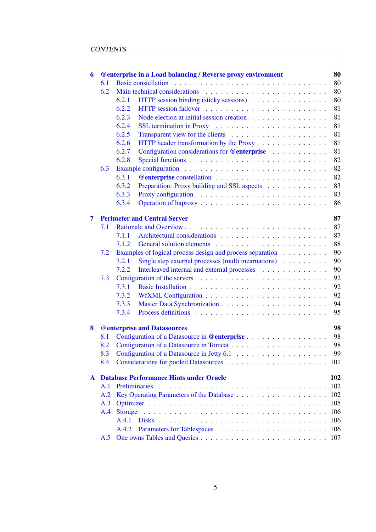| 6            |     | <b>@enterprise in a Load balancing / Reverse proxy environment</b> | 80  |
|--------------|-----|--------------------------------------------------------------------|-----|
|              | 6.1 |                                                                    | 80  |
|              | 6.2 |                                                                    | 80  |
|              |     | HTTP session binding (sticky sessions)<br>6.2.1                    | 80  |
|              |     | 6.2.2                                                              | 81  |
|              |     | Node election at initial session creation<br>6.2.3                 | 81  |
|              |     | 6.2.4                                                              | 81  |
|              |     | 6.2.5                                                              | 81  |
|              |     | 6.2.6<br>HTTP header transformation by the Proxy                   | 81  |
|              |     | 6.2.7<br>Configuration considerations for @enterprise              | 81  |
|              |     | 6.2.8                                                              | 82  |
|              | 6.3 |                                                                    | 82  |
|              |     | 6.3.1                                                              | 82  |
|              |     | 6.3.2<br>Preparation: Proxy building and SSL aspects               | 83  |
|              |     | 6.3.3                                                              | 83  |
|              |     | 6.3.4                                                              | 86  |
| 7            |     | <b>Perimeter and Central Server</b>                                | 87  |
|              | 7.1 |                                                                    | 87  |
|              |     | 7.1.1                                                              | 87  |
|              |     | 7.1.2                                                              | 88  |
|              | 7.2 | Examples of logical process design and process separation          | 90  |
|              |     | Single step external processes (multi incarnations)<br>7.2.1       | 90  |
|              |     | Interleaved internal and external processes<br>7.2.2               | 90  |
|              | 7.3 |                                                                    | 92  |
|              |     | 7.3.1                                                              | 92  |
|              |     | 7.3.2                                                              | 92  |
|              |     | 7.3.3                                                              | 94  |
|              |     | 7.3.4                                                              | 95  |
| 8            |     | <b>@enterprise and Datasources</b>                                 | 98  |
|              | 8.1 |                                                                    | 98  |
|              | 8.2 |                                                                    | 98  |
|              |     |                                                                    |     |
|              | 8.4 |                                                                    |     |
| $\mathbf{A}$ |     | <b>Database Performance Hints under Oracle</b>                     | 102 |
|              | A.1 | <b>Preliminaries</b>                                               | 102 |
|              | A.2 |                                                                    | 102 |
|              | A.3 |                                                                    | 105 |
|              | A.4 |                                                                    | 106 |
|              |     | A.4.1                                                              |     |
|              |     | A.4.2                                                              |     |
|              | A.5 |                                                                    |     |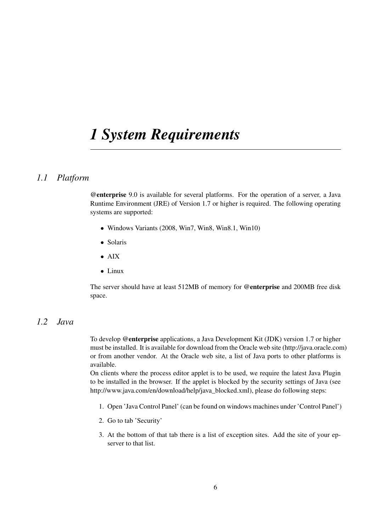## <span id="page-5-0"></span>*1 System Requirements*

## *1.1 Platform*

<span id="page-5-1"></span>@enterprise 9.0 is available for several platforms. For the operation of a server, a Java Runtime Environment (JRE) of Version 1.7 or higher is required. The following operating systems are supported:

- Windows Variants (2008, Win7, Win8, Win8.1, Win10)
- Solaris
- AIX
- Linux

The server should have at least 512MB of memory for @enterprise and 200MB free disk space.

## *1.2 Java*

<span id="page-5-2"></span>To develop @enterprise applications, a Java Development Kit (JDK) version 1.7 or higher must be installed. It is available for download from the Oracle web site (http://java.oracle.com) or from another vendor. At the Oracle web site, a list of Java ports to other platforms is available.

On clients where the process editor applet is to be used, we require the latest Java Plugin to be installed in the browser. If the applet is blocked by the security settings of Java (see http://www.java.com/en/download/help/java\_blocked.xml), please do following steps:

- 1. Open 'Java Control Panel' (can be found on windows machines under 'Control Panel')
- 2. Go to tab 'Security'
- 3. At the bottom of that tab there is a list of exception sites. Add the site of your epserver to that list.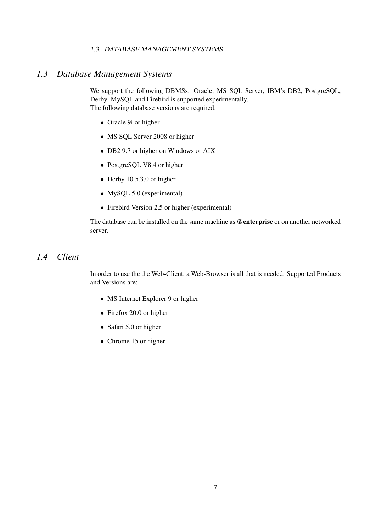#### 1.3. DATABASE MANAGEMENT SYSTEMS

## *1.3 Database Management Systems*

<span id="page-6-0"></span>We support the following DBMSs: Oracle, MS SQL Server, IBM's DB2, PostgreSQL, Derby. MySQL and Firebird is supported experimentally. The following database versions are required:

- Oracle 9i or higher
- MS SQL Server 2008 or higher
- DB2 9.7 or higher on Windows or AIX
- PostgreSQL V8.4 or higher
- Derby 10.5.3.0 or higher
- MySQL 5.0 (experimental)
- Firebird Version 2.5 or higher (experimental)

The database can be installed on the same machine as @enterprise or on another networked server.

## *1.4 Client*

<span id="page-6-1"></span>In order to use the the Web-Client, a Web-Browser is all that is needed. Supported Products and Versions are:

- MS Internet Explorer 9 or higher
- Firefox 20.0 or higher
- Safari 5.0 or higher
- Chrome 15 or higher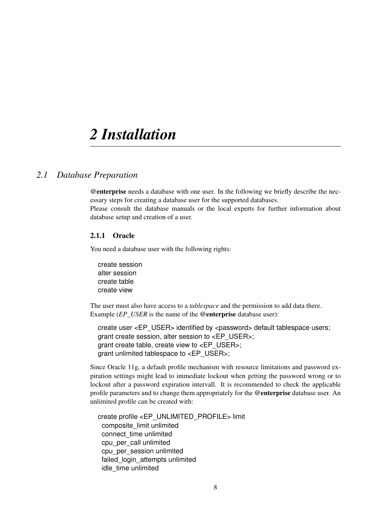## <span id="page-7-0"></span>*2 Installation*

## *2.1 Database Preparation*

<span id="page-7-1"></span>@enterprise needs a database with one user. In the following we briefly describe the necessary steps for creating a database user for the supported databases.

Please consult the database manuals or the local experts for further information about database setup and creation of a user.

#### <span id="page-7-2"></span>2.1.1 Oracle

You need a database user with the following rights:

create session alter session create table create view

The user must also have access to a *tablespace* and the permission to add data there. Example (*EP\_USER* is the name of the @enterprise database user):

create user <EP\_USER> identified by <password> default tablespace users; grant create session, alter session to <EP\_USER>; grant create table, create view to <EP\_USER>; grant unlimited tablespace to <EP\_USER>;

Since Oracle 11g, a default profile mechanism with resource limitations and password expiration settings might lead to immediate lockout when getting the password wrong or to lockout after a password expiration intervall. It is recommended to check the applicable profile parameters and to change them appropriately for the @enterprise database user. An unlimited profile can be created with:

create profile <EP\_UNLIMITED\_PROFILE> limit composite\_limit unlimited connect\_time unlimited cpu\_per\_call unlimited cpu\_per\_session unlimited failed login attempts unlimited idle time unlimited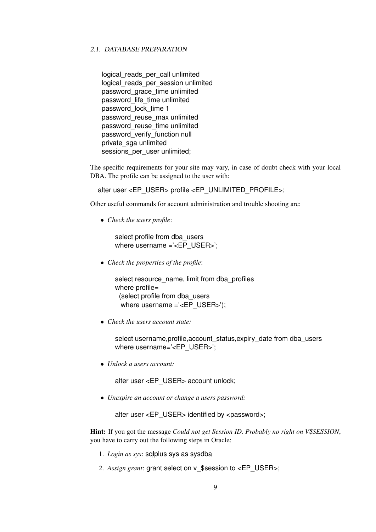logical reads per call unlimited logical reads per session unlimited password\_grace\_time unlimited password\_life\_time unlimited password\_lock\_time 1 password\_reuse\_max unlimited password\_reuse\_time unlimited password\_verify\_function null private\_sga unlimited sessions\_per\_user unlimited;

The specific requirements for your site may vary, in case of doubt check with your local DBA. The profile can be assigned to the user with:

alter user <EP\_USER> profile <EP\_UNLIMITED\_PROFILE>;

Other useful commands for account administration and trouble shooting are:

• *Check the users profile*:

select profile from dba\_users where username ='<EP\_USER>';

• *Check the properties of the profile*:

select resource\_name, limit from dba\_profiles where profile= (select profile from dba\_users where username ='<EP USER>');

• *Check the users account state:*

select username,profile,account\_status,expiry\_date from dba\_users where username='<EP\_USER>';

• *Unlock a users account:*

alter user <EP\_USER> account unlock;

• *Unexpire an account or change a users password:*

alter user <EP\_USER> identified by <password>;

Hint: If you got the message *Could not get Session ID. Probably no right on V\$SESSION*, you have to carry out the following steps in Oracle:

- 1. *Login as sys*: sqlplus sys as sysdba
- 2. Assign grant: grant select on v\_\$session to <EP\_USER>;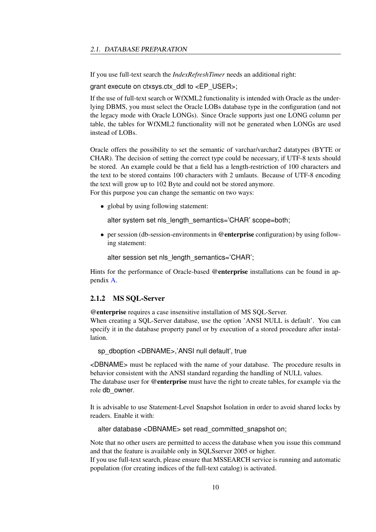If you use full-text search the *IndexRefreshTimer* needs an additional right:

grant execute on ctxsys.ctx\_ddl to <EP\_USER>;

If the use of full-text search or WfXML2 functionality is intended with Oracle as the underlying DBMS, you must select the Oracle LOBs database type in the configuration (and not the legacy mode with Oracle LONGs). Since Oracle supports just one LONG column per table, the tables for WfXML2 functionality will not be generated when LONGs are used instead of LOBs.

Oracle offers the possibility to set the semantic of varchar/varchar2 datatypes (BYTE or CHAR). The decision of setting the correct type could be necessary, if UTF-8 texts should be stored. An example could be that a field has a length-restriction of 100 characters and the text to be stored contains 100 characters with 2 umlauts. Because of UTF-8 encoding the text will grow up to 102 Byte and could not be stored anymore. For this purpose you can change the semantic on two ways:

• global by using following statement:

alter system set nls\_length\_semantics='CHAR' scope=both;

• per session (db-session-environments in @enterprise configuration) by using following statement:

alter session set nls\_length\_semantics='CHAR';

Hints for the performance of Oracle-based @enterprise installations can be found in appendix [A.](#page-101-0)

#### <span id="page-9-0"></span>2.1.2 MS SQL-Server

@enterprise requires a case insensitive installation of MS SQL-Server.

When creating a SQL-Server database, use the option 'ANSI NULL is default'. You can specify it in the database property panel or by execution of a stored procedure after installation.

sp\_dboption <DBNAME>,'ANSI null default', true

<DBNAME> must be replaced with the name of your database. The procedure results in behavior consistent with the ANSI standard regarding the handling of NULL values. The database user for **@enterprise** must have the right to create tables, for example via the role db\_owner.

It is advisable to use Statement-Level Snapshot Isolation in order to avoid shared locks by readers. Enable it with:

alter database <DBNAME> set read\_committed\_snapshot on;

Note that no other users are permitted to access the database when you issue this command and that the feature is available only in SQLSserver 2005 or higher.

If you use full-text search, please ensure that MSSEARCH service is running and automatic population (for creating indices of the full-text catalog) is activated.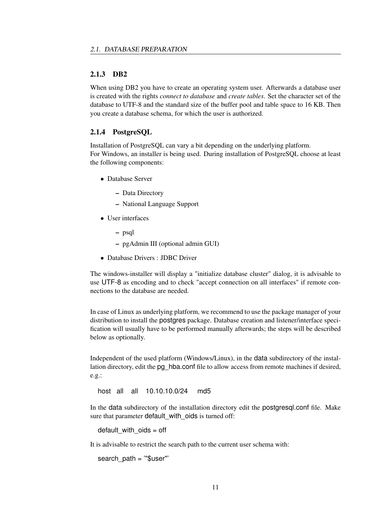#### <span id="page-10-0"></span>2.1.3 DB2

When using DB2 you have to create an operating system user. Afterwards a database user is created with the rights *connect to database* and *create tables*. Set the character set of the database to UTF-8 and the standard size of the buffer pool and table space to 16 KB. Then you create a database schema, for which the user is authorized.

#### <span id="page-10-1"></span>2.1.4 PostgreSQL

Installation of PostgreSQL can vary a bit depending on the underlying platform. For Windows, an installer is being used. During installation of PostgreSQL choose at least the following components:

- Database Server
	- Data Directory
	- National Language Support
- User interfaces
	- psql
	- pgAdmin III (optional admin GUI)
- Database Drivers : JDBC Driver

The windows-installer will display a "initialize database cluster" dialog, it is advisable to use UTF-8 as encoding and to check "accept connection on all interfaces" if remote connections to the database are needed.

In case of Linux as underlying platform, we recommend to use the package manager of your distribution to install the postgres package. Database creation and listener/interface specification will usually have to be performed manually afterwards; the steps will be described below as optionally.

Independent of the used platform (Windows/Linux), in the data subdirectory of the installation directory, edit the pg\_hba.conf file to allow access from remote machines if desired, e.g.:

host all all 10.10.10.0/24 md5

In the data subdirectory of the installation directory edit the postgresql.conf file. Make sure that parameter default with oids is turned off:

default with  $oids = off$ 

It is advisable to restrict the search path to the current user schema with:

search  $path = "\$user"$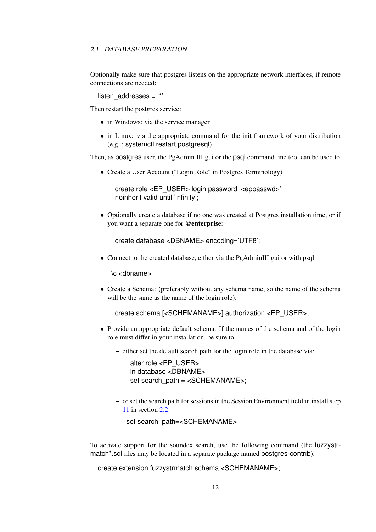Optionally make sure that postgres listens on the appropriate network interfaces, if remote connections are needed:

listen  $addresses = '*'$ 

Then restart the postgres service:

- in Windows: via the service manager
- in Linux: via the appropriate command for the init framework of your distribution (e.g..: systemctl restart postgresql)

Then, as postgres user, the PgAdmin III gui or the psql command line tool can be used to

• Create a User Account ("Login Role" in Postgres Terminology)

create role <EP\_USER> login password '<eppasswd>' noinherit valid until 'infinity';

• Optionally create a database if no one was created at Postgres installation time, or if you want a separate one for @enterprise:

```
create database <DBNAME> encoding='UTF8';
```
• Connect to the created database, either via the PgAdminIII gui or with psql:

\c <dbname>

• Create a Schema: (preferably without any schema name, so the name of the schema will be the same as the name of the login role):

create schema [<SCHEMANAME>] authorization <EP\_USER>;

- Provide an appropriate default schema: If the names of the schema and of the login role must differ in your installation, be sure to
	- either set the default search path for the login role in the database via:

alter role <EP\_USER> in database <DBNAME> set search\_path = <SCHEMANAME>;

– or set the search path for sessions in the Session Environment field in install step [11](#page-13-0) in section [2.2:](#page-12-1)

set search\_path=<SCHEMANAME>

To activate support for the soundex search, use the following command (the fuzzystrmatch\*.sql files may be located in a separate package named postgres-contrib).

create extension fuzzystrmatch schema <SCHEMANAME>;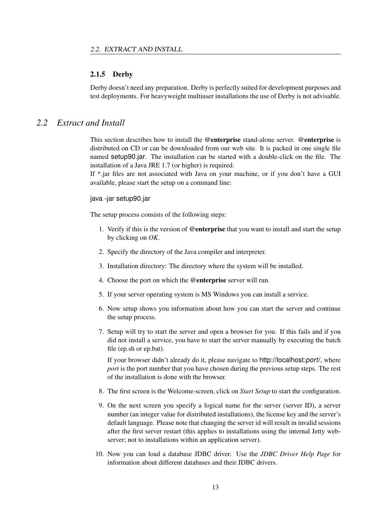#### <span id="page-12-0"></span>2.1.5 Derby

Derby doesn't need any preparation. Derby is perfectly suited for development purposes and test deployments. For heavyweight multiuser installations the use of Derby is not advisable.

## *2.2 Extract and Install*

<span id="page-12-1"></span>This section describes how to install the @enterprise stand-alone server. @enterprise is distributed on CD or can be downloaded from our web site. It is packed in one single file named setup90.jar. The installation can be started with a double-click on the file. The installation of a Java JRE 1.7 (or higher) is required.

If \*.jar files are not associated with Java on your machine, or if you don't have a GUI available, please start the setup on a command line:

#### java -jar setup90.jar

The setup process consists of the following steps:

- 1. Verify if this is the version of @enterprise that you want to install and start the setup by clicking on *OK*.
- 2. Specify the directory of the Java compiler and interpreter.
- 3. Installation directory: The directory where the system will be installed.
- 4. Choose the port on which the @enterprise server will run.
- 5. If your server operating system is MS Windows you can install a service.
- 6. Now setup shows you information about how you can start the server and continue the setup process.
- 7. Setup will try to start the server and open a browser for you. If this fails and if you did not install a service, you have to start the server manually by executing the batch file (ep.sh or ep.bat).

If your browser didn't already do it, please navigate to http://localhost:*port*/, where *port* is the port number that you have chosen during the previous setup steps. The rest of the installation is done with the browser.

- <span id="page-12-2"></span>8. The first screen is the Welcome-screen, click on *Start Setup* to start the configuration.
- 9. On the next screen you specify a logical name for the server (server ID), a server number (an integer value for distributed installations), the license key and the server's default language. Please note that changing the server id will result in invalid sessions after the first server restart (this applies to installations using the internal Jetty webserver; not to installations within an application server).
- 10. Now you can load a database JDBC driver. Use the *JDBC Driver Help Page* for information about different databases and their JDBC drivers.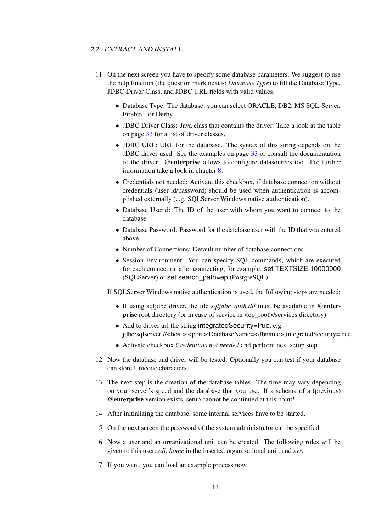- <span id="page-13-0"></span>11. On the next screen you have to specify some database parameters. We suggest to use the help function (the question mark next to *Database Type*) to fill the Database Type, JDBC Driver Class, and JDBC URL fields with valid values.
	- Database Type: The database; you can select ORACLE, DB2, MS SQL-Server, Firebird, or Derby.
	- JDBC Driver Class: Java class that contains the driver. Take a look at the table on page [33](#page-32-0) for a list of driver classes.
	- JDBC URL: URL for the database. The syntax of this string depends on the JDBC driver used. See the examples on page [33](#page-32-0) or consult the documentation of the driver. @enterprise allows to configure datasources too. For further information take a look in chapter [8.](#page-97-0)
	- Credentials not needed: Activate this checkbox, if database connection without credentials (user-id/password) should be used when authentication is accomplished externally (e.g. SQLServer Windows native authentication).
	- Database Userid: The ID of the user with whom you want to connect to the database.
	- Database Password: Password for the database user with the ID that you entered above.
	- Number of Connections: Default number of database connections.
	- Session Environment: You can specify SQL-commands, which are executed for each connection after connecting, for example: set TEXTSIZE 10000000 (SQLServer) or set search\_path=ep (PostgreSQL)

If SQLServer Windows native authentication is used, the following steps are needed:

- If using sqljdbc driver, the file *sqljdbc\_auth.dll* must be available in @enter**prise** root directory (or in case of service in  $\leq$  root>/services directory).
- Add to driver url the string integrated Security=true, e.g. jdbc:sqlserver://<host>:<port>;DatabaseName=<dbname>;integratedSecurity=true
- Activate checkbox *Credentials not needed* and perform next setup step.
- 12. Now the database and driver will be tested. Optionally you can test if your database can store Unicode characters.
- 13. The next step is the creation of the database tables. The time may vary depending on your server's speed and the database that you use. If a schema of a (previous) @enterprise version exists, setup cannot be continued at this point!
- 14. After initializing the database, some internal services have to be started.
- 15. On the next screen the password of the system administrator can be specified.
- 16. Now a user and an organizational unit can be created. The following roles will be given to this user: *all*, *home* in the inserted organizational unit, and *sys*.
- 17. If you want, you can load an example process now.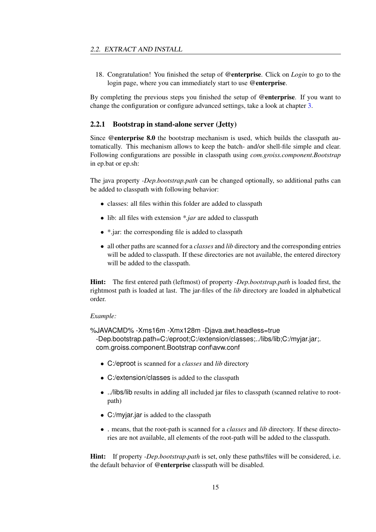18. Congratulation! You finished the setup of @enterprise. Click on *Login* to go to the login page, where you can immediately start to use @enterprise.

By completing the previous steps you finished the setup of @enterprise. If you want to change the configuration or configure advanced settings, take a look at chapter [3.](#page-22-0)

#### <span id="page-14-0"></span>2.2.1 Bootstrap in stand-alone server (Jetty)

Since @enterprise 8.0 the bootstrap mechanism is used, which builds the classpath automatically. This mechanism allows to keep the batch- and/or shell-file simple and clear. Following configurations are possible in classpath using *com.groiss.component.Bootstrap* in ep.bat or ep.sh:

The java property *-Dep.bootstrap.path* can be changed optionally, so additional paths can be added to classpath with following behavior:

- classes: all files within this folder are added to classpath
- lib: all files with extension *\*.jar* are added to classpath
- \*.jar: the corresponding file is added to classpath
- all other paths are scanned for a *classes* and *lib* directory and the corresponding entries will be added to classpath. If these directories are not available, the entered directory will be added to the classpath.

Hint: The first entered path (leftmost) of property *-Dep.bootstrap.path* is loaded first, the rightmost path is loaded at last. The jar-files of the *lib* directory are loaded in alphabetical order.

#### *Example:*

%JAVACMD% -Xms16m -Xmx128m -Djava.awt.headless=true -Dep.bootstrap.path=C:/eproot;C:/extension/classes;../libs/lib;C:/myjar.jar;. com.groiss.component.Bootstrap conf\avw.conf

- C:/eproot is scanned for a *classes* and *lib* directory
- C:/extension/classes is added to the classpath
- ../libs/lib results in adding all included jar files to classpath (scanned relative to rootpath)
- C:/myjar.jar is added to the classpath
- . means, that the root-path is scanned for a *classes* and *lib* directory. If these directories are not available, all elements of the root-path will be added to the classpath.

Hint: If property *-Dep.bootstrap.path* is set, only these paths/files will be considered, i.e. the default behavior of @enterprise classpath will be disabled.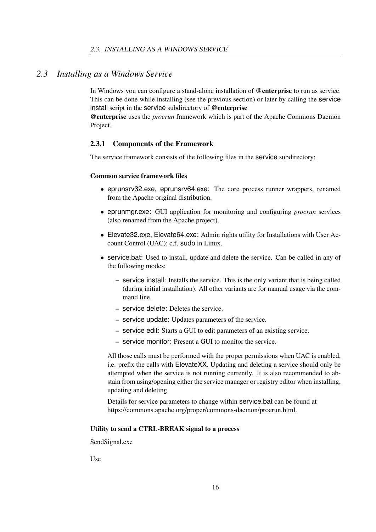## *2.3 Installing as a Windows Service*

<span id="page-15-0"></span>In Windows you can configure a stand-alone installation of @enterprise to run as service. This can be done while installing (see the previous section) or later by calling the service install script in the service subdirectory of @enterprise

@enterprise uses the *procrun* framework which is part of the Apache Commons Daemon Project.

#### <span id="page-15-1"></span>2.3.1 Components of the Framework

The service framework consists of the following files in the service subdirectory:

#### Common service framework files

- eprunsrv32.exe, eprunsrv64.exe: The core process runner wrappers, renamed from the Apache original distribution.
- eprunmgr.exe: GUI application for monitoring and configuring *procrun* services (also renamed from the Apache project).
- Elevate32.exe, Elevate64.exe: Admin rights utility for Installations with User Account Control (UAC); c.f. sudo in Linux.
- service.bat: Used to install, update and delete the service. Can be called in any of the following modes:
	- service install: Installs the service. This is the only variant that is being called (during initial installation). All other variants are for manual usage via the command line.
	- service delete: Deletes the service.
	- service update: Updates parameters of the service.
	- service edit: Starts a GUI to edit parameters of an existing service.
	- service monitor: Present a GUI to monitor the service.

All those calls must be performed with the proper permissions when UAC is enabled, i.e. prefix the calls with ElevateXX. Updating and deleting a service should only be attempted when the service is not running currently. It is also recommended to abstain from using/opening either the service manager or registry editor when installing, updating and deleting.

Details for service parameters to change within service.bat can be found at https://commons.apache.org/proper/commons-daemon/procrun.html.

#### Utility to send a CTRL-BREAK signal to a process

SendSignal.exe

Use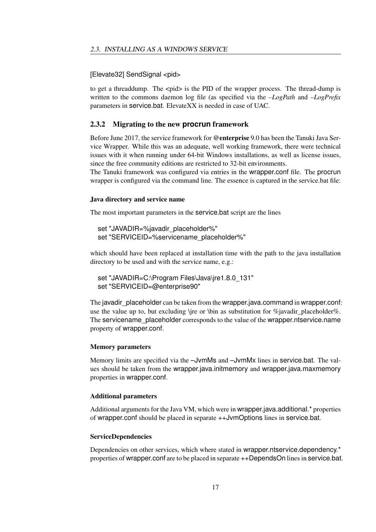#### [Elevate32] SendSignal <pid>

to get a threaddump. The <pid> is the PID of the wrapper process. The thread-dump is written to the commons daemon log file (as specified via the *–LogPath* and *–LogPrefix* parameters in service.bat. ElevateXX is needed in case of UAC.

#### <span id="page-16-0"></span>2.3.2 Migrating to the new **procrun** framework

Before June 2017, the service framework for @enterprise 9.0 has been the Tanuki Java Service Wrapper. While this was an adequate, well working framework, there were technical issues with it when running under 64-bit Windows installations, as well as license issues, since the free community editions are restricted to 32-bit environments.

The Tanuki framework was configured via entries in the wrapper.conf file. The procrun wrapper is configured via the command line. The essence is captured in the service.bat file:

#### Java directory and service name

The most important parameters in the service.bat script are the lines

```
set "JAVADIR=%javadir_placeholder%"
set "SERVICEID=%servicename_placeholder%"
```
which should have been replaced at installation time with the path to the java installation directory to be used and with the service name, e.g.:

```
set "JAVADIR=C:\Program Files\Java\jre1.8.0_131"
set "SERVICEID=@enterprise90"
```
The javadir placeholder can be taken from the wrapper.java.command in wrapper.conf: use the value up to, but excluding \jre or \bin as substitution for %javadir\_placeholder%. The servicename placeholder corresponds to the value of the wrapper.ntservice.name property of wrapper.conf.

#### Memory parameters

Memory limits are specified via the –JvmMs and –JvmMx lines in service.bat. The values should be taken from the wrapper.java.initmemory and wrapper.java.maxmemory properties in wrapper.conf.

#### Additional parameters

Additional arguments for the Java VM, which were in wrapper.java.additional.\* properties of wrapper.conf should be placed in separate ++JvmOptions lines in service.bat.

#### ServiceDependencies

Dependencies on other services, which where stated in wrapper.ntservice.dependency.<sup>\*</sup> properties of wrapper.conf are to be placed in separate ++DependsOn lines in service.bat.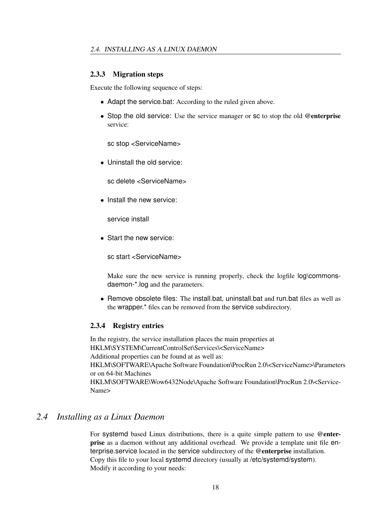#### <span id="page-17-0"></span>2.3.3 Migration steps

Execute the following sequence of steps:

- Adapt the service.bat: According to the ruled given above.
- Stop the old service: Use the service manager or sc to stop the old @enterprise service:

sc stop <ServiceName>

• Uninstall the old service:

sc delete <ServiceName>

• Install the new service:

service install

• Start the new service:

sc start <ServiceName>

Make sure the new service is running properly, check the logfile log\commonsdaemon-\*.log and the parameters.

• Remove obsolete files: The install.bat, uninstall.bat and run.bat files as well as the wrapper.\* files can be removed from the service subdirectory.

#### <span id="page-17-1"></span>2.3.4 Registry entries

In the registry, the service installation places the main properties at HKLM\SYSTEM\CurrentControlSet\Services\<ServiceName> Additional properties can be found at as well as: HKLM\SOFTWARE\Apache Software Foundation\ProcRun 2.0\<ServiceName>\Parameters or on 64-bit Machines HKLM\SOFTWARE\Wow6432Node\Apache Software Foundation\ProcRun 2.0\<Service-Name>

### *2.4 Installing as a Linux Daemon*

<span id="page-17-2"></span>For systemd based Linux distributions, there is a quite simple pattern to use @enterprise as a daemon without any additional overhead. We provide a template unit file enterprise.service located in the service subdirectory of the @enterprise installation. Copy this file to your local systemd directory (usually at /etc/systemd/system). Modify it according to your needs: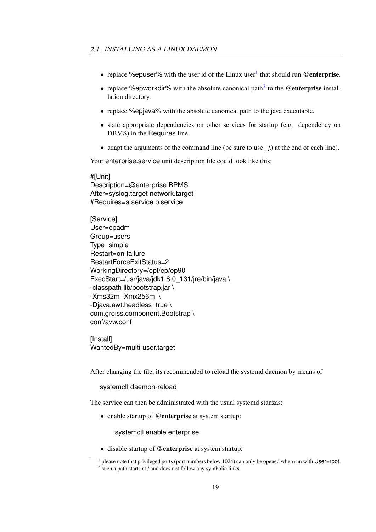- replace % epuser% with the user id of the Linux user<sup>[1](#page-18-0)</sup> that should run @enterprise.
- replace %epworkdir% with the absolute canonical path<sup>[2](#page-18-1)</sup> to the @enterprise installation directory.
- replace %epjava% with the absolute canonical path to the java executable.
- state appropriate dependencies on other services for startup (e.g. dependency on DBMS) in the Requires line.
- adapt the arguments of the command line (be sure to use  $\Box$ ) at the end of each line).

Your enterprise.service unit description file could look like this:

## #[Unit]

Description=@enterprise BPMS After=syslog.target network.target #Requires=a.service b.service

[Service] User=epadm Group=users Type=simple Restart=on-failure RestartForceExitStatus=2 WorkingDirectory=/opt/ep/ep90 ExecStart=/usr/java/jdk1.8.0\_131/jre/bin/java \ -classpath lib/bootstrap.jar \ -Xms32m -Xmx256m \ -Djava.awt.headless=true \ com.groiss.component.Bootstrap \ conf/avw.conf

[Install] WantedBy=multi-user.target

After changing the file, its recommended to reload the systemd daemon by means of

#### systemctl daemon-reload

The service can then be administrated with the usual systemd stanzas:

• enable startup of @enterprise at system startup:

systemctl enable enterprise

• disable startup of @enterprise at system startup:

<span id="page-18-0"></span><sup>&</sup>lt;sup>1</sup> please note that privileged ports (port numbers below 1024) can only be opened when run with User=root.

<span id="page-18-1"></span><sup>&</sup>lt;sup>2</sup> such a path starts at / and does not follow any symbolic links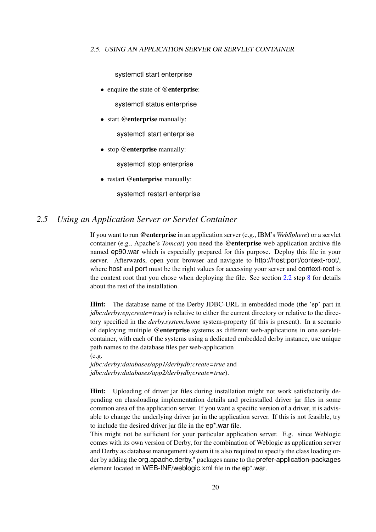systemctl start enterprise

- enquire the state of @enterprise: systemctl status enterprise
- start @enterprise manually:

systemctl start enterprise

• stop @enterprise manually:

systemctl stop enterprise

• restart @enterprise manually:

systemctl restart enterprise

## *2.5 Using an Application Server or Servlet Container*

<span id="page-19-0"></span>If you want to run @enterprise in an application server (e.g., IBM's *WebSphere*) or a servlet container (e.g., Apache's *Tomcat*) you need the @enterprise web application archive file named ep90.war which is especially prepared for this purpose. Deploy this file in your server. Afterwards, open your browser and navigate to http://host:port/context-root/, where host and port must be the right values for accessing your server and context-root is the context root that you chose when deploying the file. See section [2.2](#page-12-1) step [8](#page-12-2) for details about the rest of the installation.

Hint: The database name of the Derby JDBC-URL in embedded mode (the 'ep' part in *jdbc:derby:ep;create=true*) is relative to either the current directory or relative to the directory specified in the *derby.system.home* system-property (if this is present). In a scenario of deploying multiple @enterprise systems as different web-applications in one servletcontainer, with each of the systems using a dedicated embedded derby instance, use unique path names to the database files per web-application (e.g.

*jdbc:derby:databases/app1/derbydb;create=true* and *jdbc:derby:databases/app2/derbydb;create=true*).

Hint: Uploading of driver jar files during installation might not work satisfactorily depending on classloading implementation details and preinstalled driver jar files in some common area of the application server. If you want a specific version of a driver, it is advisable to change the underlying driver jar in the application server. If this is not feasible, try to include the desired driver jar file in the ep\*.war file.

This might not be sufficient for your particular application server. E.g. since Weblogic comes with its own version of Derby, for the combination of Weblogic as application server and Derby as database management system it is also required to specify the class loading order by adding the org.apache.derby.\* packages name to the prefer-application-packages element located in WEB-INF/weblogic.xml file in the ep\*.war.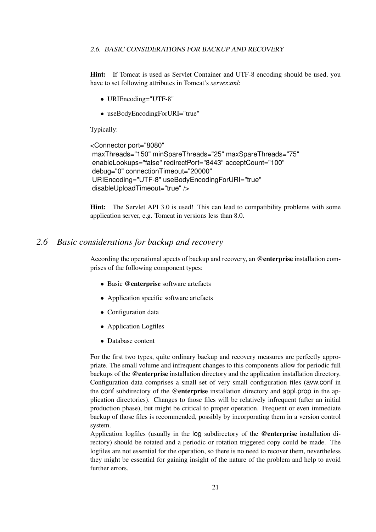Hint: If Tomcat is used as Servlet Container and UTF-8 encoding should be used, you have to set following attributes in Tomcat's *server.xml*:

- URIEncoding="UTF-8"
- useBodyEncodingForURI="true"

Typically:

```
<Connector port="8080"
maxThreads="150" minSpareThreads="25" maxSpareThreads="75"
enableLookups="false" redirectPort="8443" acceptCount="100"
debug="0" connectionTimeout="20000"
URIEncoding="UTF-8" useBodyEncodingForURI="true"
disableUploadTimeout="true" />
```
Hint: The Servlet API 3.0 is used! This can lead to compatibility problems with some application server, e.g. Tomcat in versions less than 8.0.

## *2.6 Basic considerations for backup and recovery*

<span id="page-20-0"></span>According the operational apects of backup and recovery, an @enterprise installation comprises of the following component types:

- Basic @enterprise software artefacts
- Application specific software artefacts
- Configuration data
- Application Logfiles
- Database content

For the first two types, quite ordinary backup and recovery measures are perfectly appropriate. The small volume and infrequent changes to this components allow for periodic full backups of the @enterprise installation directory and the application installation directory. Configuration data comprises a small set of very small configuration files (avw.conf in the conf subdirectory of the @enterprise installation directory and appl.prop in the application directories). Changes to those files will be relatively infrequent (after an initial production phase), but might be critical to proper operation. Frequent or even immediate backup of those files is recommended, possibly by incorporating them in a version control system.

Application logfiles (usually in the log subdirectory of the @enterprise installation directory) should be rotated and a periodic or rotation triggered copy could be made. The logfiles are not essential for the operation, so there is no need to recover them, nevertheless they might be essential for gaining insight of the nature of the problem and help to avoid further errors.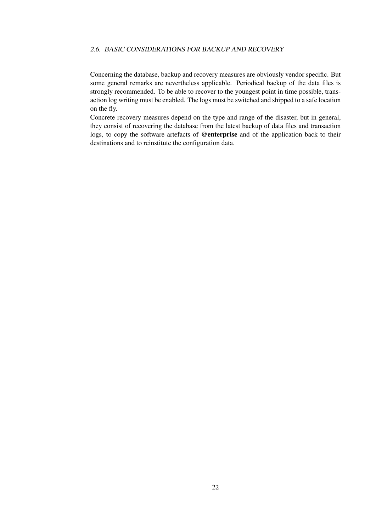Concerning the database, backup and recovery measures are obviously vendor specific. But some general remarks are nevertheless applicable. Periodical backup of the data files is strongly recommended. To be able to recover to the youngest point in time possible, transaction log writing must be enabled. The logs must be switched and shipped to a safe location on the fly.

Concrete recovery measures depend on the type and range of the disaster, but in general, they consist of recovering the database from the latest backup of data files and transaction logs, to copy the software artefacts of @enterprise and of the application back to their destinations and to reinstitute the configuration data.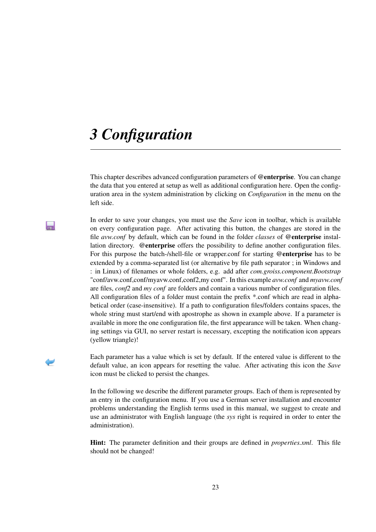## <span id="page-22-0"></span>*3 Configuration*

H

This chapter describes advanced configuration parameters of @enterprise. You can change the data that you entered at setup as well as additional configuration here. Open the configuration area in the system administration by clicking on *Configuration* in the menu on the left side.

In order to save your changes, you must use the *Save* icon in toolbar, which is available on every configuration page. After activating this button, the changes are stored in the file *avw.conf* by default, which can be found in the folder *classes* of @enterprise installation directory. @enterprise offers the possibility to define another configuration files. For this purpose the batch-/shell-file or wrapper.conf for starting @enterprise has to be extended by a comma-separated list (or alternative by file path separator ; in Windows and : in Linux) of filenames or whole folders, e.g. add after *com.groiss.component.Bootstrap* "conf/avw.conf,conf/myavw.conf,conf2,my conf". In this example *avw.conf* and *myavw.conf* are files, *conf2* and *my conf* are folders and contain a various number of configuration files. All configuration files of a folder must contain the prefix \*.conf which are read in alphabetical order (case-insensitive). If a path to configuration files/folders contains spaces, the whole string must start/end with apostrophe as shown in example above. If a parameter is available in more the one configuration file, the first appearance will be taken. When changing settings via GUI, no server restart is necessary, excepting the notification icon appears (yellow triangle)!

Each parameter has a value which is set by default. If the entered value is different to the default value, an icon appears for resetting the value. After activating this icon the *Save* icon must be clicked to persist the changes.

In the following we describe the different parameter groups. Each of them is represented by an entry in the configuration menu. If you use a German server installation and encounter problems understanding the English terms used in this manual, we suggest to create and use an administrator with English language (the *sys* right is required in order to enter the administration).

Hint: The parameter definition and their groups are defined in *properties.xml*. This file should not be changed!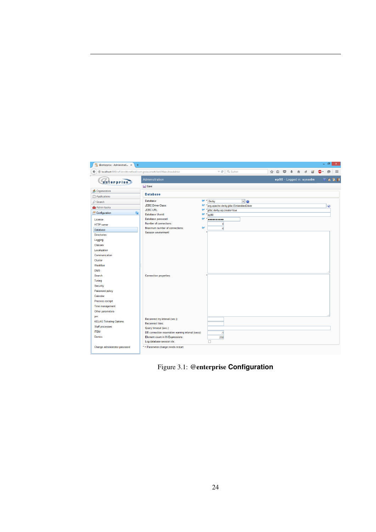

Figure 3.1: @enterprise **Configuration**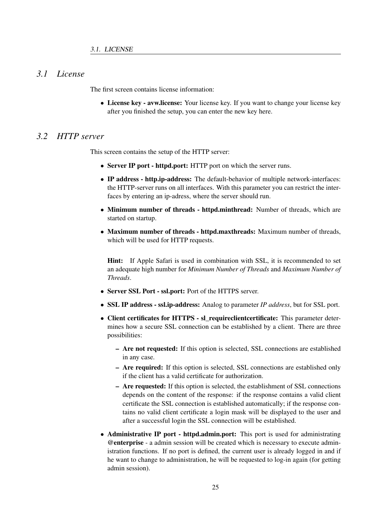## *3.1 License*

<span id="page-24-0"></span>The first screen contains license information:

• License key - avw.license: Your license key. If you want to change your license key after you finished the setup, you can enter the new key here.

## *3.2 HTTP server*

<span id="page-24-1"></span>This screen contains the setup of the HTTP server:

- Server IP port httpd.port: HTTP port on which the server runs.
- IP address http.ip-address: The default-behavior of multiple network-interfaces: the HTTP-server runs on all interfaces. With this parameter you can restrict the interfaces by entering an ip-adress, where the server should run.
- Minimum number of threads httpd.minthread: Number of threads, which are started on startup.
- Maximum number of threads httpd.maxthreads: Maximum number of threads, which will be used for HTTP requests.

Hint: If Apple Safari is used in combination with SSL, it is recommended to set an adequate high number for *Minimum Number of Threads* and *Maximum Number of Threads*.

- Server SSL Port ssl.port: Port of the HTTPS server.
- SSL IP address ssl.ip-address: Analog to parameter *IP address*, but for SSL port.
- Client certificates for HTTPS sl requireclientcertificate: This parameter determines how a secure SSL connection can be established by a client. There are three possibilities:
	- Are not requested: If this option is selected, SSL connections are established in any case.
	- Are required: If this option is selected, SSL connections are established only if the client has a valid certificate for authorization.
	- Are requested: If this option is selected, the establishment of SSL connections depends on the content of the response: if the response contains a valid client certificate the SSL connection is established automatically; if the response contains no valid client certificate a login mask will be displayed to the user and after a successful login the SSL connection will be established.
- Administrative IP port httpd.admin.port: This port is used for administrating @enterprise - a admin session will be created which is necessary to execute administration functions. If no port is defined, the current user is already logged in and if he want to change to administration, he will be requested to log-in again (for getting admin session).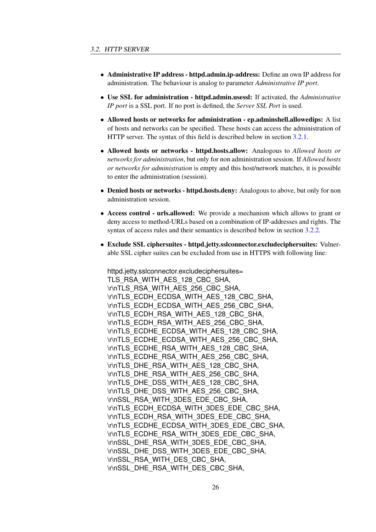- Administrative IP address httpd.admin.ip-address: Define an own IP address for administration. The behaviour is analog to parameter *Administrative IP port*.
- Use SSL for administration httpd.admin.usessl: If activated, the *Administrative IP port* is a SSL port. If no port is defined, the *Server SSL Port* is used.
- Allowed hosts or networks for administration ep.adminshell.allowedips: A list of hosts and networks can be specified. These hosts can access the administration of HTTP server. The syntax of this field is described below in section [3.2.1.](#page-27-0)
- Allowed hosts or networks httpd.hosts.allow: Analogous to *Allowed hosts or networks for administration*, but only for non administration session. If *Allowed hosts or networks for administration* is empty and this host/network matches, it is possible to enter the administration (session).
- Denied hosts or networks httpd.hosts.deny: Analogous to above, but only for non administration session.
- Access control urls.allowed: We provide a mechanism which allows to grant or deny access to method-URLs based on a combination of IP-addresses and rights. The syntax of access rules and their semantics is described below in section [3.2.2.](#page-27-1)
- Exclude SSL ciphersuites httpd.jetty.sslconnector.excludeciphersuites: Vulnerable SSL cipher suites can be excluded from use in HTTPS with following line:

httpd.jetty.sslconnector.excludeciphersuites= TLS\_RSA\_WITH\_AES\_128\_CBC\_SHA, \r\nTLS\_RSA\_WITH\_AES\_256\_CBC\_SHA, \r\nTLS\_ECDH\_ECDSA\_WITH\_AES\_128\_CBC\_SHA, \r\nTLS\_ECDH\_ECDSA\_WITH\_AES\_256\_CBC\_SHA, \r\nTLS\_ECDH\_RSA\_WITH\_AES\_128\_CBC\_SHA, \r\nTLS\_ECDH\_RSA\_WITH\_AES\_256\_CBC\_SHA, \r\nTLS\_ECDHE\_ECDSA\_WITH\_AES\_128\_CBC\_SHA, \r\nTLS\_ECDHE\_ECDSA\_WITH\_AES\_256\_CBC\_SHA, \r\nTLS\_ECDHE\_RSA\_WITH\_AES\_128\_CBC\_SHA, \r\nTLS\_ECDHE\_RSA\_WITH\_AES\_256\_CBC\_SHA, \r\nTLS\_DHE\_RSA\_WITH\_AES\_128\_CBC\_SHA, \r\nTLS\_DHE\_RSA\_WITH\_AES\_256\_CBC\_SHA, \r\nTLS\_DHE\_DSS\_WITH\_AES\_128\_CBC\_SHA, \r\nTLS\_DHE\_DSS\_WITH\_AES\_256\_CBC\_SHA, \r\nSSL\_RSA\_WITH\_3DES\_EDE\_CBC\_SHA, \r\nTLS\_ECDH\_ECDSA\_WITH\_3DES\_EDE\_CBC\_SHA, \r\nTLS\_ECDH\_RSA\_WITH\_3DES\_EDE\_CBC\_SHA, \r\nTLS\_ECDHE\_ECDSA\_WITH\_3DES\_EDE\_CBC\_SHA, \r\nTLS\_ECDHE\_RSA\_WITH\_3DES\_EDE\_CBC\_SHA, \r\nSSL\_DHE\_RSA\_WITH\_3DES\_EDE\_CBC\_SHA, \r\nSSL\_DHE\_DSS\_WITH\_3DES\_EDE\_CBC\_SHA, \r\nSSL\_RSA\_WITH\_DES\_CBC\_SHA, \r\nSSL\_DHE\_RSA\_WITH\_DES\_CBC\_SHA,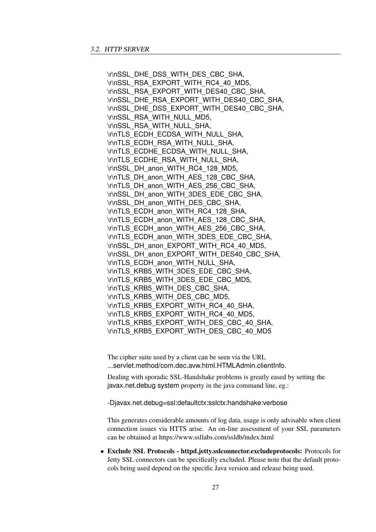\r\nSSL\_DHE\_DSS\_WITH\_DES\_CBC\_SHA, \r\nSSL\_RSA\_EXPORT\_WITH\_RC4\_40\_MD5, \r\nSSL\_RSA\_EXPORT\_WITH\_DES40\_CBC\_SHA, \r\nSSL\_DHE\_RSA\_EXPORT\_WITH\_DES40\_CBC\_SHA, \r\nSSL\_DHE\_DSS\_EXPORT\_WITH\_DES40\_CBC\_SHA, \r\nSSL\_RSA\_WITH\_NULL\_MD5, \r\nSSL\_RSA\_WITH\_NULL\_SHA, \r\nTLS\_ECDH\_ECDSA\_WITH\_NULL\_SHA, \r\nTLS\_ECDH\_RSA\_WITH\_NULL\_SHA, \r\nTLS\_ECDHE\_ECDSA\_WITH\_NULL\_SHA, \r\nTLS\_ECDHE\_RSA\_WITH\_NULL\_SHA, \r\nSSL\_DH\_anon\_WITH\_RC4\_128\_MD5, \r\nTLS\_DH\_anon\_WITH\_AES\_128\_CBC\_SHA, \r\nTLS\_DH\_anon\_WITH\_AES\_256\_CBC\_SHA, \r\nSSL\_DH\_anon\_WITH\_3DES\_EDE\_CBC\_SHA, \r\nSSL\_DH\_anon\_WITH\_DES\_CBC\_SHA, \r\nTLS\_ECDH\_anon\_WITH\_RC4\_128\_SHA, \r\nTLS\_ECDH\_anon\_WITH\_AES\_128\_CBC\_SHA, \r\nTLS\_ECDH\_anon\_WITH\_AES\_256\_CBC\_SHA, \r\nTLS\_ECDH\_anon\_WITH\_3DES\_EDE\_CBC\_SHA, \r\nSSL\_DH\_anon\_EXPORT\_WITH\_RC4\_40\_MD5, \r\nSSL\_DH\_anon\_EXPORT\_WITH\_DES40\_CBC\_SHA, \r\nTLS\_ECDH\_anon\_WITH\_NULL\_SHA, \r\nTLS\_KRB5\_WITH\_3DES\_EDE\_CBC\_SHA, \r\nTLS\_KRB5\_WITH\_3DES\_EDE\_CBC\_MD5, \r\nTLS\_KRB5\_WITH\_DES\_CBC\_SHA, \r\nTLS\_KRB5\_WITH\_DES\_CBC\_MD5, \r\nTLS\_KRB5\_EXPORT\_WITH\_RC4\_40\_SHA, \r\nTLS\_KRB5\_EXPORT\_WITH\_RC4\_40\_MD5, \r\nTLS\_KRB5\_EXPORT\_WITH\_DES\_CBC\_40\_SHA, \r\nTLS\_KRB5\_EXPORT\_WITH\_DES\_CBC\_40\_MD5

The cipher suite used by a client can be seen via the URL ...servlet.method/com.dec.avw.html.HTMLAdmin.clientInfo.

Dealing with sporadic SSL-Handshake problems is greatly eased by setting the javax.net.debug system property in the java command line, eg.:

-Djavax.net.debug=ssl:defaultctx:sslctx:handshake:verbose

This generates considerable amounts of log data, usage is only advisable when client connection issues via HTTS arise. An on-line assessment of your SSL parameters can be obtained at https://www.ssllabs.com/ssldb/index.html

• Exclude SSL Protocols - httpd.jetty.sslconnector.excludeprotocols: Protocols for Jetty SSL connectors can be specifically excluded. Please note that the default protocols being used depend on the specific Java version and release being used.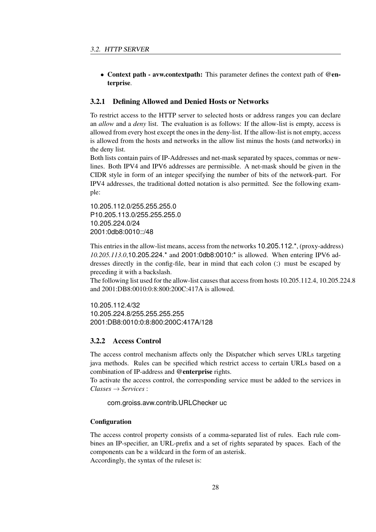• Context path - avw.contextpath: This parameter defines the context path of @enterprise.

#### <span id="page-27-0"></span>3.2.1 Defining Allowed and Denied Hosts or Networks

To restrict access to the HTTP server to selected hosts or address ranges you can declare an *allow* and a *deny* list. The evaluation is as follows: If the allow-list is empty, access is allowed from every host except the ones in the deny-list. If the allow-list is not empty, access is allowed from the hosts and networks in the allow list minus the hosts (and networks) in the deny list.

Both lists contain pairs of IP-Addresses and net-mask separated by spaces, commas or newlines. Both IPV4 and IPV6 addresses are permissible. A net-mask should be given in the CIDR style in form of an integer specifying the number of bits of the network-part. For IPV4 addresses, the traditional dotted notation is also permitted. See the following example:

10.205.112.0/255.255.255.0 P10.205.113.0/255.255.255.0 10.205.224.0/24 2001:0db8:0010::/48

This entries in the allow-list means, access from the networks 10.205.112.\*, (proxy-address) *10.205.113.0*,10.205.224.\* and 2001:0db8:0010:\* is allowed. When entering IPV6 addresses directly in the config-file, bear in mind that each colon (:) must be escaped by preceding it with a backslash.

The following list used for the allow-list causes that access from hosts 10.205.112.4, 10.205.224.8 and 2001:DB8:0010:0:8:800:200C:417A is allowed.

10.205.112.4/32 10.205.224.8/255.255.255.255 2001:DB8:0010:0:8:800:200C:417A/128

#### <span id="page-27-1"></span>3.2.2 Access Control

The access control mechanism affects only the Dispatcher which serves URLs targeting java methods. Rules can be specified which restrict access to certain URLs based on a combination of IP-address and @enterprise rights.

To activate the access control, the corresponding service must be added to the services in *Classes* → *Services* :

com.groiss.avw.contrib.URLChecker uc

#### **Configuration**

The access control property consists of a comma-separated list of rules. Each rule combines an IP-specifier, an URL-prefix and a set of rights separated by spaces. Each of the components can be a wildcard in the form of an asterisk. Accordingly, the syntax of the ruleset is: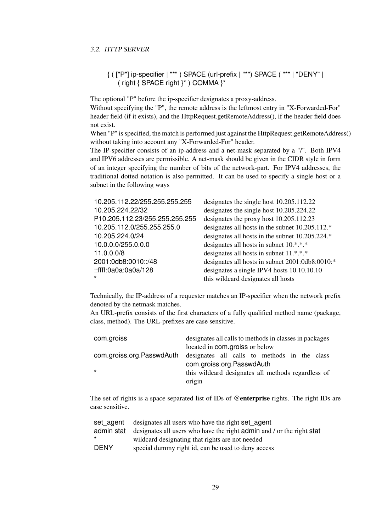{ ( ["P"] ip-specifier | "\*" ) SPACE (url-prefix | "\*") SPACE ( "\*" | "DENY" | ( right { SPACE right }\* ) COMMA }\*

The optional "P" before the ip-specifier designates a proxy-address.

Without specifying the "P", the remote address is the leftmost entry in "X-Forwarded-For" header field (if it exists), and the HttpRequest.getRemoteAddress(), if the header field does not exist.

When "P" is specified, the match is performed just against the HttpRequest.getRemoteAddress() without taking into account any "X-Forwarded-For" header.

The IP-specifier consists of an ip-address and a net-mask separated by a "/". Both IPV4 and IPV6 addresses are permissible. A net-mask should be given in the CIDR style in form of an integer specifying the number of bits of the network-part. For IPV4 addresses, the traditional dotted notation is also permitted. It can be used to specify a single host or a subnet in the following ways

| 10.205.112.22/255.255.255.255  | designates the single host 10.205.112.22        |
|--------------------------------|-------------------------------------------------|
| 10.205.224.22/32               | designates the single host 10.205.224.22        |
| P10.205.112.23/255.255.255.255 | designates the proxy host 10.205.112.23         |
| 10.205.112.0/255.255.255.0     | designates all hosts in the subnet 10.205.112.* |
| 10.205.224.0/24                | designates all hosts in the subnet 10.205.224.* |
| 10.0.0.0/255.0.0.0             | designates all hosts in subnet 10.*.*.*         |
| 11.0.0.0/8                     | designates all hosts in subnet 11.*.*.*         |
| 2001:0db8:0010::/48            | designates all hosts in subnet 2001:0db8:0010:* |
| ::ffff:0a0a:0a0a/128           | designates a single IPV4 hosts 10.10.10.10      |
| $\star$                        | this wildcard designates all hosts              |

Technically, the IP-address of a requester matches an IP-specifier when the network prefix denoted by the netmask matches.

An URL-prefix consists of the first characters of a fully qualified method name (package, class, method). The URL-prefixes are case sensitive.

| com.groiss                | designates all calls to methods in classes in packages |
|---------------------------|--------------------------------------------------------|
|                           | located in com.groiss or below                         |
| com.groiss.org.PasswdAuth | designates all calls to methods in the class           |
|                           | com.groiss.org.PasswdAuth                              |
| $\star$                   | this wildcard designates all methods regardless of     |
|                           | origin                                                 |

The set of rights is a space separated list of IDs of @enterprise rights. The right IDs are case sensitive.

|             | set agent designates all users who have the right set agent                      |
|-------------|----------------------------------------------------------------------------------|
|             | admin stat designates all users who have the right admin and / or the right stat |
| $\star$     | wildcard designating that rights are not needed                                  |
| <b>DENY</b> | special dummy right id, can be used to deny access                               |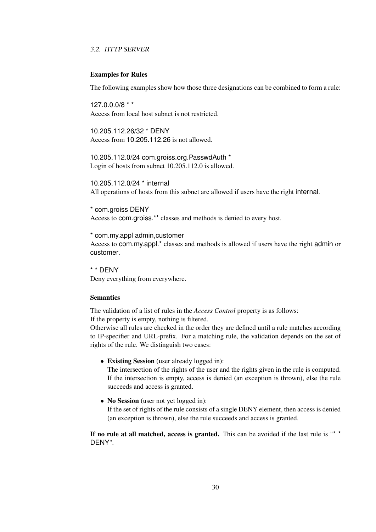#### Examples for Rules

The following examples show how those three designations can be combined to form a rule:

127.0.0.0/8 \* \* Access from local host subnet is not restricted.

10.205.112.26/32 \* DENY Access from 10.205.112.26 is not allowed.

10.205.112.0/24 com.groiss.org.PasswdAuth \* Login of hosts from subnet 10.205.112.0 is allowed.

10.205.112.0/24 \* internal All operations of hosts from this subnet are allowed if users have the right internal.

\* com.groiss DENY Access to com.groiss.\*\* classes and methods is denied to every host.

\* com.my.appl admin,customer Access to com.my.appl.\* classes and methods is allowed if users have the right admin or customer.

\* \* DENY Deny everything from everywhere.

#### Semantics

The validation of a list of rules in the *Access Control* property is as follows: If the property is empty, nothing is filtered.

Otherwise all rules are checked in the order they are defined until a rule matches according to IP-specifier and URL-prefix. For a matching rule, the validation depends on the set of rights of the rule. We distinguish two cases:

• Existing Session (user already logged in):

The intersection of the rights of the user and the rights given in the rule is computed. If the intersection is empty, access is denied (an exception is thrown), else the rule succeeds and access is granted.

• No Session (user not yet logged in):

If the set of rights of the rule consists of a single DENY element, then access is denied (an exception is thrown), else the rule succeeds and access is granted.

If no rule at all matched, access is granted. This can be avoided if the last rule is "\* \* DENY".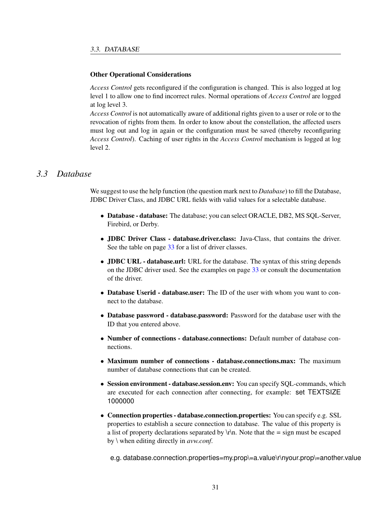#### Other Operational Considerations

*Access Control* gets reconfigured if the configuration is changed. This is also logged at log level 1 to allow one to find incorrect rules. Normal operations of *Access Control* are logged at log level 3.

*Access Control* is not automatically aware of additional rights given to a user or role or to the revocation of rights from them. In order to know about the constellation, the affected users must log out and log in again or the configuration must be saved (thereby reconfiguring *Access Control*). Caching of user rights in the *Access Control* mechanism is logged at log level 2.

### *3.3 Database*

<span id="page-30-0"></span>We suggest to use the help function (the question mark next to *Database*) to fill the Database, JDBC Driver Class, and JDBC URL fields with valid values for a selectable database.

- Database database: The database; you can select ORACLE, DB2, MS SQL-Server, Firebird, or Derby.
- JDBC Driver Class database.driver.class: Java-Class, that contains the driver. See the table on page [33](#page-32-0) for a list of driver classes.
- **JDBC URL** database.url: URL for the database. The syntax of this string depends on the JDBC driver used. See the examples on page [33](#page-32-0) or consult the documentation of the driver.
- Database Userid database.user: The ID of the user with whom you want to connect to the database.
- Database password database.password: Password for the database user with the ID that you entered above.
- Number of connections database.connections: Default number of database connections.
- Maximum number of connections database.connections.max: The maximum number of database connections that can be created.
- Session environment database.session.env: You can specify SOL-commands, which are executed for each connection after connecting, for example: set TEXTSIZE 1000000
- Connection properties database.connection.properties: You can specify e.g. SSL properties to establish a secure connection to database. The value of this property is a list of property declarations separated by  $\rm\ln$ . Note that the = sign must be escaped by \ when editing directly in *avw.conf*.

e.g. database.connection.properties=my.prop\=a.value\r\nyour.prop\=another.value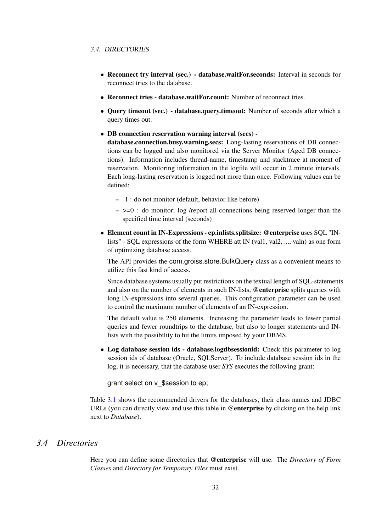- Reconnect try interval (sec.) database.waitFor.seconds: Interval in seconds for reconnect tries to the database.
- Reconnect tries database.waitFor.count: Number of reconnect tries.
- Query timeout (sec.) database.query.timeout: Number of seconds after which a query times out.
- DB connection reservation warning interval (secs) -

database.connection.busy.warning.secs: Long-lasting reservations of DB connections can be logged and also monitored via the Server Monitor (Aged DB connections). Information includes thread-name, timestamp and stacktrace at moment of reservation. Monitoring information in the logfile will occur in 2 minute intervals. Each long-lasting reservation is logged not more than once. Following values can be defined:

- -1 : do not monitor (default, behavior like before)
- $\epsilon$   $\ge$   $\ge$   $\epsilon$   $\ge$   $\epsilon$  of monitor; log /report all connections being reserved longer than the specified time interval (seconds)
- Element count in IN-Expressions ep.inlists.splitsize: @enterprise uses SQL "INlists" - SQL expressions of the form WHERE att IN (val1, val2, ..., valn) as one form of optimizing database access.

The API provides the com.groiss.store.BulkQuery class as a convenient means to utilize this fast kind of access.

Since database systems usually put restrictions on the textual length of SQL-statements and also on the number of elements in such IN-lists, @enterprise splits queries with long IN-expressions into several queries. This configuration parameter can be used to control the maximum number of elements of an IN-expression.

The default value is 250 elements. Increasing the parameter leads to fewer partial queries and fewer roundtrips to the database, but also to longer statements and INlists with the possibility to hit the limits imposed by your DBMS.

• Log database session ids - database.logdbsessionid: Check this parameter to log session ids of database (Oracle, SQLServer). To include database session ids in the log, it is necessary, that the database user *SYS* executes the following grant:

grant select on v\_\$session to ep;

Table [3.1](#page-32-0) shows the recommended drivers for the databases, their class names and JDBC URLs (you can directly view and use this table in @enterprise by clicking on the help link next to *Database*).

### *3.4 Directories*

<span id="page-31-0"></span>Here you can define some directories that @enterprise will use. The *Directory of Form Classes* and *Directory for Temporary Files* must exist.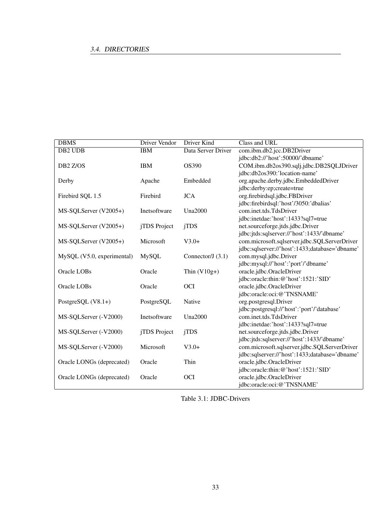## 3.4. DIRECTORIES

| <b>DBMS</b>                | <b>Driver Vendor</b> | <b>Driver Kind</b>  | Class and URL                                  |
|----------------------------|----------------------|---------------------|------------------------------------------------|
| DB <sub>2</sub> UDB        | <b>IBM</b>           | Data Server Driver  | com.ibm.db2.jcc.DB2Driver                      |
|                            |                      |                     | jdbc:db2://'host':50000/'dbname'               |
| DB <sub>2</sub> Z/OS       | <b>IBM</b>           | OS390               | COM.ibm.db2os390.sqlj.jdbc.DB2SQLJDriver       |
|                            |                      |                     | jdbc:db2os390:'location-name'                  |
| Derby                      | Apache               | Embedded            | org.apache.derby.jdbc.EmbeddedDriver           |
|                            |                      |                     | jdbc:derby:ep;create=true                      |
| Firebird SQL 1.5           | Firebird             | <b>JCA</b>          | org.firebirdsql.jdbc.FBDriver                  |
|                            |                      |                     | jdbc:firebirdsql:'host'/3050:'dbalias'         |
| MS-SQLServer (V2005+)      | Inetsoftware         | <b>Una2000</b>      | com.inet.tds.TdsDriver                         |
|                            |                      |                     | jdbc:inetdae:'host':1433?sql7=true             |
| MS-SQLServer (V2005+)      | jTDS Project         | jTDS                | net.sourceforge.jtds.jdbc.Driver               |
|                            |                      |                     | jdbc:jtds:sqlserver://'host':1433/'dbname'     |
| MS-SQLServer (V2005+)      | Microsoft            | $V3.0+$             | com.microsoft.sqlserver.jdbc.SQLServerDriver   |
|                            |                      |                     | jdbc:sqlserver://'host':1433;database='dbname' |
| MySQL (V5.0, experimental) | <b>MySQL</b>         | Connector/J $(3.1)$ | com.mysql.jdbc.Driver                          |
|                            |                      |                     | jdbc:mysql://'host':'port'/'dbname'            |
| Oracle LOBs                | Oracle               | Thin $(V10g+)$      | oracle.jdbc.OracleDriver                       |
|                            |                      |                     | jdbc:oracle:thin:@'host':1521:'SID'            |
| Oracle LOBs                | Oracle               | <b>OCI</b>          | oracle.jdbc.OracleDriver                       |
|                            |                      |                     | jdbc:oracle:oci:@'TNSNAME'                     |
| PostgreSQL (V8.1+)         | PostgreSQL           | Native              | org.postgresql.Driver                          |
|                            |                      |                     | jdbc:postgresql://'host':'port'/'database'     |
| MS-SQLServer (-V2000)      | Inetsoftware         | <b>Una2000</b>      | com.inet.tds.TdsDriver                         |
|                            |                      |                     | jdbc:inetdae:'host':1433?sql7=true             |
| MS-SQLServer (-V2000)      | jTDS Project         | jTDS                | net.sourceforge.jtds.jdbc.Driver               |
|                            |                      |                     | jdbc:jtds:sqlserver://'host':1433/'dbname'     |
| MS-SQLServer (-V2000)      | Microsoft            | $V3.0+$             | com.microsoft.sqlserver.jdbc.SQLServerDriver   |
|                            |                      |                     | jdbc:sqlserver://'host':1433;database='dbname' |
| Oracle LONGs (deprecated)  | Oracle               | Thin                | oracle.jdbc.OracleDriver                       |
|                            |                      |                     | jdbc:oracle:thin:@'host':1521:'SID'            |
| Oracle LONGs (deprecated)  | Oracle               | <b>OCI</b>          | oracle.jdbc.OracleDriver                       |
|                            |                      |                     | jdbc:oracle:oci:@'TNSNAME'                     |

<span id="page-32-0"></span>Table 3.1: JDBC-Drivers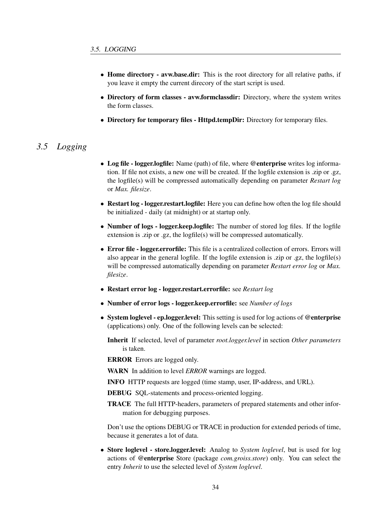- Home directory avw.base.dir: This is the root directory for all relative paths, if you leave it empty the current direcory of the start script is used.
- Directory of form classes avw.formclassdir: Directory, where the system writes the form classes.
- Directory for temporary files Httpd.tempDir: Directory for temporary files.

## *3.5 Logging*

- <span id="page-33-0"></span>• Log file - logger.logfile: Name (path) of file, where @enterprise writes log information. If file not exists, a new one will be created. If the logfile extension is .zip or .gz, the logfile(s) will be compressed automatically depending on parameter *Restart log* or *Max. filesize*.
- Restart log logger.restart.logfile: Here you can define how often the log file should be initialized - daily (at midnight) or at startup only.
- Number of logs logger.keep.logfile: The number of stored log files. If the logfile extension is .zip or .gz, the logfile(s) will be compressed automatically.
- Error file logger.errorfile: This file is a centralized collection of errors. Errors will also appear in the general logfile. If the logfile extension is .zip or .gz, the logfile(s) will be compressed automatically depending on parameter *Restart error log* or *Max. filesize*.
- Restart error log logger.restart.errorfile: see *Restart log*
- Number of error logs logger.keep.errorfile: see *Number of logs*
- System loglevel ep.logger.level: This setting is used for log actions of @enterprise (applications) only. One of the following levels can be selected:
	- Inherit If selected, level of parameter *root.logger.level* in section *Other parameters* is taken.

ERROR Errors are logged only.

WARN In addition to level *ERROR* warnings are logged.

- INFO HTTP requests are logged (time stamp, user, IP-address, and URL).
- DEBUG SQL-statements and process-oriented logging.
- TRACE The full HTTP-headers, parameters of prepared statements and other information for debugging purposes.

Don't use the options DEBUG or TRACE in production for extended periods of time, because it generates a lot of data.

• Store loglevel - store.logger.level: Analog to *System loglevel*, but is used for log actions of @enterprise Store (package *com.groiss.store*) only. You can select the entry *Inherit* to use the selected level of *System loglevel*.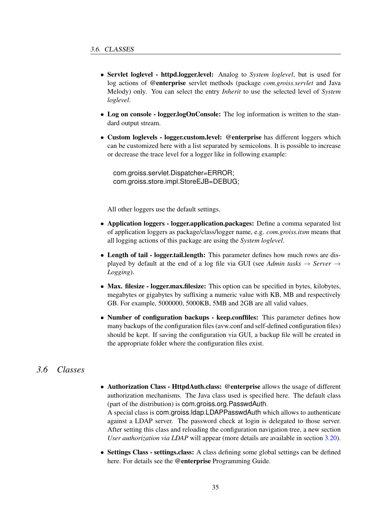- Servlet loglevel httpd.logger.level: Analog to *System loglevel*, but is used for log actions of @enterprise servlet methods (package *com.groiss.servlet* and Java Melody) only. You can select the entry *Inherit* to use the selected level of *System loglevel*.
- Log on console logger.logOnConsole: The log information is written to the standard output stream.
- Custom loglevels logger.custom.level: @enterprise has different loggers which can be customized here with a list separated by semicolons. It is possible to increase or decrease the trace level for a logger like in following example:

com.groiss.servlet.Dispatcher=ERROR; com.groiss.store.impl.StoreEJB=DEBUG;

All other loggers use the default settings.

- Application loggers logger.application.packages: Define a comma separated list of application loggers as package/class/logger name, e.g. *com.groiss.itsm* means that all logging actions of this package are using the *System loglevel*.
- Length of tail logger.tail.length: This parameter defines how much rows are displayed by default at the end of a log file via GUI (see *Admin tasks*  $\rightarrow$  *Server*  $\rightarrow$ *Logging*).
- Max. filesize logger.max.filesize: This option can be specified in bytes, kilobytes, megabytes or gigabytes by suffixing a numeric value with KB, MB and respectively GB. For example, 5000000, 5000KB, 5MB and 2GB are all valid values.
- Number of configuration backups keep.conffiles: This parameter defines how many backups of the configuration files (avw.conf and self-defined configuration files) should be kept. If saving the configuration via GUI, a backup file will be created in the appropriate folder where the configuration files exist.

## *3.6 Classes*

- <span id="page-34-0"></span>• Authorization Class - HttpdAuth.class: @enterprise allows the usage of different authorization mechanisms. The Java class used is specified here. The default class (part of the distribution) is com.groiss.org.PasswdAuth. A special class is com.groiss.ldap.LDAPPasswdAuth which allows to authenticate against a LDAP server. The password check at login is delegated to those server. After setting this class and reloading the configuration navigation tree, a new section *User authorization via LDAP* will appear (more details are available in section [3.20\)](#page-57-1).
- Settings Class settings.class: A class defining some global settings can be defined here. For details see the @enterprise Programming Guide.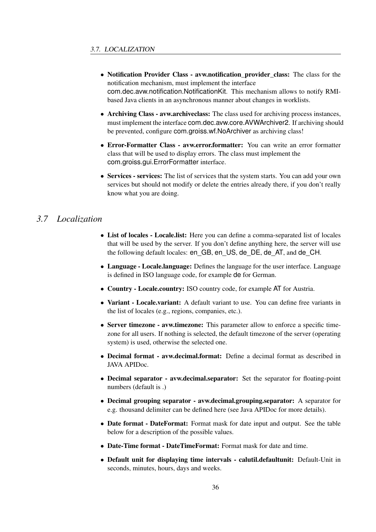- Notification Provider Class avw.notification provider class: The class for the notification mechanism, must implement the interface com.dec.avw.notification.NotificationKit. This mechanism allows to notify RMIbased Java clients in an asynchronous manner about changes in worklists.
- Archiving Class avw.archiveclass: The class used for archiving process instances, must implement the interface com.dec.avw.core.AVWArchiver2. If archiving should be prevented, configure com.groiss.wf.NoArchiver as archiving class!
- Error-Formatter Class avw.error.formatter: You can write an error formatter class that will be used to display errors. The class must implement the com.groiss.gui.ErrorFormatter interface.
- Services services: The list of services that the system starts. You can add your own services but should not modify or delete the entries already there, if you don't really know what you are doing.

## *3.7 Localization*

- <span id="page-35-0"></span>• List of locales - Locale.list: Here you can define a comma-separated list of locales that will be used by the server. If you don't define anything here, the server will use the following default locales: en\_GB, en\_US, de\_DE, de\_AT, and de\_CH.
- Language Locale.language: Defines the language for the user interface. Language is defined in ISO language code, for example de for German.
- Country Locale.country: ISO country code, for example AT for Austria.
- Variant Locale.variant: A default variant to use. You can define free variants in the list of locales (e.g., regions, companies, etc.).
- Server timezone avw.timezone: This parameter allow to enforce a specific timezone for all users. If nothing is selected, the default timezone of the server (operating system) is used, otherwise the selected one.
- Decimal format avw.decimal.format: Define a decimal format as described in JAVA APIDoc.
- Decimal separator avw.decimal.separator: Set the separator for floating-point numbers (default is .)
- Decimal grouping separator avw.decimal.grouping.separator: A separator for e.g. thousand delimiter can be defined here (see Java APIDoc for more details).
- Date format DateFormat: Format mask for date input and output. See the table below for a description of the possible values.
- Date-Time format DateTimeFormat: Format mask for date and time.
- Default unit for displaying time intervals calutil.defaultunit: Default-Unit in seconds, minutes, hours, days and weeks.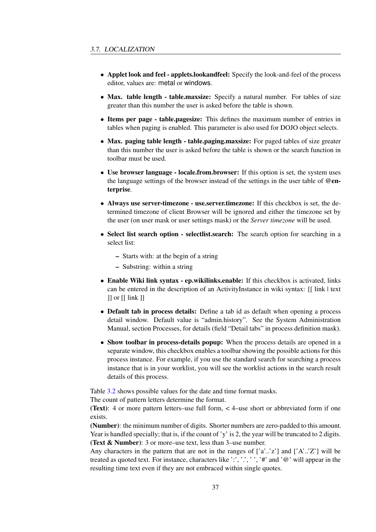- Applet look and feel applets.lookandfeel: Specify the look-and-feel of the process editor, values are: metal or windows.
- Max. table length table.maxsize: Specify a natural number. For tables of size greater than this number the user is asked before the table is shown.
- Items per page table.pagesize: This defines the maximum number of entries in tables when paging is enabled. This parameter is also used for DOJO object selects.
- Max. paging table length table.paging.maxsize: For paged tables of size greater than this number the user is asked before the table is shown or the search function in toolbar must be used.
- Use browser language locale.from.browser: If this option is set, the system uses the language settings of the browser instead of the settings in the user table of  $\omega_{en}$ terprise.
- Always use server-timezone use.server.timezone: If this checkbox is set, the determined timezone of client Browser will be ignored and either the timezone set by the user (on user mask or user settings mask) or the *Server timezone* will be used.
- Select list search option selectlist.search: The search option for searching in a select list:
	- Starts with: at the begin of a string
	- Substring: within a string
- Enable Wiki link syntax ep.wikilinks.enable: If this checkbox is activated, links can be entered in the description of an ActivityInstance in wiki syntax: [[ link | text  $\exists$  or  $\iota$  link  $\iota$
- Default tab in process details: Define a tab id as default when opening a process detail window. Default value is "admin.history". See the System Administration Manual, section Processes, for details (field "Detail tabs" in process definition mask).
- Show toolbar in process-details popup: When the process details are opened in a separate window, this checkbox enables a toolbar showing the possible actions for this process instance. For example, if you use the standard search for searching a process instance that is in your worklist, you will see the worklist actions in the search result details of this process.

Table [3.2](#page-37-0) shows possible values for the date and time format masks.

The count of pattern letters determine the format.

(Text): 4 or more pattern letters–use full form, < 4–use short or abbreviated form if one exists.

(Number): the minimum number of digits. Shorter numbers are zero-padded to this amount. Year is handled specially; that is, if the count of 'y' is 2, the year will be truncated to 2 digits. (Text & Number): 3 or more–use text, less than 3–use number.

Any characters in the pattern that are not in the ranges of  $[a^{\prime}..z^{\prime}]$  and  $[A^{\prime}..z^{\prime}]$  will be treated as quoted text. For instance, characters like  $\cdot$ ;  $\cdot$ ,  $\cdot$ ,  $\cdot$ ,  $\cdot$ ,  $\cdot$ ,  $\cdot$  and  $\cdot \omega$  will appear in the resulting time text even if they are not embraced within single quotes.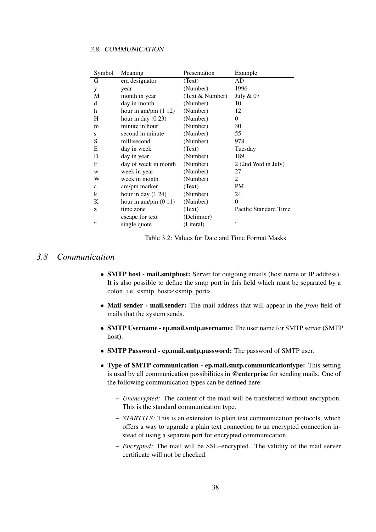| 3.8. COMMUNICATION |
|--------------------|
|                    |

| Symbol | Meaning                 | Presentation    | Example               |
|--------|-------------------------|-----------------|-----------------------|
| G      | era designator          | (Text)          | AD                    |
| У      | year                    | (Number)        | 1996                  |
| M      | month in year           | (Text & Number) | July & 07             |
| d      | day in month            | (Number)        | 10                    |
| h      | hour in am/pm $(1\ 12)$ | (Number)        | 12                    |
| Н      | hour in day $(0\ 23)$   | (Number)        | 0                     |
| m      | minute in hour          | (Number)        | 30                    |
| S      | second in minute        | (Number)        | 55                    |
| S      | millisecond             | (Number)        | 978                   |
| E      | day in week             | (Text)          | Tuesday               |
| D      | day in year             | (Number)        | 189                   |
| F      | day of week in month    | (Number)        | 2 (2nd Wed in July)   |
| W      | week in year            | (Number)        | 27                    |
| W      | week in month           | (Number)        | 2                     |
| a      | am/pm marker            | (Text)          | PM                    |
| k      | hour in day $(1\ 24)$   | (Number)        | 24                    |
| K      | hour in am/pm $(0 11)$  | (Number)        | $\Omega$              |
| Z      | time zone               | (Text)          | Pacific Standard Time |
| ,      | escape for text         | (Delimiter)     |                       |
| ,,     | single quote            | (Literal)       | ,                     |

<span id="page-37-0"></span>Table 3.2: Values for Date and Time Format Masks

### *3.8 Communication*

- **SMTP host mail.smtphost:** Server for outgoing emails (host name or IP address). It is also possible to define the smtp port in this field which must be separated by a colon, i.e.  $\langle \text{smtp host}\rangle$ : $\langle \text{smtp port}\rangle$ .
- Mail sender mail.sender: The mail address that will appear in the *from* field of mails that the system sends.
- SMTP Username ep.mail.smtp.username: The user name for SMTP server (SMTP host).
- SMTP Password ep.mail.smtp.password: The password of SMTP user.
- Type of SMTP communication ep.mail.smtp.communicationtype: This setting is used by all communication possibilities in @enterprise for sending mails. One of the following communication types can be defined here:
	- *Unencrypted:* The content of the mail will be transferred without encryption. This is the standard communication type.
	- *STARTTLS:* This is an extension to plain text communication protocols, which offers a way to upgrade a plain text connection to an encrypted connection instead of using a separate port for encrypted communication.
	- *Encrypted:* The mail will be SSL–encrypted. The validity of the mail server certificate will not be checked.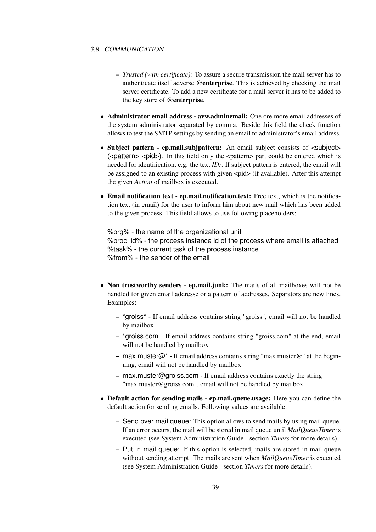- *Trusted (with certificate):* To assure a secure transmission the mail server has to authenticate itself adverse @enterprise. This is achieved by checking the mail server certificate. To add a new certificate for a mail server it has to be added to the key store of @enterprise.
- Administrator email address avw.adminemail: One ore more email addresses of the system administrator separated by comma. Beside this field the check function allows to test the SMTP settings by sending an email to administrator's email address.
- Subject pattern ep.mail.subjpattern: An email subject consists of  $\leq$ subject  $>$  $\epsilon$  (<pattern> <pid>). In this field only the <pattern> part could be entered which is needed for identification, e.g. the text *ID:*. If subject pattern is entered, the email will be assigned to an existing process with given  $\langle$ pid $\rangle$  (if available). After this attempt the given *Action* of mailbox is executed.
- Email notification text ep.mail.notification.text: Free text, which is the notification text (in email) for the user to inform him about new mail which has been added to the given process. This field allows to use following placeholders:

%org% - the name of the organizational unit %proc\_id% - the process instance id of the process where email is attached %task% - the current task of the process instance %from% - the sender of the email

- Non trustworthy senders ep.mail.junk: The mails of all mailboxes will not be handled for given email addresse or a pattern of addresses. Separators are new lines. Examples:
	- \*groiss\* If email address contains string "groiss", email will not be handled by mailbox
	- \*groiss.com If email address contains string "groiss.com" at the end, email will not be handled by mailbox
	- max.muster@\* If email address contains string "max.muster@" at the beginning, email will not be handled by mailbox
	- max.muster@groiss.com If email address contains exactly the string "max.muster@groiss.com", email will not be handled by mailbox
- Default action for sending mails ep.mail.queue.usage: Here you can define the default action for sending emails. Following values are available:
	- Send over mail queue: This option allows to send mails by using mail queue. If an error occurs, the mail will be stored in mail queue until *MailQueueTimer* is executed (see System Administration Guide - section *Timers* for more details).
	- Put in mail queue: If this option is selected, mails are stored in mail queue without sending attempt. The mails are sent when *MailQueueTimer* is executed (see System Administration Guide - section *Timers* for more details).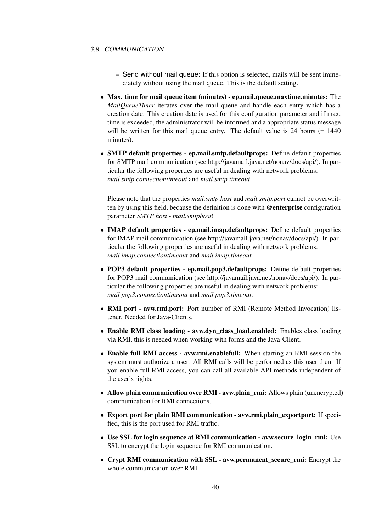- Send without mail queue: If this option is selected, mails will be sent immediately without using the mail queue. This is the default setting.
- Max. time for mail queue item (minutes) ep.mail.queue.maxtime.minutes: The *MailQueueTimer* iterates over the mail queue and handle each entry which has a creation date. This creation date is used for this configuration parameter and if max. time is exceeded, the administrator will be informed and a appropriate status message will be written for this mail queue entry. The default value is 24 hours (= 1440) minutes).
- SMTP default properties ep.mail.smtp.defaultprops: Define default properties for SMTP mail communication (see http://javamail.java.net/nonav/docs/api/). In particular the following properties are useful in dealing with network problems: *mail.smtp.connectiontimeout* and *mail.smtp.timeout*.

Please note that the properties *mail.smtp.host* and *mail.smtp.port* cannot be overwritten by using this field, because the definition is done with @enterprise configuration parameter *SMTP host - mail.smtphost*!

- **IMAP default properties ep.mail.imap.defaultprops:** Define default properties for IMAP mail communication (see http://javamail.java.net/nonav/docs/api/). In particular the following properties are useful in dealing with network problems: *mail.imap.connectiontimeout* and *mail.imap.timeout*.
- POP3 default properties ep.mail.pop3.defaultprops: Define default properties for POP3 mail communication (see http://javamail.java.net/nonav/docs/api/). In particular the following properties are useful in dealing with network problems: *mail.pop3.connectiontimeout* and *mail.pop3.timeout*.
- RMI port avw.rmi.port: Port number of RMI (Remote Method Invocation) listener. Needed for Java-Clients.
- Enable RMI class loading avw.dyn\_class\_load.enabled: Enables class loading via RMI, this is needed when working with forms and the Java-Client.
- Enable full RMI access avw.rmi.enablefull: When starting an RMI session the system must authorize a user. All RMI calls will be performed as this user then. If you enable full RMI access, you can call all available API methods independent of the user's rights.
- Allow plain communication over RMI avw.plain rmi: Allows plain (unencrypted) communication for RMI connections.
- Export port for plain RMI communication avw.rmi.plain\_exportport: If specified, this is the port used for RMI traffic.
- Use SSL for login sequence at RMI communication avw.secure\_login\_rmi: Use SSL to encrypt the login sequence for RMI communication.
- Crypt RMI communication with SSL avw.permanent secure rmi: Encrypt the whole communication over RMI.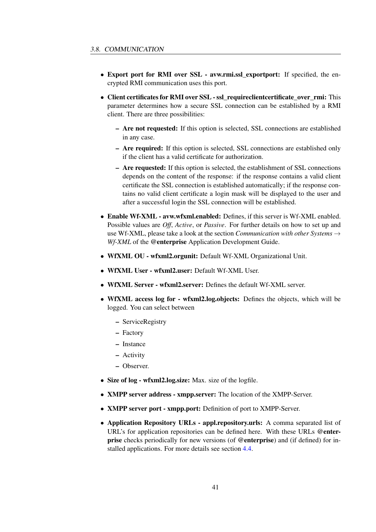- Export port for RMI over SSL avw.rmi.ssl exportport: If specified, the encrypted RMI communication uses this port.
- Client certificates for RMI over SSL ssl\_requireclientcertificate\_over\_rmi: This parameter determines how a secure SSL connection can be established by a RMI client. There are three possibilities:
	- Are not requested: If this option is selected, SSL connections are established in any case.
	- Are required: If this option is selected, SSL connections are established only if the client has a valid certificate for authorization.
	- Are requested: If this option is selected, the establishment of SSL connections depends on the content of the response: if the response contains a valid client certificate the SSL connection is established automatically; if the response contains no valid client certificate a login mask will be displayed to the user and after a successful login the SSL connection will be established.
- Enable Wf-XML avw.wfxml.enabled: Defines, if this server is Wf-XML enabled. Possible values are *Off*, *Active*, or *Passive*. For further details on how to set up and use Wf-XML, please take a look at the section *Communication with other Systems*  $\rightarrow$ *Wf-XML* of the @enterprise Application Development Guide.
- WfXML OU wfxml2.orgunit: Default Wf-XML Organizational Unit.
- WfXML User wfxml2.user: Default Wf-XML User.
- WfXML Server wfxml2.server: Defines the default Wf-XML server.
- WfXML access log for wfxml2.log.objects: Defines the objects, which will be logged. You can select between
	- ServiceRegistry
	- Factory
	- Instance
	- Activity
	- Observer.
- Size of log wfxml2.log.size: Max. size of the logfile.
- XMPP server address xmpp.server: The location of the XMPP-Server.
- **XMPP server port xmpp.port:** Definition of port to XMPP-Server.
- Application Repository URLs appl.repository.urls: A comma separated list of URL's for application repositories can be defined here. With these URLs @enterprise checks periodically for new versions (of @enterprise) and (if defined) for installed applications. For more details see section [4.4.](#page-64-0)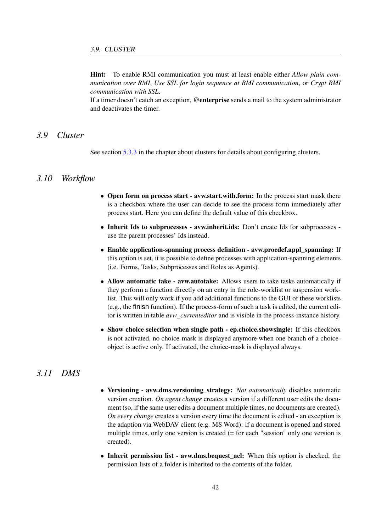Hint: To enable RMI communication you must at least enable either *Allow plain communication over RMI*, *Use SSL for login sequence at RMI communication*, or *Crypt RMI communication with SSL*.

If a timer doesn't catch an exception, @enterprise sends a mail to the system administrator and deactivates the timer.

## *3.9 Cluster*

See section [5.3.3](#page-70-0) in the chapter about clusters for details about configuring clusters.

# *3.10 Workflow*

- Open form on process start avw.start.with.form: In the process start mask there is a checkbox where the user can decide to see the process form immediately after process start. Here you can define the default value of this checkbox.
- Inherit Ids to subprocesses avw.inherit.ids: Don't create Ids for subprocesses use the parent processes' Ids instead.
- Enable application-spanning process definition avw.procdef.appl spanning: If this option is set, it is possible to define processes with application-spanning elements (i.e. Forms, Tasks, Subprocesses and Roles as Agents).
- Allow automatic take avw.autotake: Allows users to take tasks automatically if they perform a function directly on an entry in the role-worklist or suspension worklist. This will only work if you add additional functions to the GUI of these worklists (e.g., the finish function). If the process-form of such a task is edited, the current editor is written in table *avw\_currenteditor* and is visible in the process-instance history.
- Show choice selection when single path ep.choice.showsingle: If this checkbox is not activated, no choice-mask is displayed anymore when one branch of a choiceobject is active only. If activated, the choice-mask is displayed always.

# *3.11 DMS*

- <span id="page-41-0"></span>• Versioning - avw.dms.versioning\_strategy: *Not automatically* disables automatic version creation. *On agent change* creates a version if a different user edits the document (so, if the same user edits a document multiple times, no documents are created). *On every change* creates a version every time the document is edited - an exception is the adaption via WebDAV client (e.g. MS Word): if a document is opened and stored multiple times, only one version is created (= for each "session" only one version is created).
- Inherit permission list avw.dms.bequest\_acl: When this option is checked, the permission lists of a folder is inherited to the contents of the folder.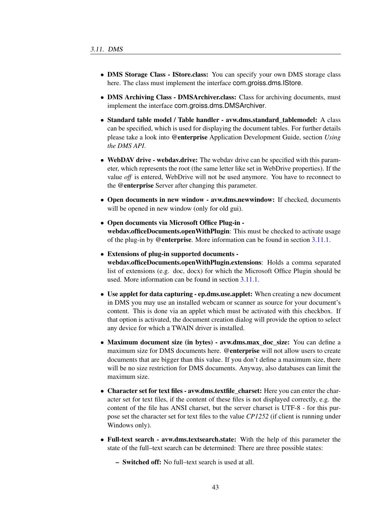- DMS Storage Class IStore.class: You can specify your own DMS storage class here. The class must implement the interface com.groiss.dms.IStore.
- DMS Archiving Class DMSArchiver.class: Class for archiving documents, must implement the interface com.groiss.dms.DMSArchiver.
- Standard table model / Table handler avw.dms.standard tablemodel: A class can be specified, which is used for displaying the document tables. For further details please take a look into @enterprise Application Development Guide, section *Using the DMS API*.
- WebDAV drive webdav.drive: The webdav drive can be specified with this parameter, which represents the root (the same letter like set in WebDrive properties). If the value *off* is entered, WebDrive will not be used anymore. You have to reconnect to the @enterprise Server after changing this parameter.
- Open documents in new window avw.dms.newwindow: If checked, documents will be opened in new window (only for old gui).
- Open documents via Microsoft Office Plug-in webdav.officeDocuments.openWithPlugin: This must be checked to activate usage of the plug-in by @enterprise. More information can be found in section [3.11.1.](#page-44-0)
- Extensions of plug-in supported documents webdav.officeDocuments.openWithPlugin.extensions: Holds a comma separated list of extensions (e.g. doc, docx) for which the Microsoft Office Plugin should be used. More information can be found in section [3.11.1.](#page-44-0)
- Use applet for data capturing ep.dms.use.applet: When creating a new document in DMS you may use an installed webcam or scanner as source for your document's content. This is done via an applet which must be activated with this checkbox. If that option is activated, the document creation dialog will provide the option to select any device for which a TWAIN driver is installed.
- Maximum document size (in bytes) avw.dms.max\_doc\_size: You can define a maximum size for DMS documents here. @enterprise will not allow users to create documents that are bigger than this value. If you don't define a maximum size, there will be no size restriction for DMS documents. Anyway, also databases can limit the maximum size.
- Character set for text files avw.dms.textfile charset: Here you can enter the character set for text files, if the content of these files is not displayed correctly, e.g. the content of the file has ANSI charset, but the server charset is UTF-8 - for this purpose set the character set for text files to the value *CP1252* (if client is running under Windows only).
- Full-text search avw.dms.textsearch.state: With the help of this parameter the state of the full–text search can be determined: There are three possible states:
	- Switched off: No full–text search is used at all.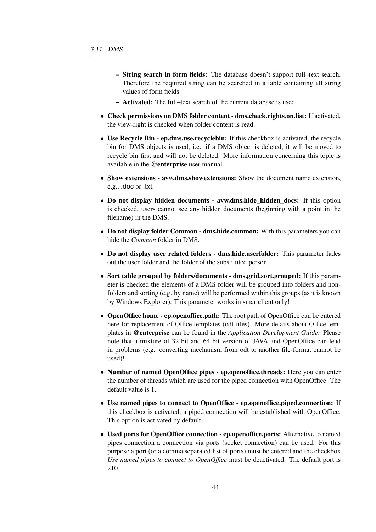- String search in form fields: The database doesn't support full–text search. Therefore the required string can be searched in a table containing all string values of form fields.
- Activated: The full–text search of the current database is used.
- Check permissions on DMS folder content dms.check.rights.on.list: If activated, the view-right is checked when folder content is read.
- Use Recycle Bin ep.dms.use.recyclebin: If this checkbox is activated, the recycle bin for DMS objects is used, i.e. if a DMS object is deleted, it will be moved to recycle bin first and will not be deleted. More information concerning this topic is available in the @enterprise user manual.
- Show extensions avw.dms.showextensions: Show the document name extension. e.g., .doc or .txt.
- Do not display hidden documents avw.dms.hide\_hidden\_docs: If this option is checked, users cannot see any hidden documents (beginning with a point in the filename) in the DMS.
- Do not display folder Common dms.hide.common: With this parameters you can hide the *Common* folder in DMS.
- Do not display user related folders dms.hide.userfolder: This parameter fades out the user folder and the folder of the substituted person
- Sort table grouped by folders/documents dms.grid.sort.grouped: If this parameter is checked the elements of a DMS folder will be grouped into folders and nonfolders and sorting (e.g. by name) will be performed within this groups (as it is known by Windows Explorer). This parameter works in smartclient only!
- OpenOffice home ep.openoffice.path: The root path of OpenOffice can be entered here for replacement of Office templates (odt-files). More details about Office templates in @enterprise can be found in the *Application Development Guide*. Please note that a mixture of 32-bit and 64-bit version of JAVA and OpenOffice can lead in problems (e.g. converting mechanism from odt to another file-format cannot be used)!
- Number of named OpenOffice pipes ep.openoffice.threads: Here you can enter the number of threads which are used for the piped connection with OpenOffice. The default value is 1.
- Use named pipes to connect to OpenOffice ep.openoffice.piped.connection: If this checkbox is activated, a piped connection will be established with OpenOffice. This option is activated by default.
- Used ports for OpenOffice connection ep.openoffice.ports: Alternative to named pipes connection a connection via ports (socket connection) can be used. For this purpose a port (or a comma separated list of ports) must be entered and the checkbox *Use named pipes to connect to OpenOffice* must be deactivated. The default port is 210.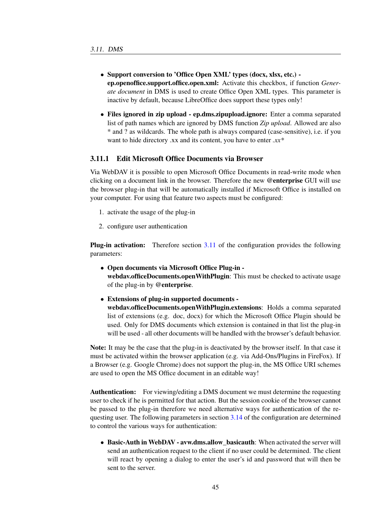- Support conversion to 'Office Open XML' types (docx, xlsx, etc.) ep.openoffice.support.office.open.xml: Activate this checkbox, if function *Generate document* in DMS is used to create Office Open XML types. This parameter is inactive by default, because LibreOffice does support these types only!
- Files ignored in zip upload ep.dms.zipupload.ignore: Enter a comma separated list of path names which are ignored by DMS function *Zip upload*. Allowed are also \* and ? as wildcards. The whole path is always compared (case-sensitive), i.e. if you want to hide directory .xx and its content, you have to enter *.xx\**

#### <span id="page-44-0"></span>3.11.1 Edit Microsoft Office Documents via Browser

Via WebDAV it is possible to open Microsoft Office Documents in read-write mode when clicking on a document link in the browser. Therefore the new @enterprise GUI will use the browser plug-in that will be automatically installed if Microsoft Office is installed on your computer. For using that feature two aspects must be configured:

- 1. activate the usage of the plug-in
- 2. configure user authentication

**Plug-in activation:** Therefore section [3.11](#page-41-0) of the configuration provides the following parameters:

- Open documents via Microsoft Office Plug-in webdav.officeDocuments.openWithPlugin: This must be checked to activate usage of the plug-in by @enterprise.
- Extensions of plug-in supported documents -

webdav.officeDocuments.openWithPlugin.extensions: Holds a comma separated list of extensions (e.g. doc, docx) for which the Microsoft Office Plugin should be used. Only for DMS documents which extension is contained in that list the plug-in will be used - all other documents will be handled with the browser's default behavior.

Note: It may be the case that the plug-in is deactivated by the browser itself. In that case it must be activated within the browser application (e.g. via Add-Ons/Plugins in FireFox). If a Browser (e.g. Google Chrome) does not support the plug-in, the MS Office URI schemes are used to open the MS Office document in an editable way!

Authentication: For viewing/editing a DMS document we must determine the requesting user to check if he is permitted for that action. But the session cookie of the browser cannot be passed to the plug-in therefore we need alternative ways for authentication of the requesting user. The following parameters in section [3.14](#page-51-0) of the configuration are determined to control the various ways for authentication:

• Basic-Auth in WebDAV - avw.dms.allow basicauth: When activated the server will send an authentication request to the client if no user could be determined. The client will react by opening a dialog to enter the user's id and password that will then be sent to the server.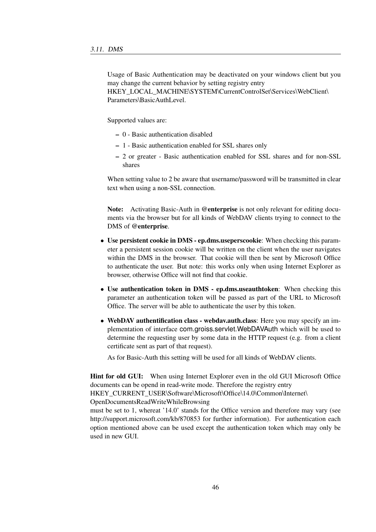Usage of Basic Authentication may be deactivated on your windows client but you may change the current behavior by setting registry entry HKEY\_LOCAL\_MACHINE\SYSTEM\CurrentControlSet\Services\WebClient\ Parameters\BasicAuthLevel.

Supported values are:

- 0 Basic authentication disabled
- 1 Basic authentication enabled for SSL shares only
- 2 or greater Basic authentication enabled for SSL shares and for non-SSL shares

When setting value to 2 be aware that username/password will be transmitted in clear text when using a non-SSL connection.

Note: Activating Basic-Auth in @enterprise is not only relevant for editing documents via the browser but for all kinds of WebDAV clients trying to connect to the DMS of @enterprise.

- Use persistent cookie in DMS ep.dms.useperscookie: When checking this parameter a persistent session cookie will be written on the client when the user navigates within the DMS in the browser. That cookie will then be sent by Microsoft Office to authenticate the user. But note: this works only when using Internet Explorer as browser, otherwise Office will not find that cookie.
- Use authentication token in DMS ep.dms.useauthtoken: When checking this parameter an authentication token will be passed as part of the URL to Microsoft Office. The server will be able to authenticate the user by this token.
- WebDAV authentification class webdav.auth.class: Here you may specify an implementation of interface com.groiss.servlet.WebDAVAuth which will be used to determine the requesting user by some data in the HTTP request (e.g. from a client certificate sent as part of that request).

As for Basic-Auth this setting will be used for all kinds of WebDAV clients.

Hint for old GUI: When using Internet Explorer even in the old GUI Microsoft Office documents can be opend in read-write mode. Therefore the registry entry HKEY\_CURRENT\_USER\Software\Microsoft\Office\14.0\Common\Internet\

OpenDocumentsReadWriteWhileBrowsing

must be set to 1, whereat '14.0' stands for the Office version and therefore may vary (see http://support.microsoft.com/kb/870853 for further information). For authentication each option mentioned above can be used except the authentication token which may only be used in new GUI.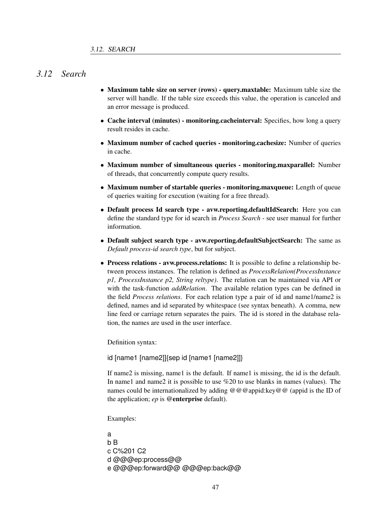# *3.12 Search*

- Maximum table size on server (rows) query.maxtable: Maximum table size the server will handle. If the table size exceeds this value, the operation is canceled and an error message is produced.
- Cache interval (minutes) monitoring.cacheinterval: Specifies, how long a query result resides in cache.
- Maximum number of cached queries monitoring.cachesize: Number of queries in cache.
- Maximum number of simultaneous queries monitoring.maxparallel: Number of threads, that concurrently compute query results.
- Maximum number of startable queries monitoring.maxqueue: Length of queue of queries waiting for execution (waiting for a free thread).
- Default process Id search type avw.reporting.defaultIdSearch: Here you can define the standard type for id search in *Process Search* - see user manual for further information.
- Default subject search type avw.reporting.defaultSubjectSearch: The same as *Default process-id search type*, but for subject.
- Process relations avw.process.relations: It is possible to define a relationship between process instances. The relation is defined as *ProcessRelation(ProcessInstance p1, ProcessInstance p2, String reltype)*. The relation can be maintained via API or with the task-function *addRelation*. The available relation types can be defined in the field *Process relations*. For each relation type a pair of id and name1/name2 is defined, names and id separated by whitespace (see syntax beneath). A comma, new line feed or carriage return separates the pairs. The id is stored in the database relation, the names are used in the user interface.

Definition syntax:

id [name1 [name2]]{sep id [name1 [name2]]}

If name2 is missing, name1 is the default. If name1 is missing, the id is the default. In name1 and name2 it is possible to use %20 to use blanks in names (values). The names could be internationalized by adding  $@@@appid:key@@$  (appid is the ID of the application; *ep* is @enterprise default).

Examples:

a b B c C%201 C2 d @@@ep:process@@ e @@@ep:forward@@ @@@ep:back@@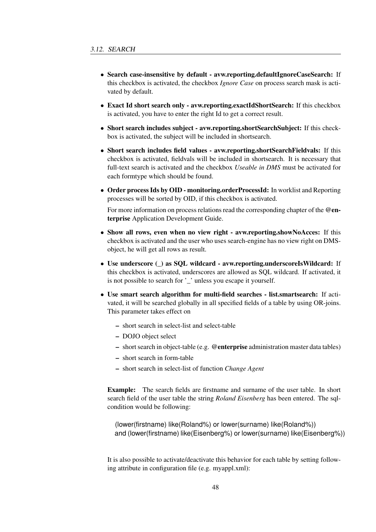- Search case-insensitive by default avw.reporting.defaultIgnoreCaseSearch: If this checkbox is activated, the checkbox *Ignore Case* on process search mask is activated by default.
- Exact Id short search only avw.reporting.exactIdShortSearch: If this checkbox is activated, you have to enter the right Id to get a correct result.
- Short search includes subject avw.reporting.shortSearchSubject: If this checkbox is activated, the subject will be included in shortsearch.
- Short search includes field values avw.reporting.shortSearchFieldvals: If this checkbox is activated, fieldvals will be included in shortsearch. It is necessary that full-text search is activated and the checkbox *Useable in DMS* must be activated for each formtype which should be found.
- Order process Ids by OID monitoring.orderProcessId: In worklist and Reporting processes will be sorted by OID, if this checkbox is activated.

For more information on process relations read the corresponding chapter of the @enterprise Application Development Guide.

- Show all rows, even when no view right avw.reporting.showNoAcces: If this checkbox is activated and the user who uses search-engine has no view right on DMSobject, he will get all rows as result.
- Use underscore (\_) as SQL wildcard avw.reporting.underscoreIsWildcard: If this checkbox is activated, underscores are allowed as SQL wildcard. If activated, it is not possible to search for '\_' unless you escape it yourself.
- Use smart search algorithm for multi-field searches list.smartsearch: If activated, it will be searched globally in all specified fields of a table by using OR-joins. This parameter takes effect on
	- short search in select-list and select-table
	- DOJO object select
	- short search in object-table (e.g. @enterprise administration master data tables)
	- short search in form-table
	- short search in select-list of function *Change Agent*

Example: The search fields are firstname and surname of the user table. In short search field of the user table the string *Roland Eisenberg* has been entered. The sqlcondition would be following:

(lower(firstname) like(Roland%) or lower(surname) like(Roland%)) and (lower(firstname) like(Eisenberg%) or lower(surname) like(Eisenberg%))

It is also possible to activate/deactivate this behavior for each table by setting following attribute in configuration file (e.g. myappl.xml):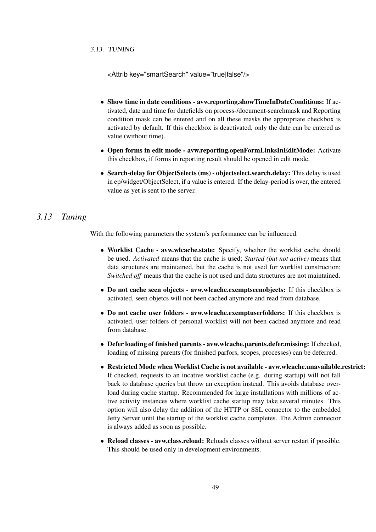<Attrib key="smartSearch" value="true|false"/>

- Show time in date conditions avw.reporting.showTimeInDateConditions: If activated, date and time for datefields on process-/document-searchmask and Reporting condition mask can be entered and on all these masks the appropriate checkbox is activated by default. If this checkbox is deactivated, only the date can be entered as value (without time).
- Open forms in edit mode avw.reporting.openFormLinksInEditMode: Activate this checkbox, if forms in reporting result should be opened in edit mode.
- Search-delay for Object Selects (ms) object select.search.delay: This delay is used in ep/widget/ObjectSelect, if a value is entered. If the delay-period is over, the entered value as yet is sent to the server.

# *3.13 Tuning*

With the following parameters the system's performance can be influenced.

- Worklist Cache avw.wlcache.state: Specify, whether the worklist cache should be used. *Activated* means that the cache is used; *Started (but not active)* means that data structures are maintained, but the cache is not used for worklist construction; *Switched off* means that the cache is not used and data structures are not maintained.
- Do not cache seen objects avw.wlcache.exemptseenobjects: If this checkbox is activated, seen objetcs will not been cached anymore and read from database.
- Do not cache user folders avw.wlcache.exemptuserfolders: If this checkbox is activated, user folders of personal worklist will not been cached anymore and read from database.
- Defer loading of finished parents avw.wlcache.parents.defer.missing: If checked, loading of missing parents (for finished parfors, scopes, processes) can be deferred.
- Restricted Mode when Worklist Cache is not available avw.wlcache.unavailable.restrict: If checked, requests to an incative worklist cache (e.g. during startup) will not fall back to database queries but throw an exception instead. This avoids database overload during cache startup. Recommended for large installations with millions of active activity instances where worklist cache startup may take several minutes. This option will also delay the addition of the HTTP or SSL connector to the embedded Jetty Server until the startup of the worklist cache completes. The Admin connector is always added as soon as possible.
- Reload classes avw.class.reload: Reloads classes without server restart if possible. This should be used only in development environments.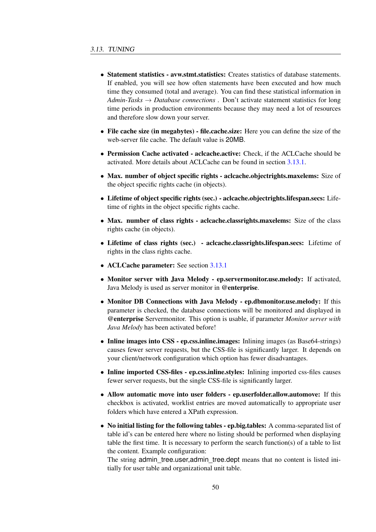- Statement statistics avw.stmt.statistics: Creates statistics of database statements. If enabled, you will see how often statements have been executed and how much time they consumed (total and average). You can find these statistical information in *Admin-Tasks* → *Database connections* . Don't activate statement statistics for long time periods in production environments because they may need a lot of resources and therefore slow down your server.
- File cache size (in megabytes) file.cache.size: Here you can define the size of the web-server file cache. The default value is 20MB.
- Permission Cache activated aclcache.active: Check, if the ACLCache should be activated. More details about ACLCache can be found in section [3.13.1.](#page-50-0)
- Max. number of object specific rights aclcache.objectrights.maxelems: Size of the object specific rights cache (in objects).
- Lifetime of object specific rights (sec.) aclcache.objectrights.lifespan.secs: Lifetime of rights in the object specific rights cache.
- Max. number of class rights aclcache.classrights.maxelems: Size of the class rights cache (in objects).
- Lifetime of class rights (sec.) aclcache.classrights.lifespan.secs: Lifetime of rights in the class rights cache.
- ACLCache parameter: See section [3.13.1](#page-50-0)
- Monitor server with Java Melody ep.servermonitor.use.melody: If activated, Java Melody is used as server monitor in @enterprise.
- Monitor DB Connections with Java Melody ep.dbmonitor.use.melody: If this parameter is checked, the database connections will be monitored and displayed in @enterprise Servermonitor. This option is usable, if parameter *Monitor server with Java Melody* has been activated before!
- Inline images into CSS ep.css.inline.images: Inlining images (as Base64-strings) causes fewer server requests, but the CSS-file is significantly larger. It depends on your client/network configuration which option has fewer disadvantages.
- Inline imported CSS-files ep.css.inline.styles: Inlining imported css-files causes fewer server requests, but the single CSS-file is significantly larger.
- Allow automatic move into user folders ep.userfolder.allow.automove: If this checkbox is activated, worklist entries are moved automatically to appropriate user folders which have entered a XPath expression.
- No initial listing for the following tables ep.big.tables: A comma-separated list of table id's can be entered here where no listing should be performed when displaying table the first time. It is necessary to perform the search function(s) of a table to list the content. Example configuration:

The string admin\_tree.user,admin\_tree.dept means that no content is listed initially for user table and organizational unit table.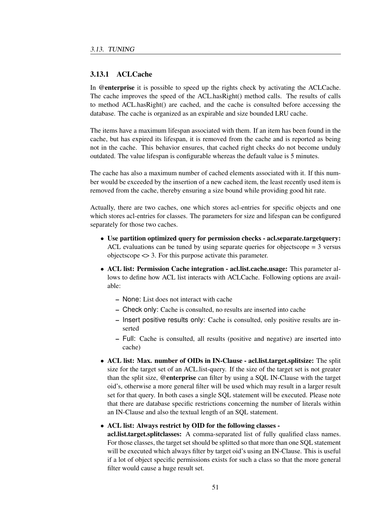#### <span id="page-50-0"></span>3.13.1 ACLCache

In @enterprise it is possible to speed up the rights check by activating the ACLCache. The cache improves the speed of the ACL.hasRight() method calls. The results of calls to method ACL.hasRight() are cached, and the cache is consulted before accessing the database. The cache is organized as an expirable and size bounded LRU cache.

The items have a maximum lifespan associated with them. If an item has been found in the cache, but has expired its lifespan, it is removed from the cache and is reported as being not in the cache. This behavior ensures, that cached right checks do not become unduly outdated. The value lifespan is configurable whereas the default value is 5 minutes.

The cache has also a maximum number of cached elements associated with it. If this number would be exceeded by the insertion of a new cached item, the least recently used item is removed from the cache, thereby ensuring a size bound while providing good hit rate.

Actually, there are two caches, one which stores acl-entries for specific objects and one which stores acl-entries for classes. The parameters for size and lifespan can be configured separately for those two caches.

- Use partition optimized query for permission checks acl.separate.targetquery: ACL evaluations can be tuned by using separate queries for objectscope = 3 versus objectscope <> 3. For this purpose activate this parameter.
- ACL list: Permission Cache integration acl.list.cache.usage: This parameter allows to define how ACL list interacts with ACLCache. Following options are available:
	- None: List does not interact with cache
	- Check only: Cache is consulted, no results are inserted into cache
	- Insert positive results only: Cache is consulted, only positive results are inserted
	- Full: Cache is consulted, all results (positive and negative) are inserted into cache)
- ACL list: Max. number of OIDs in IN-Clause acl.list.target.splitsize: The split size for the target set of an ACL.list-query. If the size of the target set is not greater than the split size, @enterprise can filter by using a SQL IN-Clause with the target oid's, otherwise a more general filter will be used which may result in a larger result set for that query. In both cases a single SQL statement will be executed. Please note that there are database specific restrictions concerning the number of literals within an IN-Clause and also the textual length of an SQL statement.

#### • ACL list: Always restrict by OID for the following classes -

acl.list.target.splitclasses: A comma-separated list of fully qualified class names. For those classes, the target set should be splitted so that more than one SQL statement will be executed which always filter by target oid's using an IN-Clause. This is useful if a lot of object specific permissions exists for such a class so that the more general filter would cause a huge result set.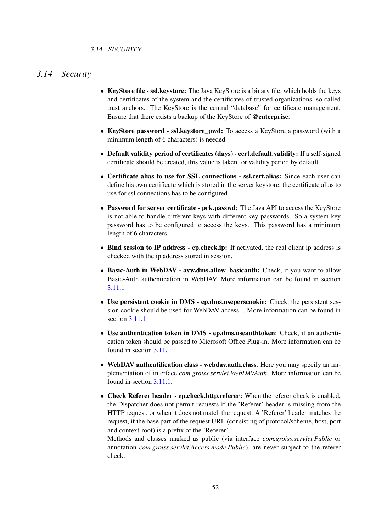# *3.14 Security*

- <span id="page-51-0"></span>• KeyStore file - ssl.keystore: The Java KeyStore is a binary file, which holds the keys and certificates of the system and the certificates of trusted organizations, so called trust anchors. The KeyStore is the central "database" for certificate management. Ensure that there exists a backup of the KeyStore of @enterprise.
- KeyStore password ssl.keystore pwd: To access a KeyStore a password (with a minimum length of 6 characters) is needed.
- Default validity period of certificates (days) cert.default.validity: If a self-signed certificate should be created, this value is taken for validity period by default.
- Certificate alias to use for SSL connections ssl.cert.alias: Since each user can define his own certificate which is stored in the server keystore, the certificate alias to use for ssl connections has to be configured.
- Password for server certificate prk.passwd: The Java API to access the KeyStore is not able to handle different keys with different key passwords. So a system key password has to be configured to access the keys. This password has a minimum length of 6 characters.
- Bind session to IP address ep.check.ip: If activated, the real client ip address is checked with the ip address stored in session.
- Basic-Auth in WebDAV avw.dms.allow\_basicauth: Check, if you want to allow Basic-Auth authentication in WebDAV. More information can be found in section [3.11.1](#page-44-0)
- Use persistent cookie in DMS ep.dms.useperscookie: Check, the persistent session cookie should be used for WebDAV access. . More information can be found in section [3.11.1](#page-44-0)
- Use authentication token in DMS ep.dms.useauthtoken: Check, if an authentication token should be passed to Microsoft Office Plug-in. More information can be found in section [3.11.1](#page-44-0)
- WebDAV authentification class webdav.auth.class: Here you may specify an implementation of interface *com.groiss.servlet.WebDAVAuth*. More information can be found in section [3.11.1.](#page-44-0)
- Check Referer header ep.check.http.referer: When the referer check is enabled, the Dispatcher does not permit requests if the 'Referer' header is missing from the HTTP request, or when it does not match the request. A 'Referer' header matches the request, if the base part of the request URL (consisting of protocol/scheme, host, port and context-root) is a prefix of the 'Referer'.

Methods and classes marked as public (via interface *com.groiss.servlet.Public* or annotation *com.groiss.servlet.Access.mode.Public*), are never subject to the referer check.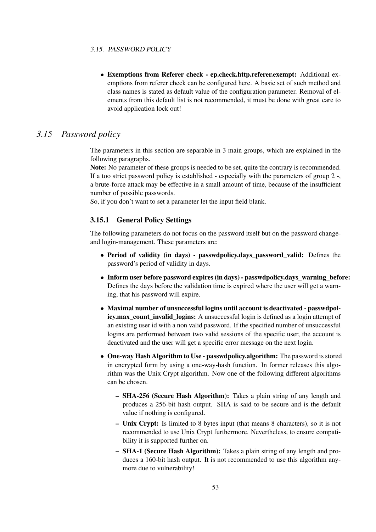• Exemptions from Referer check - ep.check.http.referer.exempt: Additional exemptions from referer check can be configured here. A basic set of such method and class names is stated as default value of the configuration parameter. Removal of elements from this default list is not recommended, it must be done with great care to avoid application lock out!

# *3.15 Password policy*

The parameters in this section are separable in 3 main groups, which are explained in the following paragraphs.

Note: No parameter of these groups is needed to be set, quite the contrary is recommended. If a too strict password policy is established - especially with the parameters of group 2 -, a brute-force attack may be effective in a small amount of time, because of the insufficient number of possible passwords.

So, if you don't want to set a parameter let the input field blank.

#### 3.15.1 General Policy Settings

The following parameters do not focus on the password itself but on the password changeand login-management. These parameters are:

- Period of validity (in days) passwdpolicy.days password valid: Defines the password's period of validity in days.
- Inform user before password expires (in days) passwdpolicy.days warning before: Defines the days before the validation time is expired where the user will get a warning, that his password will expire.
- Maximal number of unsuccessful logins until account is deactivated passwdpolicy.max count invalid logins: A unsuccessful login is defined as a login attempt of an existing user id with a non valid password. If the specified number of unsuccessful logins are performed between two valid sessions of the specific user, the account is deactivated and the user will get a specific error message on the next login.
- One-way Hash Algorithm to Use passwdpolicy.algorithm: The password is stored in encrypted form by using a one-way-hash function. In former releases this algorithm was the Unix Crypt algorithm. Now one of the following different algorithms can be chosen.
	- SHA-256 (Secure Hash Algorithm): Takes a plain string of any length and produces a 256-bit hash output. SHA is said to be secure and is the default value if nothing is configured.
	- Unix Crypt: Is limited to 8 bytes input (that means 8 characters), so it is not recommended to use Unix Crypt furthermore. Nevertheless, to ensure compatibility it is supported further on.
	- SHA-1 (Secure Hash Algorithm): Takes a plain string of any length and produces a 160-bit hash output. It is not recommended to use this algorithm anymore due to vulnerability!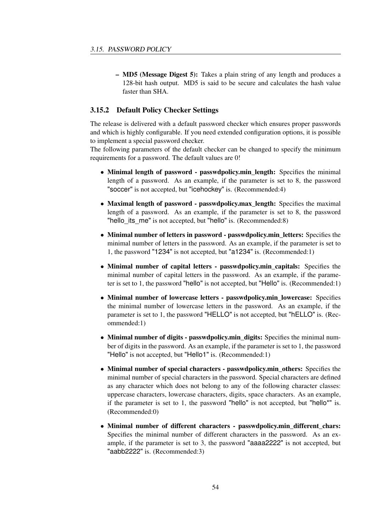– MD5 (Message Digest 5): Takes a plain string of any length and produces a 128-bit hash output. MD5 is said to be secure and calculates the hash value faster than SHA.

#### 3.15.2 Default Policy Checker Settings

The release is delivered with a default password checker which ensures proper passwords and which is highly configurable. If you need extended configuration options, it is possible to implement a special password checker.

The following parameters of the default checker can be changed to specify the minimum requirements for a password. The default values are 0!

- Minimal length of password passwdpolicy.min length: Specifies the minimal length of a password. As an example, if the parameter is set to 8, the password "soccer" is not accepted, but "icehockey" is. (Recommended:4)
- Maximal length of password passwdpolicy.max\_length: Specifies the maximal length of a password. As an example, if the parameter is set to 8, the password "hello its me" is not accepted, but "hello" is. (Recommended:8)
- Minimal number of letters in password passwdpolicy.min\_letters: Specifies the minimal number of letters in the password. As an example, if the parameter is set to 1, the password "1234" is not accepted, but "a1234" is. (Recommended:1)
- Minimal number of capital letters passwdpolicy.min capitals: Specifies the minimal number of capital letters in the password. As an example, if the parameter is set to 1, the password "hello" is not accepted, but "Hello" is. (Recommended:1)
- Minimal number of lowercase letters passwdpolicy.min\_lowercase: Specifies the minimal number of lowercase letters in the password. As an example, if the parameter is set to 1, the password "HELLO" is not accepted, but "hELLO" is. (Recommended:1)
- Minimal number of digits passwdpolicy.min\_digits: Specifies the minimal number of digits in the password. As an example, if the parameter is set to 1, the password "Hello" is not accepted, but "Hello1" is. (Recommended:1)
- Minimal number of special characters passwdpolicy.min\_others: Specifies the minimal number of special characters in the password. Special characters are defined as any character which does not belong to any of the following character classes: uppercase characters, lowercase characters, digits, space characters. As an example, if the parameter is set to 1, the password "hello" is not accepted, but "hello\*" is. (Recommended:0)
- Minimal number of different characters passwdpolicy.min\_different\_chars: Specifies the minimal number of different characters in the password. As an example, if the parameter is set to 3, the password "aaaa2222" is not accepted, but "aabb2222" is. (Recommended:3)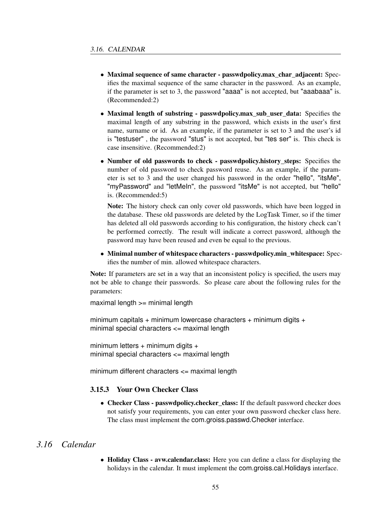- Maximal sequence of same character passwdpolicy.max\_char\_adjacent: Specifies the maximal sequence of the same character in the password. As an example, if the parameter is set to 3, the password "aaaa" is not accepted, but "aaabaaa" is. (Recommended:2)
- Maximal length of substring passwdpolicy.max\_sub\_user\_data: Specifies the maximal length of any substring in the password, which exists in the user's first name, surname or id. As an example, if the parameter is set to 3 and the user's id is "testuser" , the password "stus" is not accepted, but "tes ser" is. This check is case insensitive. (Recommended:2)
- Number of old passwords to check passwdpolicy.history\_steps: Specifies the number of old password to check password reuse. As an example, if the parameter is set to 3 and the user changed his password in the order "hello", "itsMe", "myPassword" and "letMeIn", the password "itsMe" is not accepted, but "hello" is. (Recommended:5)

Note: The history check can only cover old passwords, which have been logged in the database. These old passwords are deleted by the LogTask Timer, so if the timer has deleted all old passwords according to his configuration, the history check can't be performed correctly. The result will indicate a correct password, although the password may have been reused and even be equal to the previous.

• Minimal number of whitespace characters - passwdpolicy.min\_whitespace: Specifies the number of min. allowed whitespace characters.

Note: If parameters are set in a way that an inconsistent policy is specified, the users may not be able to change their passwords. So please care about the following rules for the parameters:

maximal length >= minimal length

minimum capitals + minimum lowercase characters + minimum digits + minimal special characters <= maximal length

minimum letters  $+$  minimum digits  $+$ minimal special characters <= maximal length

minimum different characters <= maximal length

#### 3.15.3 Your Own Checker Class

• Checker Class - passwdpolicy.checker\_class: If the default password checker does not satisfy your requirements, you can enter your own password checker class here. The class must implement the com.groiss.passwd.Checker interface.

## *3.16 Calendar*

• Holiday Class - avw.calendar.class: Here you can define a class for displaying the holidays in the calendar. It must implement the com.groiss.cal.Holidays interface.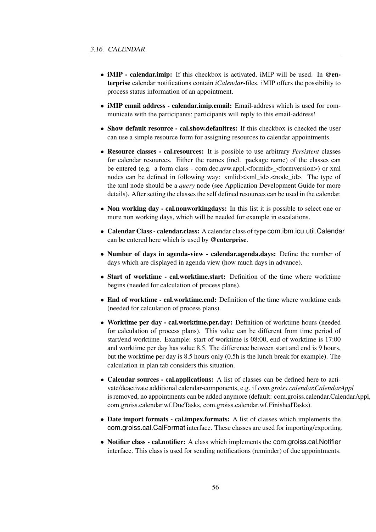- **iMIP calendar.imip:** If this checkbox is activated, iMIP will be used. In @enterprise calendar notifications contain *iCalendar*-files. iMIP offers the possibility to process status information of an appointment.
- **iMIP email address calendar.imip.email:** Email-address which is used for communicate with the participants; participants will reply to this email-address!
- Show default resource cal.show.defaultres: If this checkbox is checked the user can use a simple resource form for assigning resources to calendar appointments.
- Resource classes cal.resources: It is possible to use arbitrary *Persistent* classes for calendar resources. Either the names (incl. package name) of the classes can be entered (e.g. a form class - com.dec.avw.appl.<formid>\_<formversion>) or xml nodes can be defined in following way: xmlid:<xml id>.<node id>. The type of the xml node should be a *query* node (see Application Development Guide for more details). After setting the classes the self defined resources can be used in the calendar.
- Non working day cal.nonworkingdays: In this list it is possible to select one or more non working days, which will be needed for example in escalations.
- Calendar Class calendar.class: A calendar class of type com.ibm.icu.util.Calendar can be entered here which is used by @enterprise.
- Number of days in agenda-view calendar.agenda.days: Define the number of days which are displayed in agenda view (how much days in advance).
- Start of worktime cal.worktime.start: Definition of the time where worktime begins (needed for calculation of process plans).
- End of worktime cal.worktime.end: Definition of the time where worktime ends (needed for calculation of process plans).
- Worktime per day cal.worktime.per.day: Definition of worktime hours (needed) for calculation of process plans). This value can be different from time period of start/end worktime. Example: start of worktime is 08:00, end of worktime is 17:00 and worktime per day has value 8.5. The difference between start and end is 9 hours, but the worktime per day is 8.5 hours only (0.5h is the lunch break for example). The calculation in plan tab considers this situation.
- Calendar sources cal.applications: A list of classes can be defined here to activate/deactivate additional calendar-components, e.g. if *com.groiss.calendar.CalendarAppl* is removed, no appointments can be added anymore (default: com.groiss.calendar.CalendarAppl, com.groiss.calendar.wf.DueTasks, com.groiss.calendar.wf.FinishedTasks).
- Date import formats cal.impex.formats: A list of classes which implements the com.groiss.cal.CalFormat interface. These classes are used for importing/exporting.
- Notifier class cal.notifier: A class which implements the com.groiss.cal.Notifier interface. This class is used for sending notifications (reminder) of due appointments.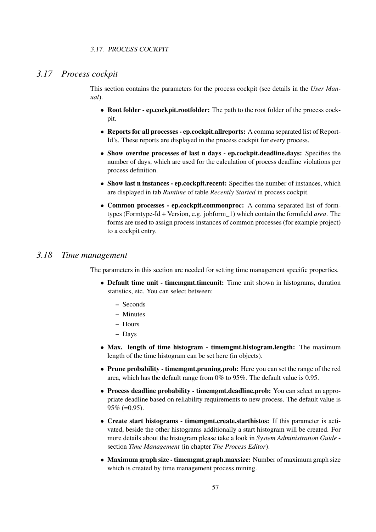## *3.17 Process cockpit*

This section contains the parameters for the process cockpit (see details in the *User Manual*).

- Root folder ep.cockpit.rootfolder: The path to the root folder of the process cockpit.
- Reports for all processes ep.cockpit.allreports: A comma separated list of Report-Id's. These reports are displayed in the process cockpit for every process.
- Show overdue processes of last n days ep.cockpit.deadline.days: Specifies the number of days, which are used for the calculation of process deadline violations per process definition.
- Show last n instances ep.cockpit.recent: Specifies the number of instances, which are displayed in tab *Runtime* of table *Recently Started* in process cockpit.
- Common processes ep.cockpit.commonproc: A comma separated list of formtypes (Formtype-Id + Version, e.g. jobform\_1) which contain the formfield *area*. The forms are used to assign process instances of common processes (for example project) to a cockpit entry.

# *3.18 Time management*

The parameters in this section are needed for setting time management specific properties.

- Default time unit timemgmt.timeunit: Time unit shown in histograms, duration statistics, etc. You can select between:
	- Seconds
	- Minutes
	- Hours
	- Days
- Max. length of time histogram timemgmt.histogram.length: The maximum length of the time histogram can be set here (in objects).
- Prune probability timemgmt.pruning.prob: Here you can set the range of the red area, which has the default range from 0% to 95%. The default value is 0.95.
- Process deadline probability timemgmt.deadline.prob: You can select an appropriate deadline based on reliability requirements to new process. The default value is 95% (=0.95).
- Create start histograms timemgmt.create.starthistos: If this parameter is activated, beside the other histograms additionally a start histogram will be created. For more details about the histogram please take a look in *System Administration Guide* section *Time Management* (in chapter *The Process Editor*).
- Maximum graph size timemgmt.graph.maxsize: Number of maximum graph size which is created by time management process mining.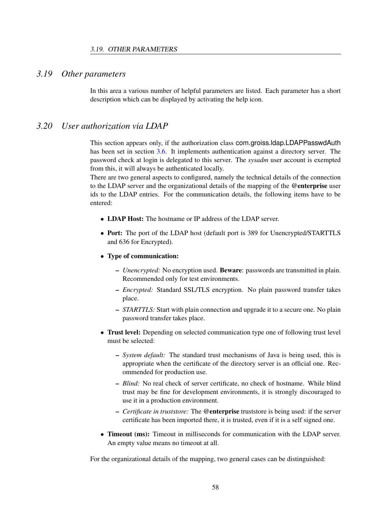# *3.19 Other parameters*

In this area a various number of helpful parameters are listed. Each parameter has a short description which can be displayed by activating the help icon.

#### *3.20 User authorization via LDAP*

This section appears only, if the authorization class com.groiss.ldap.LDAPPasswdAuth has been set in section [3.6.](#page-34-0) It implements authentication against a directory server. The password check at login is delegated to this server. The *sysadm* user account is exempted from this, it will always be authenticated locally.

There are two general aspects to configured, namely the technical details of the connection to the LDAP server and the organizational details of the mapping of the @enterprise user ids to the LDAP entries. For the communication details, the following items have to be entered:

- LDAP Host: The hostname or IP address of the LDAP server.
- Port: The port of the LDAP host (default port is 389 for Unencrypted/STARTTLS and 636 for Encrypted).

#### • Type of communication:

- *Unencrypted:* No encryption used. Beware: passwords are transmitted in plain. Recommended only for test environments.
- *Encrypted:* Standard SSL/TLS encryption. No plain password transfer takes place.
- *STARTTLS:* Start with plain connection and upgrade it to a secure one. No plain password transfer takes place.
- Trust level: Depending on selected communication type one of following trust level must be selected:
	- *System default:* The standard trust mechanisms of Java is being used, this is appropriate when the certificate of the directory server is an official one. Recommended for production use.
	- *Blind:* No real check of server certificate, no check of hostname. While blind trust may be fine for development environments, it is strongly discouraged to use it in a production environment.
	- *Certificate in truststore:* The @enterprise truststore is being used: if the server certificate has been imported there, it is trusted, even if it is a self signed one.
- **Timeout (ms):** Timeout in milliseconds for communication with the LDAP server. An empty value means no timeout at all.

For the organizational details of the mapping, two general cases can be distinguished: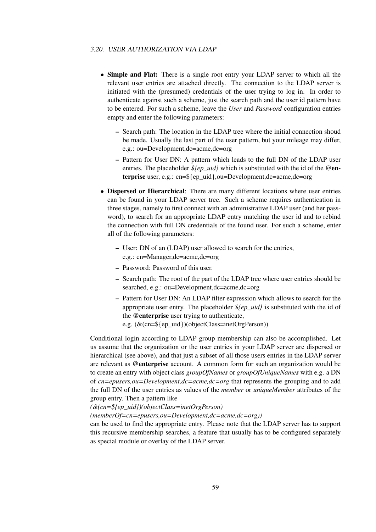- Simple and Flat: There is a single root entry your LDAP server to which all the relevant user entries are attached directly. The connection to the LDAP server is initiated with the (presumed) credentials of the user trying to log in. In order to authenticate against such a scheme, just the search path and the user id pattern have to be entered. For such a scheme, leave the *User* and *Password* configuration entries empty and enter the following parameters:
	- Search path: The location in the LDAP tree where the initial connection shoud be made. Usually the last part of the user pattern, but your mileage may differ, e.g.: ou=Development,dc=acme,dc=org
	- Pattern for User DN: A pattern which leads to the full DN of the LDAP user entries. The placeholder *\${ep\_uid}* which is substituted with the id of the @enterprise user, e.g.: cn=\${ep\_uid},ou=Development,dc=acme,dc=org
- Dispersed or Hierarchical: There are many different locations where user entries can be found in your LDAP server tree. Such a scheme requires authentication in three stages, namely to first connect with an administrative LDAP user (and her password), to search for an appropriate LDAP entry matching the user id and to rebind the connection with full DN credentials of the found user. For such a scheme, enter all of the following parameters:
	- User: DN of an (LDAP) user allowed to search for the entries, e.g.: cn=Manager,dc=acme,dc=org
	- Password: Password of this user.
	- Search path: The root of the part of the LDAP tree where user entries should be searched, e.g.: ou=Development,dc=acme,dc=org
	- Pattern for User DN: An LDAP filter expression which allows to search for the appropriate user entry. The placeholder *\${ep\_uid}* is substituted with the id of the @enterprise user trying to authenticate, e.g. (&(cn=\${ep\_uid})(objectClass=inetOrgPerson))

Conditional login according to LDAP group membership can also be accomplished. Let us assume that the organization or the user entries in your LDAP server are dispersed or hierarchical (see above), and that just a subset of all those users entries in the LDAP server are relevant as @enterprise account. A common form for such an organization would be to create an entry with object class *groupOfNames* or *groupOfUniqueNames* with e.g. a DN of *cn=epusers,ou=Development,dc=acme,dc=org* that represents the grouping and to add the full DN of the user entries as values of the *member* or *uniqueMember* attributes of the group entry. Then a pattern like

*(&(cn=\${ep\_uid})(objectClass=inetOrgPerson)*

*(memberOf=cn=epusers,ou=Development,dc=acme,dc=org))*

can be used to find the appropriate entry. Please note that the LDAP server has to support this recursive membership searches, a feature that usually has to be configured separately as special module or overlay of the LDAP server.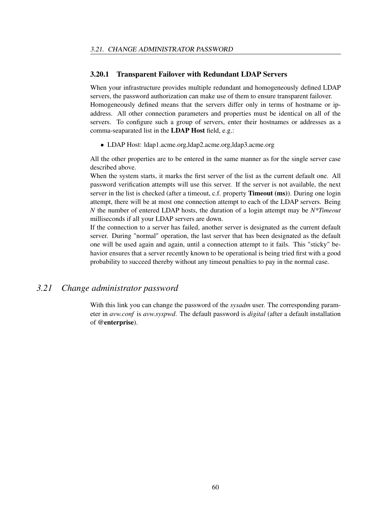#### 3.20.1 Transparent Failover with Redundant LDAP Servers

When your infrastructure provides multiple redundant and homogeneously defined LDAP servers, the password authorization can make use of them to ensure transparent failover. Homogeneously defined means that the servers differ only in terms of hostname or ipaddress. All other connection parameters and properties must be identical on all of the servers. To configure such a group of servers, enter their hostnames or addresses as a comma-seaparated list in the LDAP Host field, e.g.:

• LDAP Host: ldap1.acme.org,ldap2.acme.org,ldap3.acme.org

All the other properties are to be entered in the same manner as for the single server case described above.

When the system starts, it marks the first server of the list as the current default one. All password verification attempts will use this server. If the server is not available, the next server in the list is checked (after a timeout, c.f. property Timeout (ms)). During one login attempt, there will be at most one connection attempt to each of the LDAP servers. Being *N* the number of entered LDAP hosts, the duration of a login attempt may be *N\*Timeout* milliseconds if all your LDAP servers are down.

If the connection to a server has failed, another server is designated as the current default server. During "normal" operation, the last server that has been designated as the default one will be used again and again, until a connection attempt to it fails. This "sticky" behavior ensures that a server recently known to be operational is being tried first with a good probability to succeed thereby without any timeout penalties to pay in the normal case.

# *3.21 Change administrator password*

With this link you can change the password of the *sysadm* user. The corresponding parameter in *avw.conf* is *avw.syspwd*. The default password is *digital* (after a default installation of @enterprise).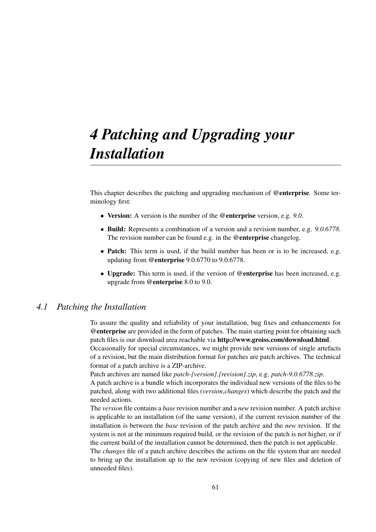# *4 Patching and Upgrading your Installation*

This chapter describes the patching and upgrading mechanism of @enterprise. Some terminology first:

- Version: A version is the number of the @enterprise version, e.g. *9.0*.
- Build: Represents a combination of a version and a revision number, e.g. *9.0.6778*. The revision number can be found e.g. in the @enterprise changelog.
- **Patch:** This term is used, if the build number has been or is to be increased, e.g. updating from @enterprise 9.0.6770 to 9.0.6778.
- Upgrade: This term is used, if the version of @enterprise has been increased, e.g. upgrade from @enterprise 8.0 to 9.0.

### *4.1 Patching the Installation*

To assure the quality and reliability of your installation, bug fixes and enhancements for @enterprise are provided in the form of patches. The main starting point for obtaining such patch files is our download area reachable via http://www.groiss.com/download.html.

Occasionally for special circumstances, we might provide new versions of single artefacts of a revision, but the main distribution format for patches are patch archives. The technical format of a patch archive is a ZIP-archive.

Patch archives are named like *patch-{version}.{revision}.zip*, e.g. *patch-9.0.6778.zip*.

A patch archive is a bundle which incorporates the individual new versions of the files to be patched, along with two additional files (*version*,*changes*) which describe the patch and the needed actions.

The *version* file contains a *base* revision number and a *new* revision number. A patch archive is applicable to an installation (of the same version), if the current revision number of the installation is between the *base* revision of the patch archive and the *new* revision. If the system is not at the minimum required build, or the revision of the patch is not higher, or if the current build of the installation cannot be determined, then the patch is not applicable.

The *changes* file of a patch archive describes the actions on the file system that are needed to bring up the installation up to the new revision (copying of new files and deletion of unneeded files).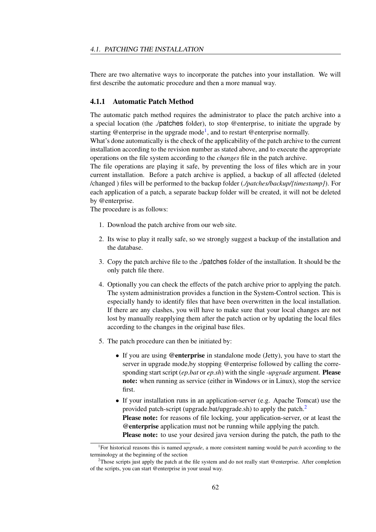There are two alternative ways to incorporate the patches into your installation. We will first describe the automatic procedure and then a more manual way.

#### 4.1.1 Automatic Patch Method

The automatic patch method requires the administrator to place the patch archive into a a special location (the ./patches folder), to stop @enterprise, to initiate the upgrade by starting @enterprise in the upgrade mode<sup>[1](#page-61-0)</sup>, and to restart @enterprise normally.

What's done automatically is the check of the applicability of the patch archive to the current installation according to the revision number as stated above, and to execute the appropriate operations on the file system according to the *changes* file in the patch archive.

The file operations are playing it safe, by preventing the loss of files which are in your current installation. Before a patch archive is applied, a backup of all affected (deleted /changed ) files will be performed to the backup folder (*./patches/backup/{timestamp}*). For each application of a patch, a separate backup folder will be created, it will not be deleted by @enterprise.

The procedure is as follows:

- 1. Download the patch archive from our web site.
- 2. Its wise to play it really safe, so we strongly suggest a backup of the installation and the database.
- 3. Copy the patch archive file to the ./patches folder of the installation. It should be the only patch file there.
- 4. Optionally you can check the effects of the patch archive prior to applying the patch. The system administration provides a function in the System-Control section. This is especially handy to identify files that have been overwritten in the local installation. If there are any clashes, you will have to make sure that your local changes are not lost by manually reapplying them after the patch action or by updating the local files according to the changes in the original base files.
- 5. The patch procedure can then be initiated by:
	- If you are using @enterprise in standalone mode (Jetty), you have to start the server in upgrade mode,by stopping @enterprise followed by calling the corresponding start script (*ep.bat* or *ep.sh*) with the single *-upgrade* argument. Please note: when running as service (either in Windows or in Linux), stop the service first.
	- If your installation runs in an application-server (e.g. Apache Tomcat) use the provided patch-script (upgrade.bat/upgrade.sh) to apply the patch.<sup>[2](#page-61-1)</sup> Please note: for reasons of file locking, your application-server, or at least the @enterprise application must not be running while applying the patch. Please note: to use your desired java version during the patch, the path to the

<span id="page-61-0"></span><sup>1</sup> For historical reasons this is named *upgrade*, a more consistent naming would be *patch* according to the terminology at the beginning of the section

<span id="page-61-1"></span><sup>&</sup>lt;sup>2</sup>Those scripts just apply the patch at the file system and do not really start @enterprise. After completion of the scripts, you can start @enterprise in your usual way.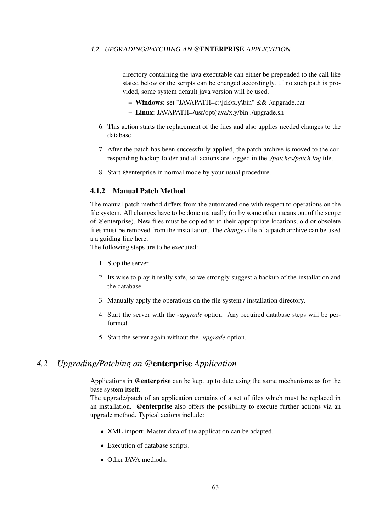directory containing the java executable can either be prepended to the call like stated below or the scripts can be changed accordingly. If no such path is provided, some system default java version will be used.

- Windows: set "JAVAPATH=c:\jdk\x.y\bin" && .\upgrade.bat
- Linux: JAVAPATH=/usr/opt/java/x.y/bin ./upgrade.sh
- 6. This action starts the replacement of the files and also applies needed changes to the database.
- 7. After the patch has been successfully applied, the patch archive is moved to the corresponding backup folder and all actions are logged in the *./patches/patch.log* file.
- 8. Start @enterprise in normal mode by your usual procedure.

## 4.1.2 Manual Patch Method

The manual patch method differs from the automated one with respect to operations on the file system. All changes have to be done manually (or by some other means out of the scope of @enterprise). New files must be copied to to their appropriate locations, old or obsolete files must be removed from the installation. The *changes* file of a patch archive can be used a a guiding line here.

The following steps are to be executed:

- 1. Stop the server.
- 2. Its wise to play it really safe, so we strongly suggest a backup of the installation and the database.
- 3. Manually apply the operations on the file system / installation directory.
- 4. Start the server with the *-upgrade* option. Any required database steps will be performed.
- 5. Start the server again without the *-upgrade* option.

# *4.2 Upgrading/Patching an* @enterprise *Application*

Applications in @enterprise can be kept up to date using the same mechanisms as for the base system itself.

The upgrade/patch of an application contains of a set of files which must be replaced in an installation. @enterprise also offers the possibility to execute further actions via an upgrade method. Typical actions include:

- XML import: Master data of the application can be adapted.
- Execution of database scripts.
- Other JAVA methods.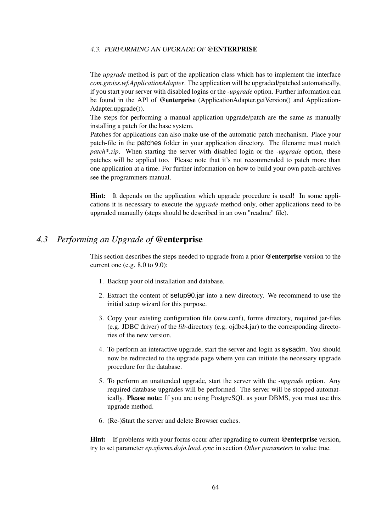The *upgrade* method is part of the application class which has to implement the interface *com.groiss.wf.ApplicationAdapter*. The application will be upgraded/patched automatically, if you start your server with disabled logins or the *-upgrade* option. Further information can be found in the API of @enterprise (ApplicationAdapter.getVersion() and Application-Adapter.upgrade()).

The steps for performing a manual application upgrade/patch are the same as manually installing a patch for the base system.

Patches for applications can also make use of the automatic patch mechanism. Place your patch-file in the patches folder in your application directory. The filename must match *patch\*.zip*. When starting the server with disabled login or the *-upgrade* option, these patches will be applied too. Please note that it's not recommended to patch more than one application at a time. For further information on how to build your own patch-archives see the programmers manual.

Hint: It depends on the application which upgrade procedure is used! In some applications it is necessary to execute the *upgrade* method only, other applications need to be upgraded manually (steps should be described in an own "readme" file).

# *4.3 Performing an Upgrade of* @enterprise

This section describes the steps needed to upgrade from a prior @enterprise version to the current one (e.g. 8.0 to 9.0):

- 1. Backup your old installation and database.
- 2. Extract the content of setup90.jar into a new directory. We recommend to use the initial setup wizard for this purpose.
- 3. Copy your existing configuration file (avw.conf), forms directory, required jar-files (e.g. JDBC driver) of the *lib*-directory (e.g. ojdbc4.jar) to the corresponding directories of the new version.
- 4. To perform an interactive upgrade, start the server and login as sysadm. You should now be redirected to the upgrade page where you can initiate the necessary upgrade procedure for the database.
- 5. To perform an unattended upgrade, start the server with the *-upgrade* option. Any required database upgrades will be performed. The server will be stopped automatically. Please note: If you are using PostgreSQL as your DBMS, you must use this upgrade method.
- 6. (Re-)Start the server and delete Browser caches.

**Hint:** If problems with your forms occur after upgrading to current @enterprise version. try to set parameter *ep.xforms.dojo.load.sync* in section *Other parameters* to value true.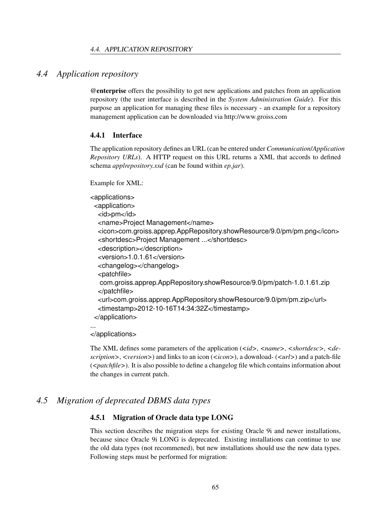## *4.4 Application repository*

<span id="page-64-0"></span>@enterprise offers the possibility to get new applications and patches from an application repository (the user interface is described in the *System Administration Guide*). For this purpose an application for managing these files is necessary - an example for a repository management application can be downloaded via http://www.groiss.com

#### 4.4.1 Interface

The application repository defines an URL (can be entered under *Communication*/*Application Repository URLs*). A HTTP request on this URL returns a XML that accords to defined schema *applrepository.xsd* (can be found within *ep.jar*).

Example for XML:

```
<applications>
 <application>
  <id>pm</id>
  <name>Project Management</name>
  <icon>com.groiss.apprep.AppRepository.showResource/9.0/pm/pm.png</icon>
  <shortdesc>Project Management ...</shortdesc>
  <description></description>
  <version>1.0.1.61</version>
  <changelog></changelog>
  <patchfile>
  com.groiss.apprep.AppRepository.showResource/9.0/pm/patch-1.0.1.61.zip
  </patchfile>
  <url>com.groiss.apprep.AppRepository.showResource/9.0/pm/pm.zip</url>
  <timestamp>2012-10-16T14:34:32Z</timestamp>
 </application>
...
```
</applications>

The XML defines some parameters of the application (*<id>*, *<name>*, *<shortdesc>*, *<description>*, *<version>*) and links to an icon (*<icon>*), a download- (*<url>*) and a patch-file (*<patchfile>*). It is also possible to define a changelog file which contains information about the changes in current patch.

# *4.5 Migration of deprecated DBMS data types*

### 4.5.1 Migration of Oracle data type LONG

This section describes the migration steps for existing Oracle 9i and newer installations, because since Oracle 9i LONG is deprecated. Existing installations can continue to use the old data types (not recommened), but new installations should use the new data types. Following steps must be performed for migration: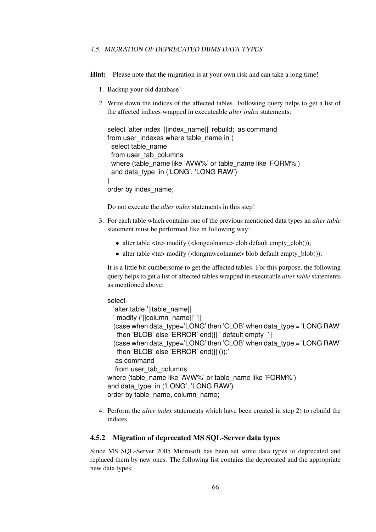Hint: Please note that the migration is at your own risk and can take a long time!

- 1. Backup your old database!
- 2. Write down the indices of the affected tables. Following query helps to get a list of the affected indices wrapped in executeable *alter index* statements:

```
select 'alter index '||index name||' rebuild;' as command
from user indexes where table name in (
 select table_name
 from user_tab_columns
 where (table_name like 'AVW%' or table_name like 'FORM%')
 and data_type in ('LONG', 'LONG RAW')
)
order by index_name;
```
Do not execute the *alter index* statements in this step!

- 3. For each table which contains one of the previous mentioned data types an *alter table* statement must be performed like in following way:
	- alter table <tn> modify (<longcolname> clob default empty\_clob());
	- alter table <tn> modify (<longrawcolname> blob default empty\_blob());

It is a little bit cumbersome to get the affected tables. For this purpose, the following query helps to get a list of affected tables wrapped in executable *alter table* statements as mentioned above:

#### select

'alter table '||table\_name|| ' modify ('||column\_name||' '|| (case when data\_type='LONG' then 'CLOB' when data\_type = 'LONG RAW' then 'BLOB' else 'ERROR' end)|| ' default empty\_'|| (case when data\_type='LONG' then 'CLOB' when data\_type = 'LONG RAW' then 'BLOB' else 'ERROR' end)||'());' as command from user\_tab\_columns where (table\_name like 'AVW%' or table\_name like 'FORM%') and data\_type in ('LONG', 'LONG RAW') order by table\_name, column\_name;

4. Perform the *alter index* statements which have been created in step 2) to rebuild the indices.

#### 4.5.2 Migration of deprecated MS SQL-Server data types

Since MS SQL-Server 2005 Microsoft has been set some data types to deprecated and replaced them by new ones. The following list contains the deprecated and the appropriate new data types: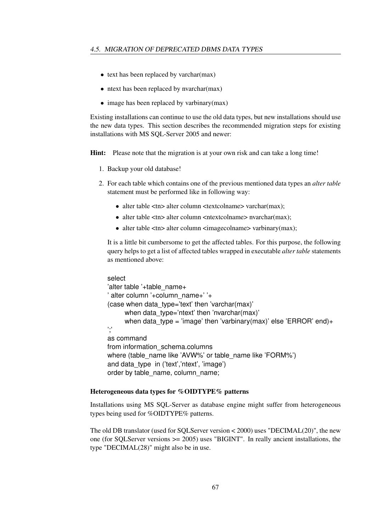- text has been replaced by varchar(max)
- ntext has been replaced by nvarchar(max)
- image has been replaced by varbinary(max)

Existing installations can continue to use the old data types, but new installations should use the new data types. This section describes the recommended migration steps for existing installations with MS SQL-Server 2005 and newer:

Hint: Please note that the migration is at your own risk and can take a long time!

- 1. Backup your old database!
- 2. For each table which contains one of the previous mentioned data types an *alter table* statement must be performed like in following way:
	- alter table <tn> alter column <textcolname> varchar(max);
	- alter table <tn> alter column <ntextcolname> nvarchar(max);
	- alter table <tn> alter column <imagecolname> varbinary(max);

It is a little bit cumbersome to get the affected tables. For this purpose, the following query helps to get a list of affected tables wrapped in executable *alter table* statements as mentioned above:

```
select
'alter table '+table_name+
' alter column '+column_name+' '+
(case when data_type='text' then 'varchar(max)'
     when data type='ntext' then 'nvarchar(max)'
     when data_type = 'image' then 'varbinary(max)' else 'ERROR' end)+
';'
as command
from information_schema.columns
where (table_name like 'AVW%' or table_name like 'FORM%')
and data type in ('text', 'ntext', 'image')
order by table_name, column_name;
```
#### Heterogeneous data types for %OIDTYPE% patterns

Installations using MS SQL-Server as database engine might suffer from heterogeneous types being used for %OIDTYPE% patterns.

The old DB translator (used for SQLServer version < 2000) uses "DECIMAL(20)", the new one (for SQLServer versions  $\geq$  2005) uses "BIGINT". In really ancient installations, the type "DECIMAL(28)" might also be in use.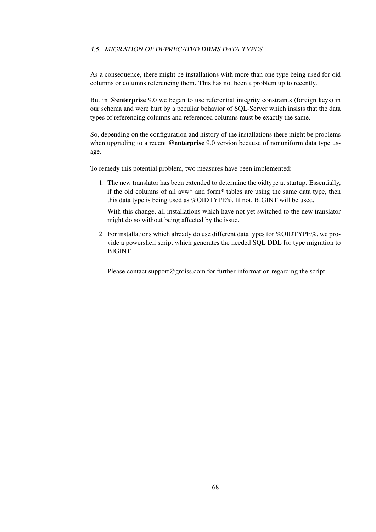As a consequence, there might be installations with more than one type being used for oid columns or columns referencing them. This has not been a problem up to recently.

But in @enterprise 9.0 we began to use referential integrity constraints (foreign keys) in our schema and were hurt by a peculiar behavior of SQL-Server which insists that the data types of referencing columns and referenced columns must be exactly the same.

So, depending on the configuration and history of the installations there might be problems when upgrading to a recent @enterprise 9.0 version because of nonuniform data type usage.

To remedy this potential problem, two measures have been implemented:

1. The new translator has been extended to determine the oidtype at startup. Essentially, if the oid columns of all avw\* and form\* tables are using the same data type, then this data type is being used as %OIDTYPE%. If not, BIGINT will be used.

With this change, all installations which have not yet switched to the new translator might do so without being affected by the issue.

2. For installations which already do use different data types for %OIDTYPE%, we provide a powershell script which generates the needed SQL DDL for type migration to BIGINT.

Please contact support@groiss.com for further information regarding the script.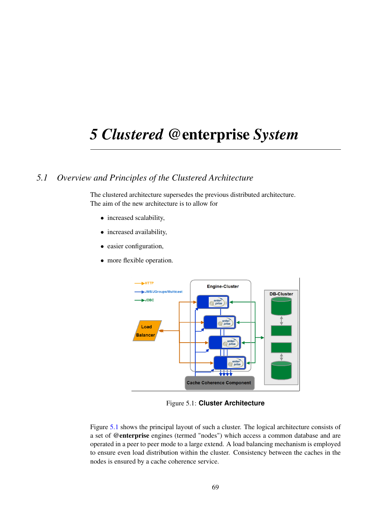# *5 Clustered* @enterprise *System*

# *5.1 Overview and Principles of the Clustered Architecture*

<span id="page-68-0"></span>The clustered architecture supersedes the previous distributed architecture. The aim of the new architecture is to allow for

- increased scalability,
- increased availability,
- easier configuration,
- more flexible operation.



Figure 5.1: **Cluster Architecture**

Figure [5.1](#page-68-0) shows the principal layout of such a cluster. The logical architecture consists of a set of @enterprise engines (termed "nodes") which access a common database and are operated in a peer to peer mode to a large extend. A load balancing mechanism is employed to ensure even load distribution within the cluster. Consistency between the caches in the nodes is ensured by a cache coherence service.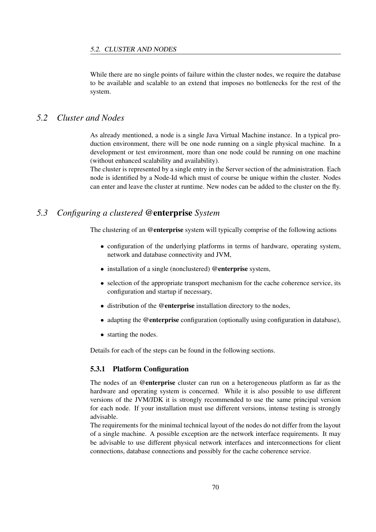While there are no single points of failure within the cluster nodes, we require the database to be available and scalable to an extend that imposes no bottlenecks for the rest of the system.

## *5.2 Cluster and Nodes*

As already mentioned, a node is a single Java Virtual Machine instance. In a typical production environment, there will be one node running on a single physical machine. In a development or test environment, more than one node could be running on one machine (without enhanced scalability and availability).

The cluster is represented by a single entry in the Server section of the administration. Each node is identified by a Node-Id which must of course be unique within the cluster. Nodes can enter and leave the cluster at runtime. New nodes can be added to the cluster on the fly.

# *5.3 Configuring a clustered* @enterprise *System*

The clustering of an @enterprise system will typically comprise of the following actions

- configuration of the underlying platforms in terms of hardware, operating system, network and database connectivity and JVM,
- installation of a single (nonclustered) @enterprise system,
- selection of the appropriate transport mechanism for the cache coherence service, its configuration and startup if necessary,
- distribution of the @enterprise installation directory to the nodes,
- adapting the @enterprise configuration (optionally using configuration in database),
- starting the nodes.

Details for each of the steps can be found in the following sections.

#### 5.3.1 Platform Configuration

The nodes of an **@enterprise** cluster can run on a heterogeneous platform as far as the hardware and operating system is concerned. While it is also possible to use different versions of the JVM/JDK it is strongly recommended to use the same principal version for each node. If your installation must use different versions, intense testing is strongly advisable.

The requirements for the minimal technical layout of the nodes do not differ from the layout of a single machine. A possible exception are the network interface requirements. It may be advisable to use different physical network interfaces and interconnections for client connections, database connections and possibly for the cache coherence service.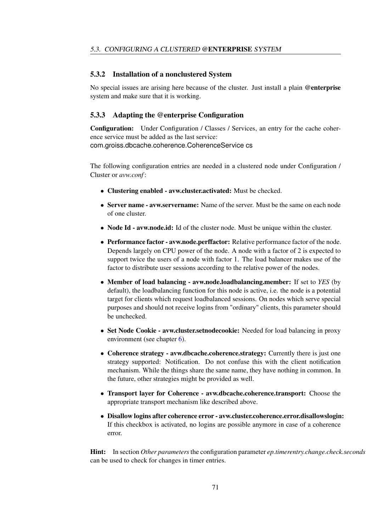#### 5.3.2 Installation of a nonclustered System

No special issues are arising here because of the cluster. Just install a plain @enterprise system and make sure that it is working.

#### <span id="page-70-0"></span>5.3.3 Adapting the @enterprise Configuration

Configuration: Under Configuration / Classes / Services, an entry for the cache coherence service must be added as the last service: com.groiss.dbcache.coherence.CoherenceService cs

The following configuration entries are needed in a clustered node under Configuration / Cluster or *avw.conf* :

- Clustering enabled avw.cluster.activated: Must be checked.
- Server name avw.servername: Name of the server. Must be the same on each node of one cluster.
- Node Id avw.node.id: Id of the cluster node. Must be unique within the cluster.
- Performance factor avw.node.perffactor: Relative performance factor of the node. Depends largely on CPU power of the node. A node with a factor of 2 is expected to support twice the users of a node with factor 1. The load balancer makes use of the factor to distribute user sessions according to the relative power of the nodes.
- Member of load balancing avw.node.loadbalancing.member: If set to *YES* (by default), the loadbalancing function for this node is active, i.e. the node is a potential target for clients which request loadbalanced sessions. On nodes which serve special purposes and should not receive logins from "ordinary" clients, this parameter should be unchecked.
- Set Node Cookie avw.cluster.setnodecookie: Needed for load balancing in proxy environment (see chapter [6\)](#page-79-0).
- Coherence strategy avw.dbcache.coherence.strategy: Currently there is just one strategy supported: Notification. Do not confuse this with the client notification mechanism. While the things share the same name, they have nothing in common. In the future, other strategies might be provided as well.
- Transport layer for Coherence avw.dbcache.coherence.transport: Choose the appropriate transport mechanism like described above.
- Disallow logins after coherence error avw.cluster.coherence.error.disallowslogin: If this checkbox is activated, no logins are possible anymore in case of a coherence error.

Hint: In section *Other parameters*the configuration parameter *ep.timerentry.change.check.seconds* can be used to check for changes in timer entries.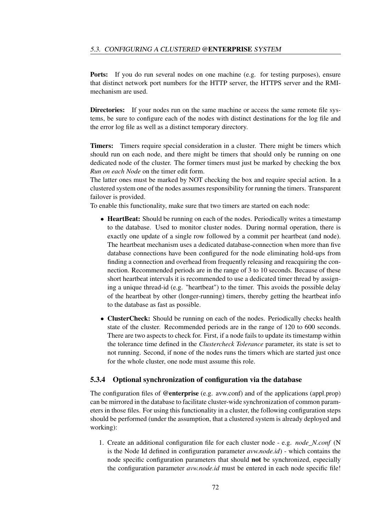Ports: If you do run several nodes on one machine (e.g. for testing purposes), ensure that distinct network port numbers for the HTTP server, the HTTPS server and the RMImechanism are used.

**Directories:** If your nodes run on the same machine or access the same remote file systems, be sure to configure each of the nodes with distinct destinations for the log file and the error log file as well as a distinct temporary directory.

Timers: Timers require special consideration in a cluster. There might be timers which should run on each node, and there might be timers that should only be running on one dedicated node of the cluster. The former timers must just be marked by checking the box *Run on each Node* on the timer edit form.

The latter ones must be marked by NOT checking the box and require special action. In a clustered system one of the nodes assumes responsibility for running the timers. Transparent failover is provided.

To enable this functionality, make sure that two timers are started on each node:

- HeartBeat: Should be running on each of the nodes. Periodically writes a timestamp to the database. Used to monitor cluster nodes. During normal operation, there is exactly one update of a single row followed by a commit per heartbeat (and node). The heartbeat mechanism uses a dedicated database-connection when more than five database connections have been configured for the node eliminating hold-ups from finding a connection and overhead from frequently releasing and reacquiring the connection. Recommended periods are in the range of 3 to 10 seconds. Because of these short heartbeat intervals it is recommended to use a dedicated timer thread by assigning a unique thread-id (e.g. "heartbeat") to the timer. This avoids the possible delay of the heartbeat by other (longer-running) timers, thereby getting the heartbeat info to the database as fast as possible.
- ClusterCheck: Should be running on each of the nodes. Periodically checks health state of the cluster. Recommended periods are in the range of 120 to 600 seconds. There are two aspects to check for. First, if a node fails to update its timestamp within the tolerance time defined in the *Clustercheck Tolerance* parameter, its state is set to not running. Second, if none of the nodes runs the timers which are started just once for the whole cluster, one node must assume this role.

#### 5.3.4 Optional synchronization of configuration via the database

The configuration files of **@enterprise** (e.g. avw.conf) and of the applications (appl.prop) can be mirrored in the database to facilitate cluster-wide synchronization of common parameters in those files. For using this functionality in a cluster, the following configuration steps should be performed (under the assumption, that a clustered system is already deployed and working):

1. Create an additional configuration file for each cluster node - e.g. *node\_N.conf* (N is the Node Id defined in configuration parameter *avw.node.id*) - which contains the node specific configuration parameters that should not be synchronized, especially the configuration parameter *avw.node.id* must be entered in each node specific file!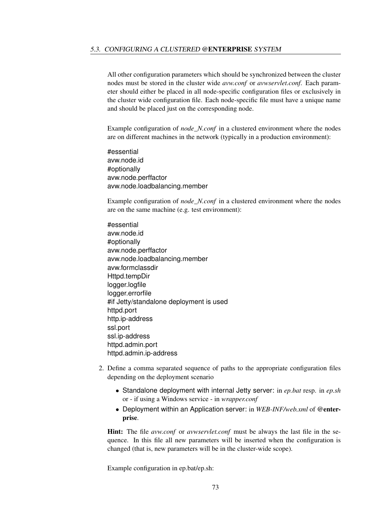All other configuration parameters which should be synchronized between the cluster nodes must be stored in the cluster wide *avw.conf* or *avwservlet.conf*. Each parameter should either be placed in all node-specific configuration files or exclusively in the cluster wide configuration file. Each node-specific file must have a unique name and should be placed just on the corresponding node.

Example configuration of *node\_N.conf* in a clustered environment where the nodes are on different machines in the network (typically in a production environment):

#essential avw.node.id #optionally avw.node.perffactor avw.node.loadbalancing.member

Example configuration of *node\_N.conf* in a clustered environment where the nodes are on the same machine (e.g. test environment):

- #essential avw.node.id #optionally avw.node.perffactor avw.node.loadbalancing.member avw.formclassdir Httpd.tempDir logger.logfile logger.errorfile #if Jetty/standalone deployment is used httpd.port http.ip-address ssl.port ssl.ip-address httpd.admin.port httpd.admin.ip-address
- 2. Define a comma separated sequence of paths to the appropriate configuration files depending on the deployment scenario
	- Standalone deployment with internal Jetty server: in *ep.bat* resp. in *ep.sh* or - if using a Windows service - in *wrapper.conf*
	- Deployment within an Application server: in *WEB-INF/web.xml* of @enterprise.

Hint: The file *avw.conf* or *avwservlet.conf* must be always the last file in the sequence. In this file all new parameters will be inserted when the configuration is changed (that is, new parameters will be in the cluster-wide scope).

Example configuration in ep.bat/ep.sh: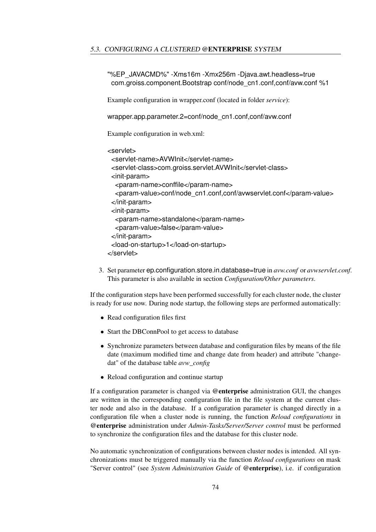"%EP\_JAVACMD%" -Xms16m -Xmx256m -Djava.awt.headless=true com.groiss.component.Bootstrap conf/node\_cn1.conf,conf/avw.conf %1

Example configuration in wrapper.conf (located in folder *service*):

wrapper.app.parameter.2=conf/node\_cn1.conf.conf/avw.conf

Example configuration in web.xml:

```
<servlet>
```

```
<servlet-name>AVWInit</servlet-name>
 <servlet-class>com.groiss.servlet.AVWInit</servlet-class>
 <init-param>
  <param-name>conffile</param-name>
  <param-value>conf/node_cn1.conf,conf/avwservlet.conf</param-value>
 </init-param>
 <init-param>
  <param-name>standalone</param-name>
  <param-value>false</param-value>
 </init-param>
 <load-on-startup>1</load-on-startup>
</servlet>
```
3. Set parameter ep.configuration.store.in.database=true in *avw.conf* or *avwservlet.conf*. This parameter is also available in section *Configuration/Other parameters*.

If the configuration steps have been performed successfully for each cluster node, the cluster is ready for use now. During node startup, the following steps are performed automatically:

- Read configuration files first
- Start the DBConnPool to get access to database
- Synchronize parameters between database and configuration files by means of the file date (maximum modified time and change date from header) and attribute "changedat" of the database table *avw\_config*
- Reload configuration and continue startup

If a configuration parameter is changed via @enterprise administration GUI, the changes are written in the corresponding configuration file in the file system at the current cluster node and also in the database. If a configuration parameter is changed directly in a configuration file when a cluster node is running, the function *Reload configurations* in @enterprise administration under *Admin-Tasks/Server/Server control* must be performed to synchronize the configuration files and the database for this cluster node.

No automatic synchronization of configurations between cluster nodes is intended. All synchronizations must be triggered manually via the function *Reload configurations* on mask "Server control" (see *System Administration Guide* of @enterprise), i.e. if configuration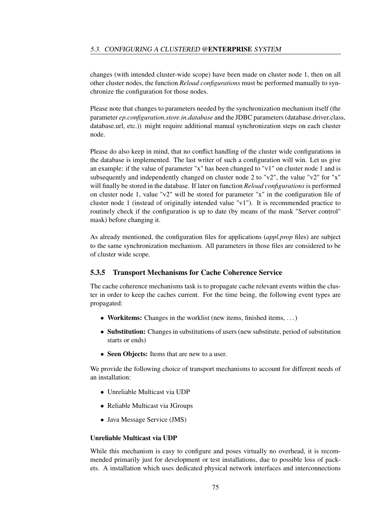changes (with intended cluster-wide scope) have been made on cluster node 1, then on all other cluster nodes, the function *Reload configurations* must be performed manually to synchronize the configuration for those nodes.

Please note that changes to parameters needed by the synchronization mechanism itself (the parameter *ep.configuration.store.in.database* and the JDBC parameters (database.driver.class, database.url, etc.)) might require additional manual synchronization steps on each cluster node.

Please do also keep in mind, that no conflict handling of the cluster wide configurations in the database is implemented. The last writer of such a configuration will win. Let us give an example: if the value of parameter "x" has been changed to "v1" on cluster node 1 and is subsequently and independently changed on cluster node 2 to "v2", the value "v2" for "x" will finally be stored in the database. If later on function *Reload configurations* is performed on cluster node 1, value "v2" will be stored for parameter "x" in the configuration file of cluster node 1 (instead of originally intended value "v1"). It is recommended practice to routinely check if the configuration is up to date (by means of the mask "Server control" mask) before changing it.

As already mentioned, the configuration files for applications (*appl.prop* files) are subject to the same synchronization mechanism. All parameters in those files are considered to be of cluster wide scope.

#### 5.3.5 Transport Mechanisms for Cache Coherence Service

The cache coherence mechanisms task is to propagate cache relevant events within the cluster in order to keep the caches current. For the time being, the following event types are propagated:

- Workitems: Changes in the worklist (new items, finished items, ...)
- Substitution: Changes in substitutions of users (new substitute, period of substitution starts or ends)
- Seen Objects: Items that are new to a user.

We provide the following choice of transport mechanisms to account for different needs of an installation:

- Unreliable Multicast via UDP
- Reliable Multicast via JGroups
- Java Message Service (JMS)

#### Unreliable Multicast via UDP

While this mechanism is easy to configure and poses virtually no overhead, it is recommended primarily just for development or test installations, due to possible loss of packets. A installation which uses dedicated physical network interfaces and interconnections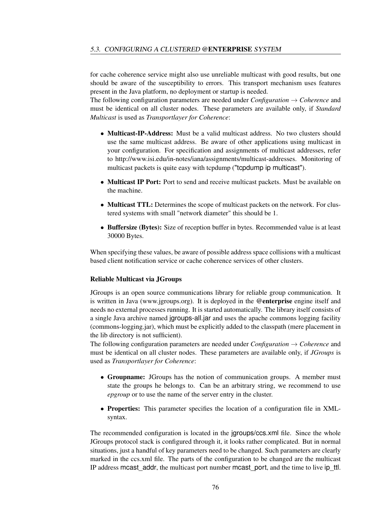for cache coherence service might also use unreliable multicast with good results, but one should be aware of the susceptibility to errors. This transport mechanism uses features present in the Java platform, no deployment or startup is needed.

The following configuration parameters are needed under *Configuration* → *Coherence* and must be identical on all cluster nodes. These parameters are available only, if *Standard Multicast* is used as *Transportlayer for Coherence*:

- Multicast-IP-Address: Must be a valid multicast address. No two clusters should use the same multicast address. Be aware of other applications using multicast in your configuration. For specification and assignments of multicast addresses, refer to http://www.isi.edu/in-notes/iana/assignments/multicast-addresses. Monitoring of multicast packets is quite easy with tcpdump ("tcpdump ip multicast").
- Multicast IP Port: Port to send and receive multicast packets. Must be available on the machine.
- Multicast TTL: Determines the scope of multicast packets on the network. For clustered systems with small "network diameter" this should be 1.
- Buffersize (Bytes): Size of reception buffer in bytes. Recommended value is at least 30000 Bytes.

When specifying these values, be aware of possible address space collisions with a multicast based client notification service or cache coherence services of other clusters.

#### Reliable Multicast via JGroups

JGroups is an open source communications library for reliable group communication. It is written in Java (www.jgroups.org). It is deployed in the @enterprise engine itself and needs no external processes running. It is started automatically. The library itself consists of a single Java archive named jgroups-all.jar and uses the apache commons logging facility (commons-logging.jar), which must be explicitly added to the classpath (mere placement in the lib directory is not sufficient).

The following configuration parameters are needed under *Configuration* → *Coherence* and must be identical on all cluster nodes. These parameters are available only, if *JGroups* is used as *Transportlayer for Coherence*:

- Groupname: JGroups has the notion of communication groups. A member must state the groups he belongs to. Can be an arbitrary string, we recommend to use *epgroup* or to use the name of the server entry in the cluster.
- Properties: This parameter specifies the location of a configuration file in XMLsyntax.

The recommended configuration is located in the jgroups/ccs.xml file. Since the whole JGroups protocol stack is configured through it, it looks rather complicated. But in normal situations, just a handful of key parameters need to be changed. Such parameters are clearly marked in the ccs.xml file. The parts of the configuration to be changed are the multicast IP address mcast\_addr, the multicast port number mcast\_port, and the time to live ip\_ttl.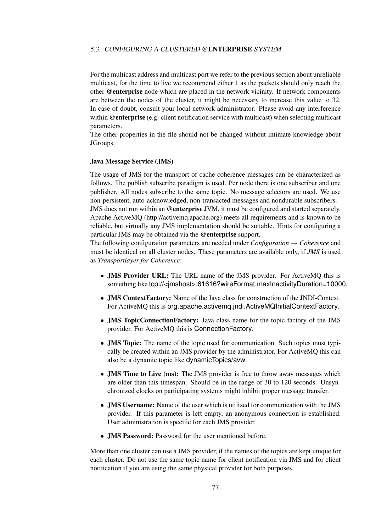For the multicast address and multicast port we refer to the previous section about unreliable multicast, for the time to live we recommend either 1 as the packets should only reach the other @enterprise node which are placed in the network vicinity. If network components are between the nodes of the cluster, it might be necessary to increase this value to 32. In case of doubt, consult your local network administrator. Please avoid any interference within @enterprise (e.g. client notification service with multicast) when selecting multicast parameters.

The other properties in the file should not be changed without intimate knowledge about JGroups.

#### Java Message Service (JMS)

The usage of JMS for the transport of cache coherence messages can be characterized as follows. The publish subscribe paradigm is used. Per node there is one subscriber and one publisher. All nodes subscribe to the same topic. No message selectors are used. We use non-persistent, auto-acknowledged, non-transacted messages and nondurable subscribers.

JMS does not run within an @enterprise JVM, it must be configured and started separately. Apache ActiveMQ (http://activemq.apache.org) meets all requirements and is known to be reliable, but virtually any JMS implementation should be suitable. Hints for configuring a particular JMS may be obtained via the @enterprise support.

The following configuration parameters are needed under *Configuration* → *Coherence* and must be identical on all cluster nodes. These parameters are available only, if *JMS* is used as *Transportlayer for Coherence*:

- **JMS Provider URL:** The URL name of the JMS provider. For ActiveMQ this is something like tcp://<jmshost>:61616?wireFormat.maxInactivityDuration=10000.
- JMS ContextFactory: Name of the Java class for construction of the JNDI-Context. For ActiveMQ this is org.apache.activemq.jndi.ActiveMQInitialContextFactory.
- JMS TopicConnectionFactory: Java class name for the topic factory of the JMS provider. For ActiveMQ this is ConnectionFactory.
- **JMS Topic:** The name of the topic used for communication. Such topics must typically be created within an JMS provider by the administrator. For ActiveMQ this can also be a dynamic topic like dynamicTopics/avw.
- **JMS Time to Live (ms):** The JMS provider is free to throw away messages which are older than this timespan. Should be in the range of 30 to 120 seconds. Unsynchronized clocks on participating systems might inhibit proper message transfer.
- **JMS Username:** Name of the user which is utilized for communication with the JMS provider. If this parameter is left empty, an anonymous connection is established. User administration is specific for each JMS provider.
- JMS Password: Password for the user mentioned before.

More than one cluster can use a JMS provider, if the names of the topics are kept unique for each cluster. Do not use the same topic name for client notification via JMS and for client notification if you are using the same physical provider for both purposes.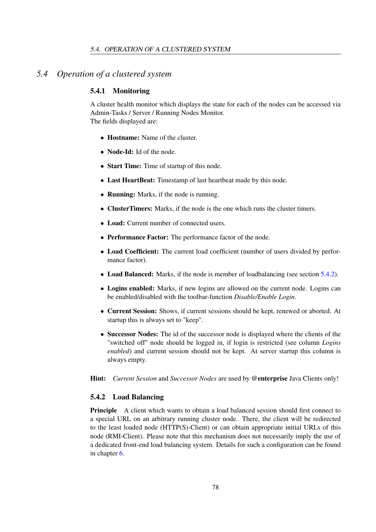## *5.4 Operation of a clustered system*

#### 5.4.1 Monitoring

A cluster health monitor which displays the state for each of the nodes can be accessed via Admin-Tasks / Server / Running Nodes Monitor. The fields displayed are:

- Hostname: Name of the cluster.
- Node-Id: Id of the node.
- Start Time: Time of startup of this node.
- Last HeartBeat: Timestamp of last heartbeat made by this node.
- Running: Marks, if the node is running.
- ClusterTimers: Marks, if the node is the one which runs the cluster timers.
- Load: Current number of connected users.
- Performance Factor: The performance factor of the node.
- Load Coefficient: The current load coefficient (number of users divided by performance factor).
- Load Balanced: Marks, if the node is member of loadbalancing (see section [5.4.2\)](#page-77-0).
- Logins enabled: Marks, if new logins are allowed on the current node. Logins can be enabled/disabled with the toolbar-function *Disable/Enable Login*.
- Current Session: Shows, if current sessions should be kept, renewed or aborted. At startup this is always set to "keep".
- Successor Nodes: The id of the successor node is displayed where the clients of the "switched off" node should be logged in, if login is restricted (see column *Logins enabled*) and current session should not be kept. At server startup this column is always empty.
- Hint: *Current Session* and *Successor Nodes* are used by @enterprise Java Clients only!

#### <span id="page-77-0"></span>5.4.2 Load Balancing

Principle A client which wants to obtain a load balanced session should first connect to a special URL on an arbitrary running cluster node. There, the client will be redirected to the least loaded node (HTTP(S)-Client) or can obtain appropriate initial URLs of this node (RMI-Client). Please note that this mechanism does not necessarily imply the use of a dedicated front-end load balancing system. Details for such a configuration can be found in chapter [6.](#page-79-0)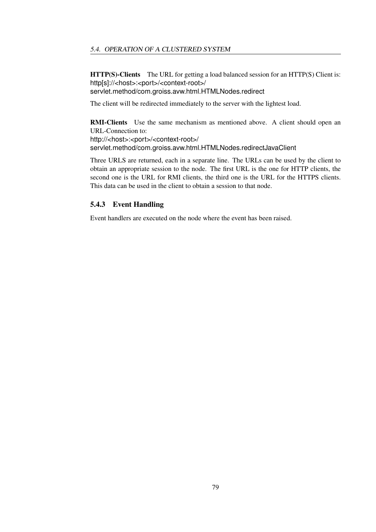HTTP(S)-Clients The URL for getting a load balanced session for an HTTP(S) Client is: http[s]://<host>:<port>/<context-root>/ servlet.method/com.groiss.avw.html.HTMLNodes.redirect

The client will be redirected immediately to the server with the lightest load.

RMI-Clients Use the same mechanism as mentioned above. A client should open an URL-Connection to: http://<host>:<port>/<context-root>/ servlet.method/com.groiss.avw.html.HTMLNodes.redirectJavaClient

Three URLS are returned, each in a separate line. The URLs can be used by the client to obtain an appropriate session to the node. The first URL is the one for HTTP clients, the second one is the URL for RMI clients, the third one is the URL for the HTTPS clients. This data can be used in the client to obtain a session to that node.

#### 5.4.3 Event Handling

Event handlers are executed on the node where the event has been raised.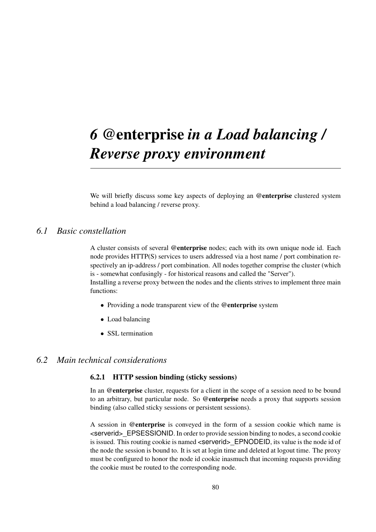# <span id="page-79-0"></span>*6* @enterprise *in a Load balancing / Reverse proxy environment*

We will briefly discuss some key aspects of deploying an @enterprise clustered system behind a load balancing / reverse proxy.

## *6.1 Basic constellation*

A cluster consists of several @enterprise nodes; each with its own unique node id. Each node provides HTTP(S) services to users addressed via a host name / port combination respectively an ip-address / port combination. All nodes together comprise the cluster (which is - somewhat confusingly - for historical reasons and called the "Server"). Installing a reverse proxy between the nodes and the clients strives to implement three main functions:

- Providing a node transparent view of the @enterprise system
- Load balancing
- SSL termination

## *6.2 Main technical considerations*

#### 6.2.1 HTTP session binding (sticky sessions)

In an @enterprise cluster, requests for a client in the scope of a session need to be bound to an arbitrary, but particular node. So @enterprise needs a proxy that supports session binding (also called sticky sessions or persistent sessions).

A session in @enterprise is conveyed in the form of a session cookie which name is <serverid>\_EPSESSIONID. In order to provide session binding to nodes, a second cookie is issued. This routing cookie is named <serverid> EPNODEID, its value is the node id of the node the session is bound to. It is set at login time and deleted at logout time. The proxy must be configured to honor the node id cookie inasmuch that incoming requests providing the cookie must be routed to the corresponding node.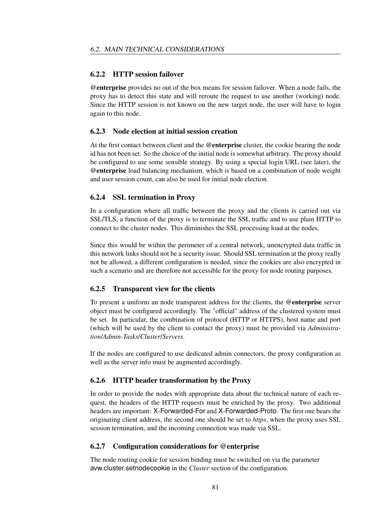#### 6.2.2 HTTP session failover

@enterprise provides no out of the box means for session failover. When a node fails, the proxy has to detect this state and will reroute the request to use another (working) node. Since the HTTP session is not known on the new target node, the user will have to login again to this node.

#### 6.2.3 Node election at initial session creation

At the first contact between client and the @enterprise cluster, the cookie bearing the node id has not been set. So the choice of the initial node is somewhat arbitrary. The proxy should be configured to use some sensible strategy. By using a special login URL (see later), the @enterprise load balancing mechanism, which is based on a combination of node weight and user session count, can also be used for initial node election.

#### 6.2.4 SSL termination in Proxy

In a configuration where all traffic between the proxy and the clients is carried out via SSL/TLS, a function of the proxy is to terminate the SSL traffic and to use plain HTTP to connect to the cluster nodes. This diminishes the SSL processing load at the nodes.

Since this would be within the perimeter of a central network, unencrypted data traffic in this network links should not be a security issue. Should SSL termination at the proxy really not be allowed, a different configuration is needed, since the cookies are also encrypted in such a scenario and are therefore not accessible for the proxy for node routing purposes.

#### <span id="page-80-0"></span>6.2.5 Transparent view for the clients

To present a uniform an node transparent address for the clients, the @enterprise server object must be configured accordingly. The "official" address of the clustered system must be set. In particular, the combination of protocol (HTTP or HTTPS), host name and port (which will be used by the client to contact the proxy) must be provided via *Administration*/*Admin-Tasks*/*Cluster*/*Servers*.

If the nodes are configured to use dedicated admin connectors, the proxy configuration as well as the server info must be augmented accordingly.

#### 6.2.6 HTTP header transformation by the Proxy

In order to provide the nodes with appropriate data about the technical nature of each request, the headers of the HTTP requests must be enriched by the proxy. Two additional headers are important: X-Forwarded-For and X-Forwarded-Proto. The first one bears the originating client address, the second one should be set to *https*, when the proxy uses SSL session termination, and the incoming connection was made via SSL.

#### 6.2.7 Configuration considerations for @enterprise

The node routing cookie for session binding must be switched on via the parameter avw.cluster.setnodecookie in the *Cluster* section of the configuration.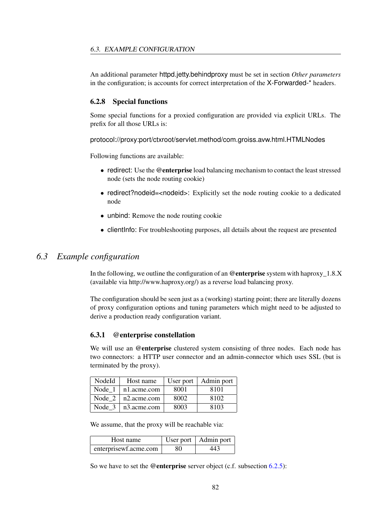An additional parameter httpd.jetty.behindproxy must be set in section *Other parameters* in the configuration; is accounts for correct interpretation of the X-Forwarded-\* headers.

#### 6.2.8 Special functions

Some special functions for a proxied configuration are provided via explicit URLs. The prefix for all those URLs is:

protocol://proxy:port/ctxroot/servlet.method/com.groiss.avw.html.HTMLNodes

Following functions are available:

- redirect: Use the @enterprise load balancing mechanism to contact the least stressed node (sets the node routing cookie)
- redirect?nodeid=<nodeid>: Explicitly set the node routing cookie to a dedicated node
- unbind: Remove the node routing cookie
- client informal Form troubleshooting purposes, all details about the request are presented

## *6.3 Example configuration*

In the following, we outline the configuration of an @enterprise system with haproxy  $1.8.X$ (available via http://www.haproxy.org/) as a reverse load balancing proxy.

The configuration should be seen just as a (working) starting point; there are literally dozens of proxy configuration options and tuning parameters which might need to be adjusted to derive a production ready configuration variant.

#### 6.3.1 @enterprise constellation

We will use an @enterprise clustered system consisting of three nodes. Each node has two connectors: a HTTP user connector and an admin-connector which uses SSL (but is terminated by the proxy).

| NodeId | Host name   |      | User port $\vert$ Admin port |
|--------|-------------|------|------------------------------|
| Node 1 | n1.acme.com | 8001 | 8101                         |
| Node 2 | n2.acme.com | 8002 | 8102                         |
| Node 3 | n3.acme.com | 8003 | 8103                         |

We assume, that the proxy will be reachable via:

| Host name             |     | User port   Admin port |
|-----------------------|-----|------------------------|
| enterprisewf.acme.com | -80 | 443                    |

So we have to set the @enterprise server object (c.f. subsection [6.2.5\)](#page-80-0):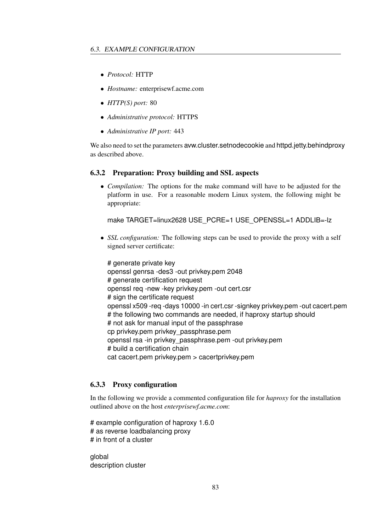- *Protocol:* HTTP
- *Hostname:* enterprisewf.acme.com
- *HTTP(S) port:* 80
- *Administrative protocol:* HTTPS
- *Administrative IP port:* 443

We also need to set the parameters avw.cluster.setnodecookie and httpd.jetty.behindproxy as described above.

#### 6.3.2 Preparation: Proxy building and SSL aspects

• *Compilation:* The options for the make command will have to be adjusted for the platform in use. For a reasonable modern Linux system, the following might be appropriate:

```
make TARGET=linux2628 USE_PCRE=1 USE_OPENSSL=1 ADDLIB=-lz
```
• *SSL configuration:* The following steps can be used to provide the proxy with a self signed server certificate:

# generate private key openssl genrsa -des3 -out privkey.pem 2048 # generate certification request openssl req -new -key privkey.pem -out cert.csr # sign the certificate request openssl x509 -req -days 10000 -in cert.csr -signkey privkey.pem -out cacert.pem # the following two commands are needed, if haproxy startup should # not ask for manual input of the passphrase cp privkey.pem privkey\_passphrase.pem openssl rsa -in privkey\_passphrase.pem -out privkey.pem # build a certification chain cat cacert.pem privkey.pem > cacertprivkey.pem

## 6.3.3 Proxy configuration

In the following we provide a commented configuration file for *haproxy* for the installation outlined above on the host *enterprisewf.acme.com*:

# example configuration of haproxy 1.6.0 # as reverse loadbalancing proxy # in front of a cluster

global description cluster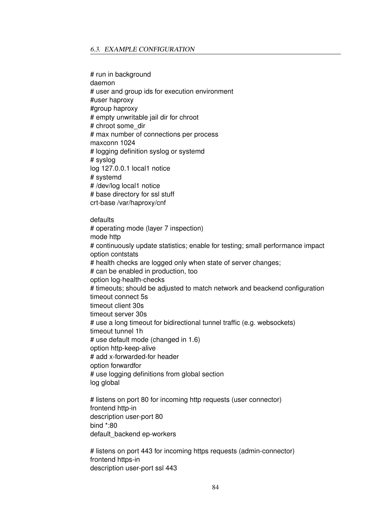# run in background daemon # user and group ids for execution environment #user haproxy #group haproxy # empty unwritable jail dir for chroot # chroot some\_dir # max number of connections per process maxconn 1024 # logging definition syslog or systemd # syslog log 127.0.0.1 local1 notice # systemd # /dev/log local1 notice # base directory for ssl stuff crt-base /var/haproxy/cnf

defaults

# operating mode (layer 7 inspection) mode http # continuously update statistics; enable for testing; small performance impact option contstats # health checks are logged only when state of server changes; # can be enabled in production, too option log-health-checks # timeouts; should be adjusted to match network and beackend configuration timeout connect 5s timeout client 30s timeout server 30s # use a long timeout for bidirectional tunnel traffic (e.g. websockets) timeout tunnel 1h # use default mode (changed in 1.6) option http-keep-alive # add x-forwarded-for header option forwardfor # use logging definitions from global section log global

# listens on port 80 for incoming http requests (user connector) frontend http-in description user-port 80 bind \*:80 default\_backend ep-workers

# listens on port 443 for incoming https requests (admin-connector) frontend https-in description user-port ssl 443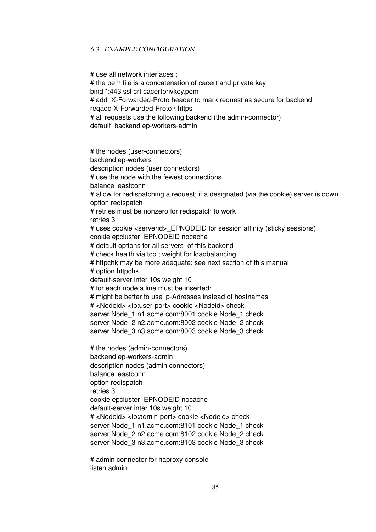#### 6.3. EXAMPLE CONFIGURATION

# use all network interfaces ; # the pem file is a concatenation of cacert and private key bind \*:443 ssl crt cacertprivkey.pem # add X-Forwarded-Proto header to mark request as secure for backend reqadd X-Forwarded-Proto:\ https # all requests use the following backend (the admin-connector) default\_backend ep-workers-admin # the nodes (user-connectors) backend ep-workers description nodes (user connectors) # use the node with the fewest connections balance leastconn # allow for redispatching a request; if a designated (via the cookie) server is down option redispatch # retries must be nonzero for redispatch to work retries 3 # uses cookie <serverid> EPNODEID for session affinity (sticky sessions) cookie epcluster\_EPNODEID nocache # default options for all servers of this backend # check health via tcp ; weight for loadbalancing # httpchk may be more adequate; see next section of this manual # option httpchk ... default-server inter 10s weight 10 # for each node a line must be inserted: # might be better to use ip-Adresses instead of hostnames # <Nodeid> <ip:user-port> cookie <Nodeid> check server Node\_1 n1.acme.com:8001 cookie Node\_1 check server Node\_2 n2.acme.com:8002 cookie Node\_2 check server Node\_3 n3.acme.com:8003 cookie Node\_3 check # the nodes (admin-connectors) backend ep-workers-admin description nodes (admin connectors) balance leastconn option redispatch retries 3 cookie epcluster\_EPNODEID nocache default-server inter 10s weight 10 # <Nodeid> <ip:admin-port> cookie <Nodeid> check server Node 1 n1.acme.com:8101 cookie Node 1 check server Node\_2 n2.acme.com:8102 cookie Node\_2 check server Node\_3 n3.acme.com:8103 cookie Node\_3 check

# admin connector for haproxy console listen admin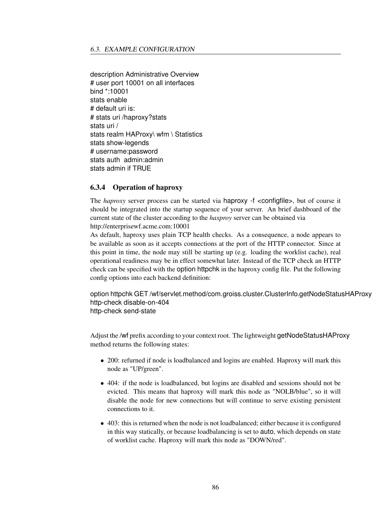description Administrative Overview # user port 10001 on all interfaces bind \*:10001 stats enable # default uri is: # stats uri /haproxy?stats stats uri / stats realm HAProxy\ wfm \ Statistics stats show-legends # username:password stats auth admin:admin stats admin if TRUE

#### 6.3.4 Operation of haproxy

The *haproxy* server process can be started via haproxy -f <configfile>, but of course it should be integrated into the startup sequence of your server. An brief dashboard of the current state of the cluster according to the *haxproy* server can be obtained via http://enterprisewf.acme.com:10001

As default, haproxy uses plain TCP health checks. As a consequence, a node appears to be available as soon as it accepts connections at the port of the HTTP connector. Since at this point in time, the node may still be starting up (e.g. loading the worklist cache), real operational readiness may be in effect somewhat later. Instead of the TCP check an HTTP check can be specified with the option httpchk in the haproxy config file. Put the following config options into each backend definition:

option httpchk GET /wf/servlet.method/com.groiss.cluster.ClusterInfo.getNodeStatusHAProxy http-check disable-on-404 http-check send-state

Adjust the /wf prefix according to your context root. The lightweight getNodeStatusHAProxy method returns the following states:

- 200: refurned if node is loadbalanced and logins are enabled. Haproxy will mark this node as "UP/green".
- 404: if the node is loadbalanced, but logins are disabled and sessions should not be evicted. This means that haproxy will mark this node as "NOLB/blue", so it will disable the node for new connections but will continue to serve existing persistent connections to it.
- 403: this is returned when the node is not loadbalanced; either because it is configured in this way statically, or because loadbalancing is set to auto, which depends on state of worklist cache. Haproxy will mark this node as "DOWN/red".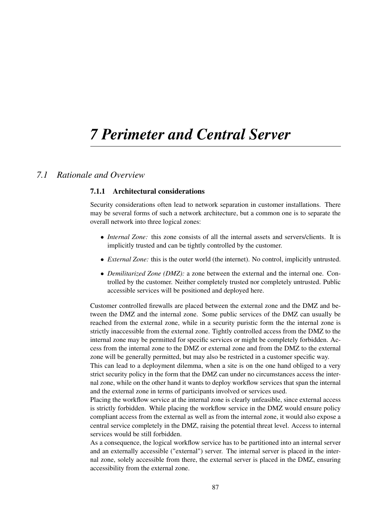# *7 Perimeter and Central Server*

## *7.1 Rationale and Overview*

#### 7.1.1 Architectural considerations

Security considerations often lead to network separation in customer installations. There may be several forms of such a network architecture, but a common one is to separate the overall network into three logical zones:

- *Internal Zone:* this zone consists of all the internal assets and servers/clients. It is implicitly trusted and can be tightly controlled by the customer.
- *External Zone:* this is the outer world (the internet). No control, implicitly untrusted.
- *Demilitarized Zone (DMZ):* a zone between the external and the internal one. Controlled by the customer. Neither completely trusted nor completely untrusted. Public accessible services will be positioned and deployed here.

Customer controlled firewalls are placed between the external zone and the DMZ and between the DMZ and the internal zone. Some public services of the DMZ can usually be reached from the external zone, while in a security puristic form the the internal zone is strictly inaccessible from the external zone. Tightly controlled access from the DMZ to the internal zone may be permitted for specific services or might be completely forbidden. Access from the internal zone to the DMZ or external zone and from the DMZ to the external zone will be generally permitted, but may also be restricted in a customer specific way.

This can lead to a deployment dilemma, when a site is on the one hand obliged to a very strict security policy in the form that the DMZ can under no circumstances access the internal zone, while on the other hand it wants to deploy workflow services that span the internal and the external zone in terms of participants involved or services used.

Placing the workflow service at the internal zone is clearly unfeasible, since external access is strictly forbidden. While placing the workflow service in the DMZ would ensure policy compliant access from the external as well as from the internal zone, it would also expose a central service completely in the DMZ, raising the potential threat level. Access to internal services would be still forbidden.

As a consequence, the logical workflow service has to be partitioned into an internal server and an externally accessible ("external") server. The internal server is placed in the internal zone, solely accessible from there, the external server is placed in the DMZ, ensuring accessibility from the external zone.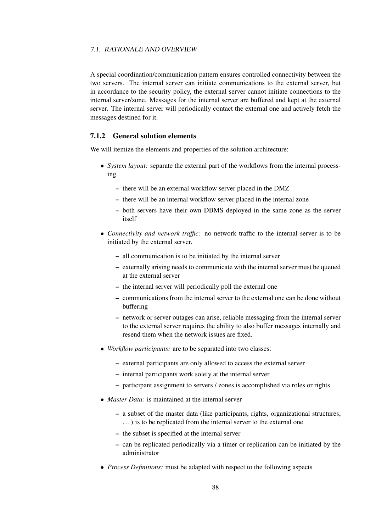A special coordination/communication pattern ensures controlled connectivity between the two servers. The internal server can initiate communications to the external server, but in accordance to the security policy, the external server cannot initiate connections to the internal server/zone. Messages for the internal server are buffered and kept at the external server. The internal server will periodically contact the external one and actively fetch the messages destined for it.

## 7.1.2 General solution elements

We will itemize the elements and properties of the solution architecture:

- *System layout:* separate the external part of the workflows from the internal processing.
	- there will be an external workflow server placed in the DMZ
	- there will be an internal workflow server placed in the internal zone
	- both servers have their own DBMS deployed in the same zone as the server itself
- *Connectivity and network traffic:* no network traffic to the internal server is to be initiated by the external server.
	- all communication is to be initiated by the internal server
	- externally arising needs to communicate with the internal server must be queued at the external server
	- the internal server will periodically poll the external one
	- communications from the internal server to the external one can be done without buffering
	- network or server outages can arise, reliable messaging from the internal server to the external server requires the ability to also buffer messages internally and resend them when the network issues are fixed.
- *Workflow participants:* are to be separated into two classes:
	- external participants are only allowed to access the external server
	- internal participants work solely at the internal server
	- participant assignment to servers / zones is accomplished via roles or rights
- *Master Data:* is maintained at the internal server
	- a subset of the master data (like participants, rights, organizational structures, . . . ) is to be replicated from the internal server to the external one
	- the subset is specified at the internal server
	- can be replicated periodically via a timer or replication can be initiated by the administrator
- *Process Definitions:* must be adapted with respect to the following aspects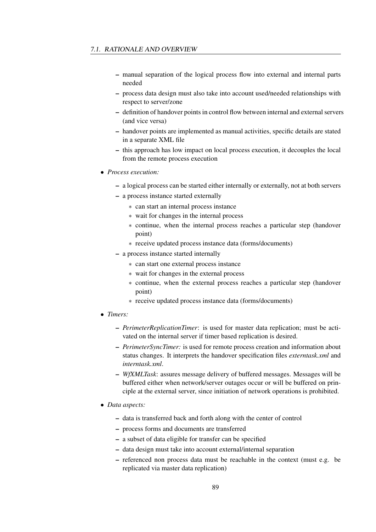- manual separation of the logical process flow into external and internal parts needed
- process data design must also take into account used/needed relationships with respect to server/zone
- definition of handover points in control flow between internal and external servers (and vice versa)
- handover points are implemented as manual activities, specific details are stated in a separate XML file
- this approach has low impact on local process execution, it decouples the local from the remote process execution
- *Process execution:*
	- a logical process can be started either internally or externally, not at both servers
	- a process instance started externally
		- ∗ can start an internal process instance
		- ∗ wait for changes in the internal process
		- ∗ continue, when the internal process reaches a particular step (handover point)
		- ∗ receive updated process instance data (forms/documents)
	- a process instance started internally
		- ∗ can start one external process instance
		- ∗ wait for changes in the external process
		- ∗ continue, when the external process reaches a particular step (handover point)
		- ∗ receive updated process instance data (forms/documents)
- *Timers:*
	- *PerimeterReplicationTimer*: is used for master data replication; must be activated on the internal server if timer based replication is desired.
	- *PerimeterSyncTimer:* is used for remote process creation and information about status changes. It interprets the handover specification files *externtask.xml* and *interntask.xml*.
	- *WfXMLTask*: assures message delivery of buffered messages. Messages will be buffered either when network/server outages occur or will be buffered on principle at the external server, since initiation of network operations is prohibited.
- *Data aspects:*
	- data is transferred back and forth along with the center of control
	- process forms and documents are transferred
	- a subset of data eligible for transfer can be specified
	- data design must take into account external/internal separation
	- referenced non process data must be reachable in the context (must e.g. be replicated via master data replication)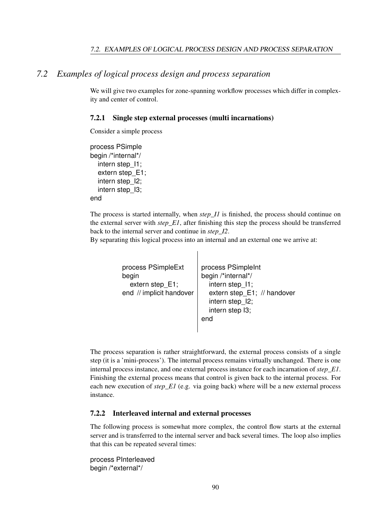## *7.2 Examples of logical process design and process separation*

We will give two examples for zone-spanning workflow processes which differ in complexity and center of control.

#### 7.2.1 Single step external processes (multi incarnations)

Consider a simple process

process PSimple begin /\*internal\*/ intern step 11: extern step\_E1; intern step\_I2; intern step\_I3; end

The process is started internally, when *step I1* is finished, the process should continue on the external server with *step\_E1*, after finishing this step the process should be transferred back to the internal server and continue in *step\_I2*.

By separating this logical process into an internal and an external one we arrive at:

```
process PSimpleExt
begin
  extern step_E1;
end // implicit handover
                          process PSimpleInt
                          begin /*internal*/
                            intern step_I1;
                            extern step_E1; // handover
                            intern step_I2;
                            intern step I3;
                          end
```
The process separation is rather straightforward, the external process consists of a single step (it is a 'mini-process'). The internal process remains virtually unchanged. There is one internal process instance, and one external process instance for each incarnation of *step\_E1*. Finishing the external process means that control is given back to the internal process. For each new execution of *step\_E1* (e.g. via going back) where will be a new external process instance.

#### <span id="page-89-0"></span>7.2.2 Interleaved internal and external processes

The following process is somewhat more complex, the control flow starts at the external server and is transferred to the internal server and back several times. The loop also implies that this can be repeated several times:

process PInterleaved begin /\*external\*/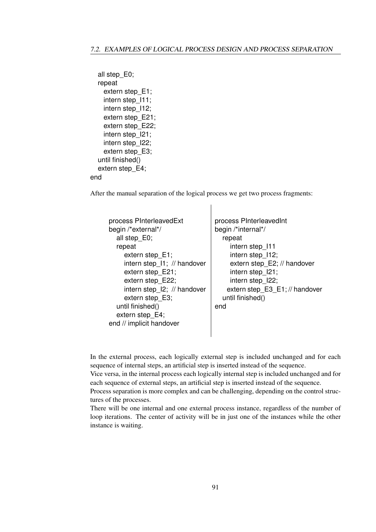```
all step_E0;
  repeat
    extern step_E1;
    intern step_I11;
    intern step_I12;
    extern step_E21;
    extern step_E22;
    intern step_I21;
    intern step_I22;
    extern step_E3;
  until finished()
  extern step_E4;
end
```
After the manual separation of the logical process we get two process fragments:

| process PInterleavedExt<br>begin /*external*/<br>all step E0;<br>repeat<br>extern step_E1;<br>intern step_11; // handover<br>extern step E21;<br>extern step E22;<br>intern step_l2; // handover<br>extern step_E3;<br>until finished()<br>extern step E4;<br>end // implicit handover | process PInterleavedInt<br>begin /*internal*/<br>repeat<br>intern step 111<br>intern step 112;<br>extern step_E2; // handover<br>intern step_l21;<br>intern step 122;<br>extern step_E3_E1; // handover<br>until finished()<br>end |
|----------------------------------------------------------------------------------------------------------------------------------------------------------------------------------------------------------------------------------------------------------------------------------------|------------------------------------------------------------------------------------------------------------------------------------------------------------------------------------------------------------------------------------|
|----------------------------------------------------------------------------------------------------------------------------------------------------------------------------------------------------------------------------------------------------------------------------------------|------------------------------------------------------------------------------------------------------------------------------------------------------------------------------------------------------------------------------------|

In the external process, each logically external step is included unchanged and for each sequence of internal steps, an artificial step is inserted instead of the sequence.

Vice versa, in the internal process each logically internal step is included unchanged and for each sequence of external steps, an artificial step is inserted instead of the sequence.

Process separation is more complex and can be challenging, depending on the control structures of the processes.

There will be one internal and one external process instance, regardless of the number of loop iterations. The center of activity will be in just one of the instances while the other instance is waiting.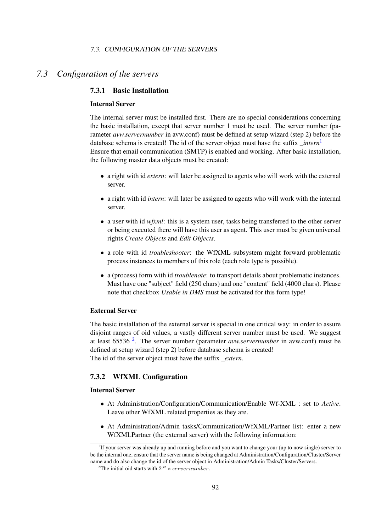## *7.3 Configuration of the servers*

#### <span id="page-91-2"></span>7.3.1 Basic Installation

#### Internal Server

The internal server must be installed first. There are no special considerations concerning the basic installation, except that server number 1 must be used. The server number (parameter *avw.servernumber* in avw.conf) must be defined at setup wizard (step 2) before the database schema is created! The id of the server object must have the suffix *\_intern*[1](#page-91-0) Ensure that email communication (SMTP) is enabled and working. After basic installation, the following master data objects must be created:

- a right with id *extern*: will later be assigned to agents who will work with the external server.
- a right with id *intern*: will later be assigned to agents who will work with the internal server.
- a user with id *wfxml*: this is a system user, tasks being transferred to the other server or being executed there will have this user as agent. This user must be given universal rights *Create Objects* and *Edit Objects*.
- a role with id *troubleshooter*: the WfXML subsystem might forward problematic process instances to members of this role (each role type is possible).
- a (process) form with id *troublenote*: to transport details about problematic instances. Must have one "subject" field (250 chars) and one "content" field (4000 chars). Please note that checkbox *Usable in DMS* must be activated for this form type!

#### External Server

The basic installation of the external server is special in one critical way: in order to assure disjoint ranges of oid values, a vastly different server number must be used. We suggest at least 65536 [2](#page-91-1) . The server number (parameter *avw.servernumber* in avw.conf) must be defined at setup wizard (step 2) before database schema is created! The id of the server object must have the suffix *\_extern*.

#### 7.3.2 WfXML Configuration

#### Internal Server

- At Administration/Configuration/Communication/Enable Wf-XML : set to *Active*. Leave other WfXML related properties as they are.
- At Administration/Admin tasks/Communication/WfXML/Partner list: enter a new WfXMLPartner (the external server) with the following information:

<span id="page-91-0"></span><sup>&</sup>lt;sup>1</sup>If your server was already up and running before and you want to change your (up to now single) server to be the internal one, ensure that the server name is being changed at Administration/Configuration/Cluster/Server name and do also change the id of the server object in Administration/Admin Tasks/Cluster/Servers.

<span id="page-91-1"></span><sup>&</sup>lt;sup>2</sup>The initial oid starts with  $2^{32} * server number$ .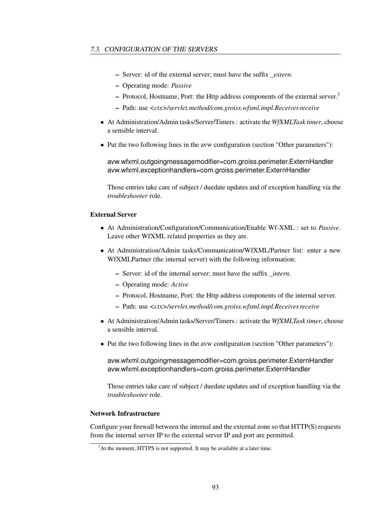- Server: id of the external server; must have the suffix *extern*.
- Operating mode: *Passive*
- $-$  Protocol, Hostname, Port: the Http address components of the external server.<sup>[3](#page-92-0)</sup>
- Path: use *<ctx>/servlet.method/com.groiss.wfxml.impl.Receiver.receive*
- At Administration/Admin tasks/Server/Timers : activate the *WfXMLTask timer*, choose a sensible interval.
- Put the two following lines in the avw configuration (section "Other parameters"):

avw.wfxml.outgoingmessagemodifier=com.groiss.perimeter.ExternHandler avw.wfxml.exceptionhandlers=com.groiss.perimeter.ExternHandler

Those entries take care of subject / duedate updates and of exception handling via the *troubleshooter* role.

#### External Server

- At Administration/Configuration/Communication/Enable Wf-XML : set to *Passive*. Leave other WfXML related properties as they are.
- At Administration/Admin tasks/Communication/WfXML/Partner list: enter a new WfXMLPartner (the internal server) with the following information:
	- Server: id of the internal server; must have the suffix *\_intern*.
	- Operating mode: *Active*
	- Protocol, Hostname, Port: the Http address components of the internal server.
	- Path: use *<ctx>/servlet.method/com.groiss.wfxml.impl.Receiver.receive*
- At Administration/Admin tasks/Server/Timers : activate the *WfXMLTask timer*, choose a sensible interval.
- Put the two following lines in the avw configuration (section "Other parameters"):

avw.wfxml.outgoingmessagemodifier=com.groiss.perimeter.ExternHandler avw.wfxml.exceptionhandlers=com.groiss.perimeter.ExternHandler

Those entries take care of subject / duedate updates and of exception handling via the *troubleshooter* role.

#### Network Infrastructure

Configure your firewall between the internal and the external zone so that HTTP(S) requests from the internal server IP to the external server IP and port are permitted.

<span id="page-92-0"></span><sup>&</sup>lt;sup>3</sup>At the moment, HTTPS is not supported. It may be available at a later time.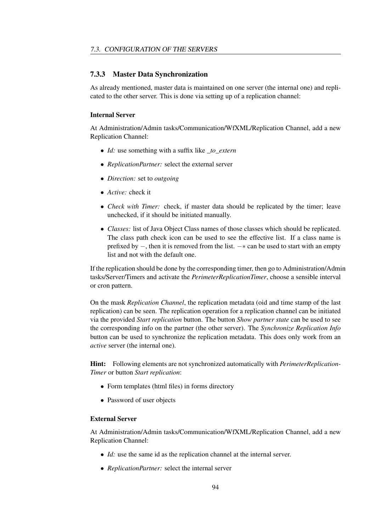#### 7.3.3 Master Data Synchronization

As already mentioned, master data is maintained on one server (the internal one) and replicated to the other server. This is done via setting up of a replication channel:

#### Internal Server

At Administration/Admin tasks/Communication/WfXML/Replication Channel, add a new Replication Channel:

- *Id:* use something with a suffix like *to extern*
- *ReplicationPartner:* select the external server
- *Direction:* set to *outgoing*
- *Active:* check it
- *Check with Timer:* check, if master data should be replicated by the timer; leave unchecked, if it should be initiated manually.
- *Classes:* list of Java Object Class names of those classes which should be replicated. The class path check icon can be used to see the effective list. If a class name is prefixed by  $-$ , then it is removed from the list.  $-*$  can be used to start with an empty list and not with the default one.

If the replication should be done by the corresponding timer, then go to Administration/Admin tasks/Server/Timers and activate the *PerimeterReplicationTimer*, choose a sensible interval or cron pattern.

On the mask *Replication Channel*, the replication metadata (oid and time stamp of the last replication) can be seen. The replication operation for a replication channel can be initiated via the provided *Start replication* button. The button *Show partner state* can be used to see the corresponding info on the partner (the other server). The *Synchronize Replication Info* button can be used to synchronize the replication metadata. This does only work from an *active* server (the internal one).

Hint: Following elements are not synchronized automatically with *PerimeterReplication-Timer* or button *Start replication*:

- Form templates (html files) in forms directory
- Password of user objects

#### External Server

At Administration/Admin tasks/Communication/WfXML/Replication Channel, add a new Replication Channel:

- *Id:* use the same id as the replication channel at the internal server.
- *ReplicationPartner:* select the internal server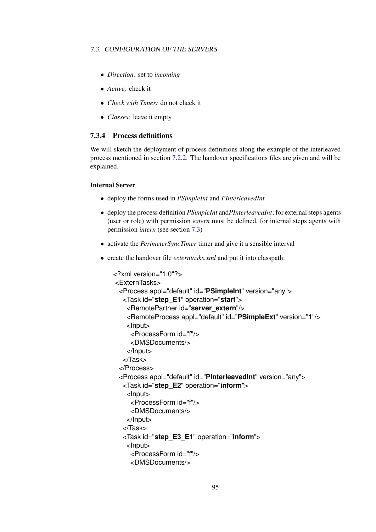- *Direction:* set to *incoming*
- *Active:* check it
- *Check with Timer:* do not check it
- *Classes:* leave it empty

## 7.3.4 Process definitions

We will sketch the deployment of process definitions along the example of the interleaved process mentioned in section [7.2.2.](#page-89-0) The handover specifications files are given and will be explained.

#### Internal Server

- deploy the forms used in *PSimpleInt* and *PInterleavedInt*
- deploy the process definition *PSimpleInt* and*PInterleavedInt*; for external steps agents (user or role) with permission *extern* must be defined, for internal steps agents with permission *intern* (see section [7.3\)](#page-91-2)
- activate the *PerimeterSyncTimer* timer and give it a sensible interval
- create the handover file *externtasks.xml* and put it into classpath:

```
<?xml version="1.0"?>
<ExternTasks>
 <Process appl="default" id="PSimpleInt" version="any">
   <Task id="step_E1" operation="start">
    <RemotePartner id="server_extern"/>
    <RemoteProcess appl="default" id="PSimpleExt" version="1"/>
    <Input>
     <ProcessForm id="f"/>
     <DMSDocuments/>
    </Input>
   </Task>
 </Process>
 <Process appl="default" id="PInterleavedInt" version="any">
   <Task id="step_E2" operation="inform">
    <Input>
     <ProcessForm id="f"/>
     <DMSDocuments/>
    </Input>
   </Task>
   <Task id="step_E3_E1" operation="inform">
    <Input>
     <ProcessForm id="f"/>
     <DMSDocuments/>
```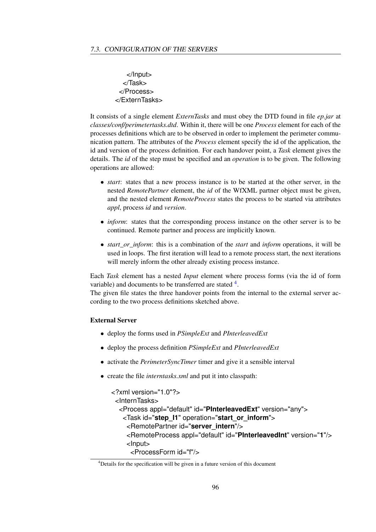</Input> </Task> </Process> </ExternTasks>

It consists of a single element *ExternTasks* and must obey the DTD found in file *ep.jar* at *classes/conf/perimetertasks.dtd*. Within it, there will be one *Process* element for each of the processes definitions which are to be observed in order to implement the perimeter communication pattern. The attributes of the *Process* element specify the id of the application, the id and version of the process definition. For each handover point, a *Task* element gives the details. The *id* of the step must be specified and an *operation* is to be given. The following operations are allowed:

- *start*: states that a new process instance is to be started at the other server, in the nested *RemotePartner* element, the *id* of the WfXML partner object must be given, and the nested element *RemoteProcess* states the process to be started via attributes *appl*, process *id* and *version*.
- *inform*: states that the corresponding process instance on the other server is to be continued. Remote partner and process are implicitly known.
- *start\_or\_inform*: this is a combination of the *start* and *inform* operations, it will be used in loops. The first iteration will lead to a remote process start, the next iterations will merely inform the other already existing process instance.

Each *Task* element has a nested *Input* element where process forms (via the id of form variable) and documents to be transferred are stated  $4$ .

The given file states the three handover points from the internal to the external server according to the two process definitions sketched above.

#### External Server

- deploy the forms used in *PSimpleExt* and *PInterleavedExt*
- deploy the process definition *PSimpleExt* and *PInterleavedExt*
- activate the *PerimeterSyncTimer* timer and give it a sensible interval
- create the file *interntasks.xml* and put it into classpath:

```
<?xml version="1.0"?>
 <InternTasks>
  <Process appl="default" id="PInterleavedExt" version="any">
   <Task id="step_I1" operation="start_or_inform">
    <RemotePartner id="server_intern"/>
    <RemoteProcess appl="default" id="PInterleavedInt" version="1"/>
    <Input>
     <ProcessForm id="f"/>
```
<span id="page-95-0"></span><sup>4</sup>Details for the specification will be given in a future version of this document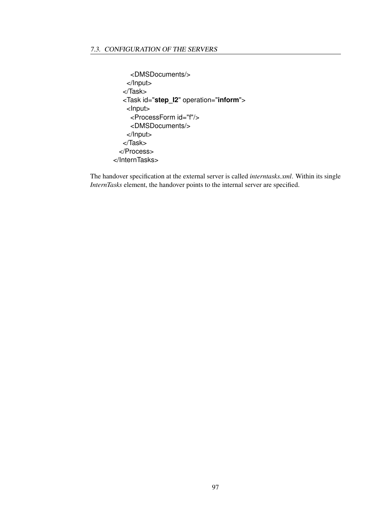```
<DMSDocuments/>
    </Input>
   </Task>
  <Task id="step_I2" operation="inform">
    <Input>
     <ProcessForm id="f"/>
     <DMSDocuments/>
    </Input>
  </Task>
 </Process>
</InternTasks>
```
The handover specification at the external server is called *interntasks.xml*. Within its single *InternTasks* element, the handover points to the internal server are specified.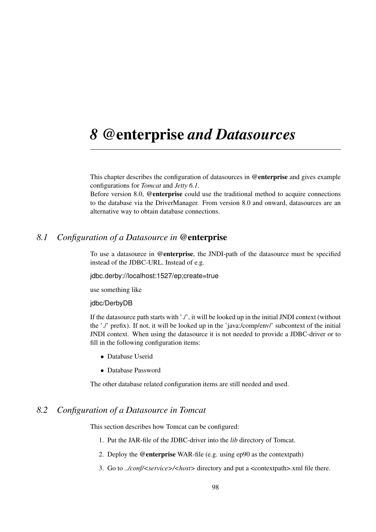## *8* @enterprise *and Datasources*

This chapter describes the configuration of datasources in @enterprise and gives example configurations for *Tomcat* and *Jetty 6.1*.

Before version 8.0, @enterprise could use the traditional method to acquire connections to the database via the DriverManager. From version 8.0 and onward, datasources are an alternative way to obtain database connections.

## *8.1 Configuration of a Datasource in* @enterprise

To use a datasource in @enterprise, the JNDI-path of the datasource must be specified instead of the JDBC-URL. Instead of e.g.

jdbc.derby://localhost:1527/ep;create=true

use something like

#### idbc/DerbvDB

If the datasource path starts with './', it will be looked up in the initial JNDI context (without the './' prefix). If not, it will be looked up in the 'java:/comp/env/' subcontext of the initial JNDI context. When using the datasource it is not needed to provide a JDBC-driver or to fill in the following configuration items:

- Database Userid
- Database Password

The other database related configuration items are still needed and used.

## *8.2 Configuration of a Datasource in Tomcat*

This section describes how Tomcat can be configured:

- 1. Put the JAR-file of the JDBC-driver into the *lib* directory of Tomcat.
- 2. Deploy the @enterprise WAR-file (e.g. using ep90 as the contextpath)
- 3. Go to *../conf/<service>/<host>* directory and put a <contextpath>.xml file there.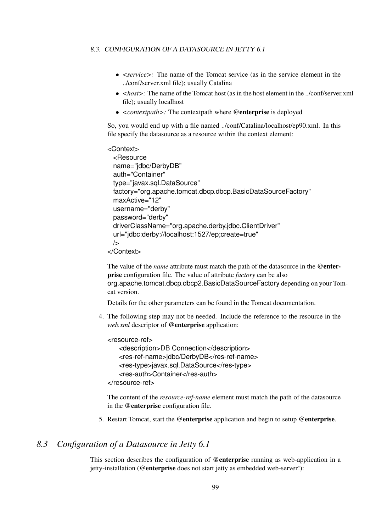- *<service>:* The name of the Tomcat service (as in the service element in the ../conf/server.xml file); usually Catalina
- *<host>*: The name of the Tomcat host (as in the host element in the ../conf/server.xml file); usually localhost
- *<contextpath>:* The contextpath where @enterprise is deployed

So, you would end up with a file named ../conf/Catalina/localhost/ep90.xml. In this file specify the datasource as a resource within the context element:

```
<Context>
 <Resource
 name="jdbc/DerbyDB"
 auth="Container"
 type="javax.sql.DataSource"
 factory="org.apache.tomcat.dbcp.dbcp.BasicDataSourceFactory"
 maxActive="12"
 username="derby"
 password="derby"
 driverClassName="org.apache.derby.jdbc.ClientDriver"
 url="jdbc:derby://localhost:1527/ep;create=true"
 /</Context>
```
The value of the *name* attribute must match the path of the datasource in the @enterprise configuration file. The value of attribute *factory* can be also org.apache.tomcat.dbcp.dbcp2.BasicDataSourceFactory depending on your Tomcat version.

Details for the other parameters can be found in the Tomcat documentation.

4. The following step may not be needed. Include the reference to the resource in the *web.xml* descriptor of @enterprise application:

```
<resource-ref>
   <description>DB Connection</description>
   <res-ref-name>jdbc/DerbyDB</res-ref-name>
   <res-type>javax.sql.DataSource</res-type>
   <res-auth>Container</res-auth>
</resource-ref>
```
The content of the *resource-ref-name* element must match the path of the datasource in the @enterprise configuration file.

5. Restart Tomcat, start the @enterprise application and begin to setup @enterprise.

## *8.3 Configuration of a Datasource in Jetty 6.1*

This section describes the configuration of @enterprise running as web-application in a jetty-installation (@enterprise does not start jetty as embedded web-server!):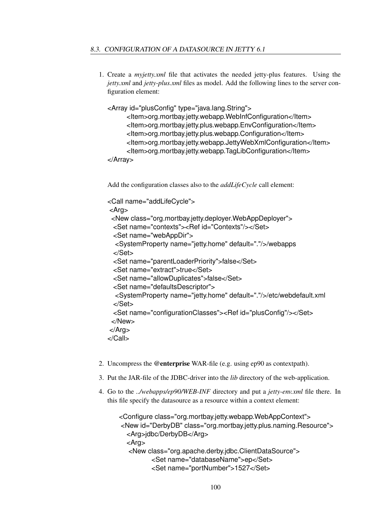1. Create a *myjetty.xml* file that activates the needed jetty-plus features. Using the *jetty.xml* and *jetty-plus.xml* files as model. Add the following lines to the server configuration element:

<Array id="plusConfig" type="java.lang.String">

<Item>org.mortbay.jetty.webapp.WebInfConfiguration</Item> <Item>org.mortbay.jetty.plus.webapp.EnvConfiguration</Item> <Item>org.mortbay.jetty.plus.webapp.Configuration</Item> <Item>org.mortbay.jetty.webapp.JettyWebXmlConfiguration</Item> <Item>org.mortbay.jetty.webapp.TagLibConfiguration</Item>

```
</Array>
```
Add the configuration classes also to the *addLifeCycle* call element:

```
<Call name="addLifeCycle">
<Arg>
 <New class="org.mortbay.jetty.deployer.WebAppDeployer">
 <Set name="contexts"><Ref id="Contexts"/></Set>
 <Set name="webAppDir">
  <SystemProperty name="jetty.home" default="."/>/webapps
 </Set>
 <Set name="parentLoaderPriority">false</Set>
 <Set name="extract">true</Set>
 <Set name="allowDuplicates">false</Set>
 <Set name="defaultsDescriptor">
  <SystemProperty name="jetty.home" default="."/>/etc/webdefault.xml
 </Set>
 <Set name="configurationClasses"><Ref id="plusConfig"/></Set>
 </New>
</Arg>
</Call>
```
- 2. Uncompress the @enterprise WAR-file (e.g. using ep90 as contextpath).
- 3. Put the JAR-file of the JDBC-driver into the *lib* directory of the web-application.
- 4. Go to the *../webapps/ep90/WEB-INF* directory and put a *jetty-env.xml* file there. In this file specify the datasource as a resource within a context element:

```
<Configure class="org.mortbay.jetty.webapp.WebAppContext">
<New id="DerbyDB" class="org.mortbay.jetty.plus.naming.Resource">
  <Arg>jdbc/DerbyDB</Arg>
  <Arg>
  <New class="org.apache.derby.jdbc.ClientDataSource">
         <Set name="databaseName">ep</Set>
         <Set name="portNumber">1527</Set>
```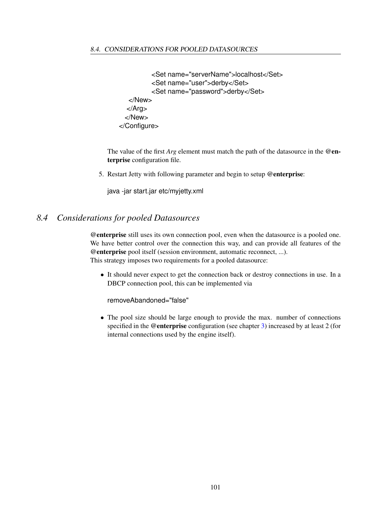```
<Set name="serverName">localhost</Set>
         <Set name="user">derby</Set>
         <Set name="password">derby</Set>
  </New>
  </Arg>
 </New>
</Configure>
```
The value of the first *Arg* element must match the path of the datasource in the @enterprise configuration file.

5. Restart Jetty with following parameter and begin to setup @enterprise:

java -jar start.jar etc/myjetty.xml

## *8.4 Considerations for pooled Datasources*

@enterprise still uses its own connection pool, even when the datasource is a pooled one. We have better control over the connection this way, and can provide all features of the @enterprise pool itself (session environment, automatic reconnect, ...). This strategy imposes two requirements for a pooled datasource:

• It should never expect to get the connection back or destroy connections in use. In a DBCP connection pool, this can be implemented via

removeAbandoned="false"

• The pool size should be large enough to provide the max. number of connections specified in the @enterprise configuration (see chapter [3\)](#page-22-0) increased by at least 2 (for internal connections used by the engine itself).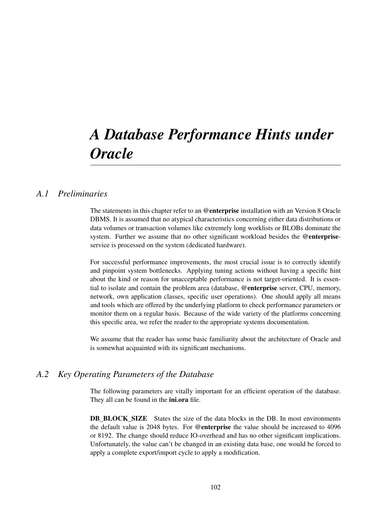# *A Database Performance Hints under Oracle*

## *A.1 Preliminaries*

The statements in this chapter refer to an @enterprise installation with an Version 8 Oracle DBMS. It is assumed that no atypical characteristics concerning either data distributions or data volumes or transaction volumes like extremely long worklists or BLOBs dominate the system. Further we assume that no other significant workload besides the @enterpriseservice is processed on the system (dedicated hardware).

For successful performance improvements, the most crucial issue is to correctly identify and pinpoint system bottlenecks. Applying tuning actions without having a specific hint about the kind or reason for unacceptable performance is not target-oriented. It is essential to isolate and contain the problem area (database, @enterprise server, CPU, memory, network, own application classes, specific user operations). One should apply all means and tools which are offered by the underlying platform to check performance parameters or monitor them on a regular basis. Because of the wide variety of the platforms concerning this specific area, we refer the reader to the appropriate systems documentation.

We assume that the reader has some basic familiarity about the architecture of Oracle and is somewhat acquainted with its significant mechanisms.

## *A.2 Key Operating Parameters of the Database*

The following parameters are vitally important for an efficient operation of the database. They all can be found in the *iniora* file.

**DB\_BLOCK\_SIZE** States the size of the data blocks in the DB. In most environments the default value is 2048 bytes. For @enterprise the value should be increased to 4096 or 8192. The change should reduce IO-overhead and has no other significant implications. Unfortunately, the value can't be changed in an existing data base, one would be forced to apply a complete export/import cycle to apply a modification.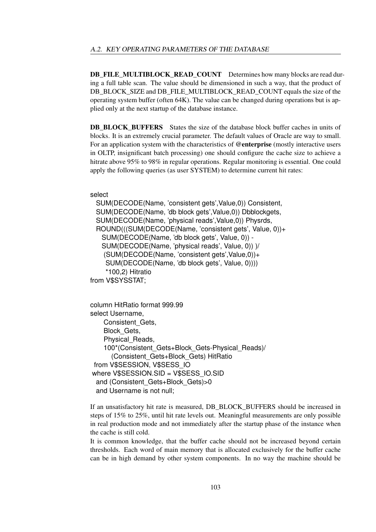DB\_FILE\_MULTIBLOCK\_READ\_COUNT Determines how many blocks are read during a full table scan. The value should be dimensioned in such a way, that the product of DB\_BLOCK\_SIZE and DB\_FILE\_MULTIBLOCK\_READ\_COUNT equals the size of the operating system buffer (often 64K). The value can be changed during operations but is applied only at the next startup of the database instance.

**DB\_BLOCK\_BUFFERS** States the size of the database block buffer caches in units of blocks. It is an extremely crucial parameter. The default values of Oracle are way to small. For an application system with the characteristics of @enterprise (mostly interactive users in OLTP, insignificant batch processing) one should configure the cache size to achieve a hitrate above 95% to 98% in regular operations. Regular monitoring is essential. One could apply the following queries (as user SYSTEM) to determine current hit rates:

select

SUM(DECODE(Name, 'consistent gets',Value,0)) Consistent, SUM(DECODE(Name, 'db block gets',Value,0)) Dbblockgets, SUM(DECODE(Name, 'physical reads',Value,0)) Physrds, ROUND(((SUM(DECODE(Name, 'consistent gets', Value, 0))+ SUM(DECODE(Name, 'db block gets', Value, 0)) - SUM(DECODE(Name, 'physical reads', Value, 0)) )/ (SUM(DECODE(Name, 'consistent gets',Value,0))+ SUM(DECODE(Name, 'db block gets', Value, 0)))) \*100,2) Hitratio from V\$SYSSTAT;

```
column HitRatio format 999.99
select Username,
   Consistent_Gets,
   Block_Gets,
    Physical_Reads,
    100*(Consistent_Gets+Block_Gets-Physical_Reads)/
      (Consistent_Gets+Block_Gets) HitRatio
 from V$SESSION, V$SESS_IO
where V$SESSION.SID = V$SESS_IO.SID
 and (Consistent_Gets+Block_Gets)>0
 and Username is not null;
```
If an unsatisfactory hit rate is measured, DB\_BLOCK\_BUFFERS should be increased in steps of 15% to 25%, until hit rate levels out. Meaningful measurements are only possible in real production mode and not immediately after the startup phase of the instance when the cache is still cold.

It is common knowledge, that the buffer cache should not be increased beyond certain thresholds. Each word of main memory that is allocated exclusively for the buffer cache can be in high demand by other system components. In no way the machine should be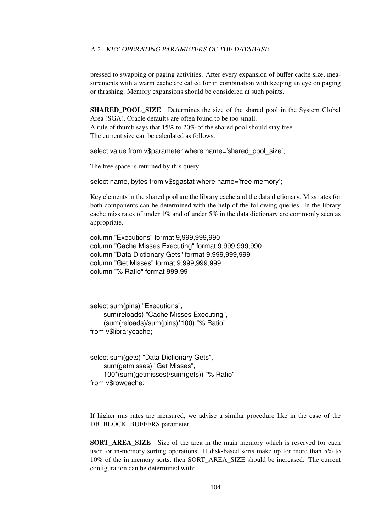pressed to swapping or paging activities. After every expansion of buffer cache size, measurements with a warm cache are called for in combination with keeping an eye on paging or thrashing. Memory expansions should be considered at such points.

**SHARED POOL SIZE** Determines the size of the shared pool in the System Global Area (SGA). Oracle defaults are often found to be too small.

A rule of thumb says that 15% to 20% of the shared pool should stay free. The current size can be calculated as follows:

select value from v\$parameter where name='shared pool size';

The free space is returned by this query:

select name, bytes from v\$sgastat where name='free memory';

Key elements in the shared pool are the library cache and the data dictionary. Miss rates for both components can be determined with the help of the following queries. In the library cache miss rates of under 1% and of under 5% in the data dictionary are commonly seen as appropriate.

column "Executions" format 9,999,999,990 column "Cache Misses Executing" format 9,999,999,990 column "Data Dictionary Gets" format 9,999,999,999 column "Get Misses" format 9,999,999,999 column "% Ratio" format 999.99

```
select sum(pins) "Executions",
    sum(reloads) "Cache Misses Executing",
    (sum(reloads)/sum(pins)*100) "% Ratio"
from v$librarycache;
```

```
select sum(gets) "Data Dictionary Gets",
    sum(getmisses) "Get Misses",
    100*(sum(getmisses)/sum(gets)) "% Ratio"
from v$rowcache;
```
If higher mis rates are measured, we advise a similar procedure like in the case of the DB\_BLOCK\_BUFFERS parameter.

**SORT\_AREA\_SIZE** Size of the area in the main memory which is reserved for each user for in-memory sorting operations. If disk-based sorts make up for more than 5% to 10% of the in memory sorts, then SORT\_AREA\_SIZE should be increased. The current configuration can be determined with: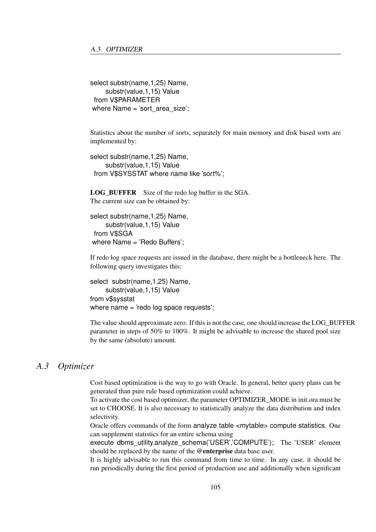select substr(name,1,25) Name, substr(value,1,15) Value from V\$PARAMETER where Name = 'sort area size';

Statistics about the number of sorts, separately for main memory and disk based sorts are implemented by:

```
select substr(name,1,25) Name,
    substr(value,1,15) Value
 from V$SYSSTAT where name like 'sort%';
```
LOG\_BUFFER Size of the redo log buffer in the SGA. The current size can be obtained by:

```
select substr(name,1,25) Name,
    substr(value,1,15) Value
 from V$SGA
where Name = 'Redo Buffers';
```
If redo log space requests are issued in the database, there might be a bottleneck here. The following query investigates this:

select substr(name, 1,25) Name, substr(value,1,15) Value from v\$sysstat where name = 'redo log space requests';

The value should approximate zero. If this is not the case, one should increase the LOG\_BUFFER parameter in steps of 50% to 100%. It might be advisable to increase the shared pool size by the same (absolute) amount.

## *A.3 Optimizer*

Cost based optimization is the way to go with Oracle. In general, better query plans can be generated than pure rule based optimization could achieve.

To activate the cost based optimizer, the parameter OPTIMIZER\_MODE in init.ora must be set to CHOOSE. It is also necessary to statistically analyze the data distribution and index selectivity.

Oracle offers commands of the form analyze table <mytable> compute statistics. One can supplement statistics for an entire schema using

execute dbms\_utility.analyze\_schema('USER','COMPUTE');. The 'USER' element should be replaced by the name of the @enterprise data base user.

It is highly advisable to run this command from time to time. In any case, it should be run periodically during the first period of production use and additionally when significant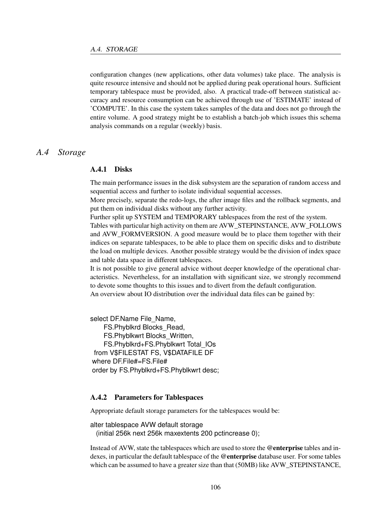configuration changes (new applications, other data volumes) take place. The analysis is quite resource intensive and should not be applied during peak operational hours. Sufficient temporary tablespace must be provided, also. A practical trade-off between statistical accuracy and resource consumption can be achieved through use of 'ESTIMATE' instead of 'COMPUTE'. In this case the system takes samples of the data and does not go through the entire volume. A good strategy might be to establish a batch-job which issues this schema analysis commands on a regular (weekly) basis.

## *A.4 Storage*

#### A.4.1 Disks

The main performance issues in the disk subsystem are the separation of random access and sequential access and further to isolate individual sequential accesses.

More precisely, separate the redo-logs, the after image files and the rollback segments, and put them on individual disks without any further activity.

Further split up SYSTEM and TEMPORARY tablespaces from the rest of the system.

Tables with particular high activity on them are AVW\_STEPINSTANCE, AVW\_FOLLOWS and AVW\_FORMVERSION. A good measure would be to place them together with their indices on separate tablespaces, to be able to place them on specific disks and to distribute the load on multiple devices. Another possible strategy would be the division of index space and table data space in different tablespaces.

It is not possible to give general advice without deeper knowledge of the operational characteristics. Nevertheless, for an installation with significant size, we strongly recommend to devote some thoughts to this issues and to divert from the default configuration. An overview about IO distribution over the individual data files can be gained by:

select DF.Name File\_Name,

FS.Phyblkrd Blocks\_Read, FS.Phyblkwrt Blocks\_Written, FS.Phyblkrd+FS.Phyblkwrt Total\_IOs from V\$FILESTAT FS, V\$DATAFILE DF where DF.File#=FS.File# order by FS.Phyblkrd+FS.Phyblkwrt desc;

#### A.4.2 Parameters for Tablespaces

Appropriate default storage parameters for the tablespaces would be:

alter tablespace AVW default storage (initial 256k next 256k maxextents 200 pctincrease 0);

Instead of AVW, state the tablespaces which are used to store the @enterprise tables and indexes, in particular the default tablespace of the @enterprise database user. For some tables which can be assumed to have a greater size than that (50MB) like AVW\_STEPINSTANCE,